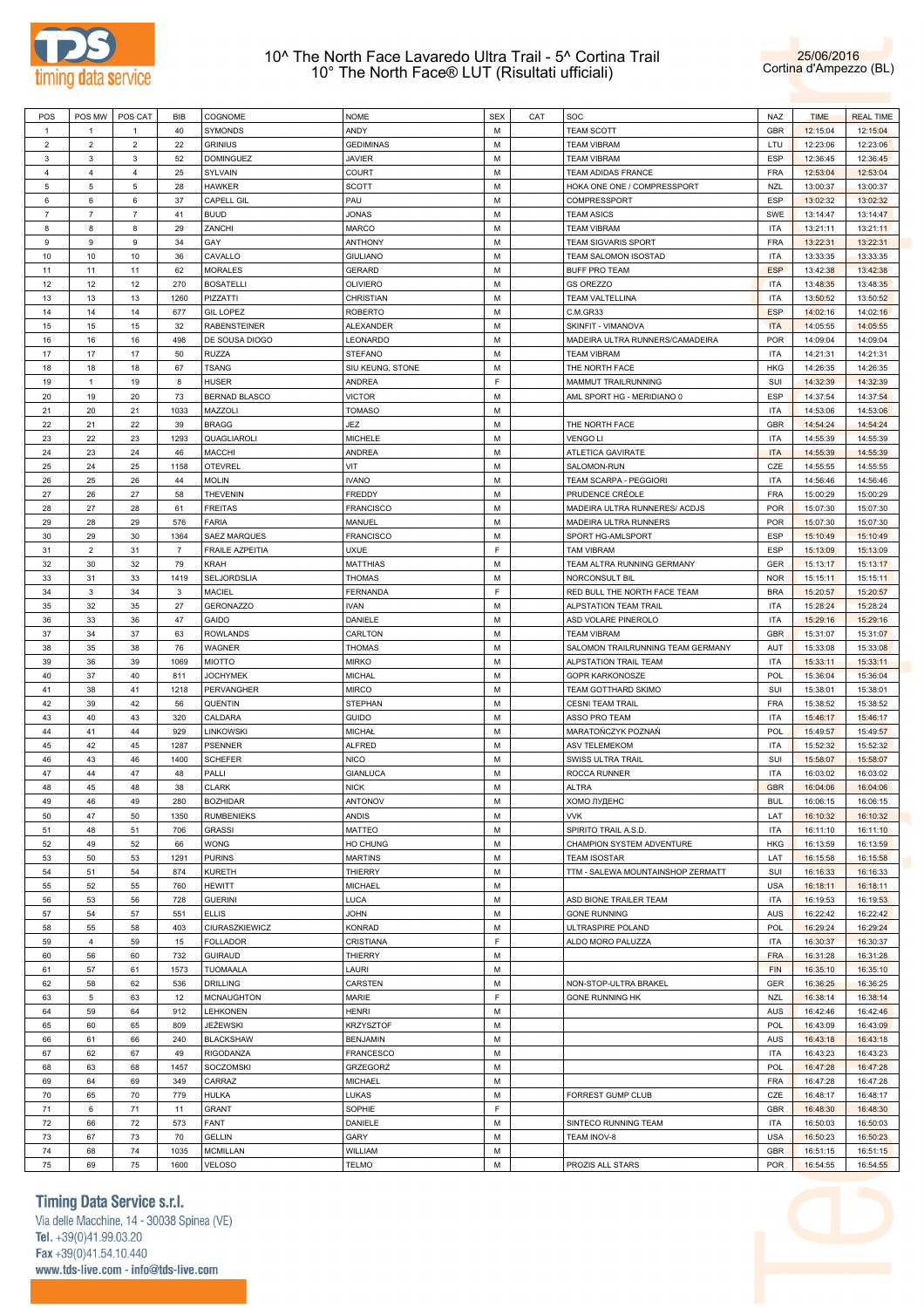



| POS            | POS MW         | POS CAT        | BIB  | COGNOME                | <b>NOME</b>      | <b>SEX</b>  | CAT | SOC                               | NAZ        | <b>TIME</b> | <b>REAL TIME</b> |
|----------------|----------------|----------------|------|------------------------|------------------|-------------|-----|-----------------------------------|------------|-------------|------------------|
| $\mathbf{1}$   | -1             |                | 40   | SYMONDS                | ANDY             | М           |     | <b>TEAM SCOTT</b>                 | GBR        | 12:15:04    | 12:15:04         |
| $\overline{c}$ | $\overline{2}$ | $\overline{c}$ | 22   | <b>GRINIUS</b>         | <b>GEDIMINAS</b> | M           |     | <b>TEAM VIBRAM</b>                | LTU        | 12:23:06    | 12:23:06         |
|                |                |                |      |                        |                  |             |     |                                   |            |             |                  |
| 3              | 3              | 3              | 52   | <b>DOMINGUEZ</b>       | JAVIER           | M           |     | <b>TEAM VIBRAM</b>                | <b>ESP</b> | 12:36:45    | 12:36:45         |
| 4              | $\overline{4}$ | 4              | 25   | SYLVAIN                | COURT            | M           |     | TEAM ADIDAS FRANCE                | <b>FRA</b> | 12:53:04    | 12:53:04         |
| 5              | 5              | 5              | 28   | <b>HAWKER</b>          | <b>SCOTT</b>     | M           |     | HOKA ONE ONE / COMPRESSPORT       | <b>NZL</b> | 13:00:37    | 13:00:37         |
| 6              | 6              | 6              | 37   | CAPELL GIL             | PAU              | M           |     | COMPRESSPORT                      | <b>ESP</b> | 13:02:32    | 13:02:32         |
|                |                |                |      |                        |                  | M           |     |                                   |            |             |                  |
| $\overline{7}$ | $\overline{7}$ | $\overline{7}$ | 41   | <b>BUUD</b>            | JONAS            |             |     | <b>TEAM ASICS</b>                 | SWE        | 13:14:47    | 13:14:47         |
| 8              | 8              | 8              | 29   | ZANCHI                 | MARCO            | M           |     | <b>TEAM VIBRAM</b>                | <b>ITA</b> | 13:21:11    | 13:21:11         |
| 9              | $\mathsf g$    | 9              | 34   | GAY                    | ANTHONY          | M           |     | <b>TEAM SIGVARIS SPORT</b>        | <b>FRA</b> | 13:22:31    | 13:22:31         |
| 10             | 10             | 10             | 36   | CAVALLO                | <b>GIULIANO</b>  | M           |     | TEAM SALOMON ISOSTAD              | <b>ITA</b> | 13:33:35    | 13:33:35         |
| 11             | 11             | 11             | 62   |                        |                  | M           |     |                                   | <b>ESP</b> | 13:42:38    | 13:42:38         |
|                |                |                |      | MORALES                | GERARD           |             |     | <b>BUFF PRO TEAM</b>              |            |             |                  |
| 12             | 12             | 12             | 270  | <b>BOSATELLI</b>       | OLIVIERO         | M           |     | <b>GS OREZZO</b>                  | <b>ITA</b> | 13:48:35    | 13:48:35         |
| 13             | 13             | 13             | 1260 | PIZZATTI               | CHRISTIAN        | M           |     | TEAM VALTELLINA                   | <b>ITA</b> | 13:50:52    | 13:50:52         |
| 14             | 14             | 14             | 677  | <b>GIL LOPEZ</b>       | <b>ROBERTO</b>   | M           |     | C.M.GR33                          | <b>ESP</b> | 14:02:16    | 14:02:16         |
| 15             | 15             | 15             | 32   | <b>RABENSTEINER</b>    | ALEXANDER        | M           |     | SKINFIT - VIMANOVA                | <b>ITA</b> | 14:05:55    | 14:05:55         |
|                |                |                | 498  |                        |                  | M           |     |                                   | <b>POR</b> |             |                  |
| 16             | 16             | 16             |      | DE SOUSA DIOGO         | LEONARDO         |             |     | MADEIRA ULTRA RUNNERS/CAMADEIRA   |            | 14:09:04    | 14:09:04         |
| 17             | 17             | 17             | 50   | <b>RUZZA</b>           | STEFANO          | M           |     | <b>TEAM VIBRAM</b>                | <b>ITA</b> | 14:21:31    | 14:21:31         |
| 18             | 18             | 18             | 67   | <b>TSANG</b>           | SIU KEUNG, STONE | M           |     | THE NORTH FACE                    | <b>HKG</b> | 14:26:35    | 14:26:35         |
| 19             | 1              | 19             | 8    | <b>HUSER</b>           | ANDREA           | F           |     | MAMMUT TRAILRUNNING               | SUI        | 14:32:39    | 14:32:39         |
| 20             | 19             | 20             | 73   | <b>BERNAD BLASCO</b>   | VICTOR           | M           |     | AML SPORT HG - MERIDIANO 0        | <b>ESP</b> | 14:37:54    | 14:37:54         |
|                |                |                |      |                        |                  |             |     |                                   |            |             |                  |
| 21             | 20             | 21             | 1033 | MAZZOLI                | TOMASO           | M           |     |                                   | <b>ITA</b> | 14:53:06    | 14:53:06         |
| 22             | 21             | 22             | 39   | <b>BRAGG</b>           | JEZ              | M           |     | THE NORTH FACE                    | GBR        | 14:54:24    | 14:54:24         |
| 23             | 22             | 23             | 1293 | QUAGLIAROLI            | MICHELE          | M           |     | <b>VENGO LI</b>                   | <b>ITA</b> | 14:55:39    | 14:55:39         |
| 24             | 23             | 24             | 46   | <b>MACCHI</b>          | ANDREA           | M           |     | ATLETICA GAVIRATE                 | <b>ITA</b> | 14:55:39    | 14:55:39         |
|                |                |                |      |                        |                  |             |     |                                   |            |             |                  |
| 25             | 24             | 25             | 1158 | <b>OTEVREL</b>         | VIT              | M           |     | SALOMON-RUN                       | CZE        | 14:55:55    | 14:55:55         |
| 26             | 25             | 26             | 44   | <b>MOLIN</b>           | IVANO            | M           |     | TEAM SCARPA - PEGGIORI            | <b>ITA</b> | 14:56:46    | 14:56:46         |
| 27             | 26             | 27             | 58   | <b>THEVENIN</b>        | FREDDY           | M           |     | PRUDENCE CRÉOLE                   | <b>FRA</b> | 15:00:29    | 15:00:29         |
| 28             | 27             | 28             | 61   | <b>FREITAS</b>         | FRANCISCO        | M           |     | MADEIRA ULTRA RUNNERES/ ACDJS     | <b>POR</b> | 15:07:30    | 15:07:30         |
| 29             | 28             | 29             | 576  | <b>FARIA</b>           | MANUEL           | M           |     | MADEIRA ULTRA RUNNERS             | <b>POR</b> | 15:07:30    | 15:07:30         |
|                |                |                |      |                        |                  |             |     |                                   |            |             |                  |
| 30             | 29             | 30             | 1364 | SAEZ MARQUES           | <b>FRANCISCO</b> | M           |     | SPORT HG-AMLSPORT                 | <b>ESP</b> | 15:10:49    | 15:10:49         |
| 31             | $\overline{2}$ | 31             | 7    | <b>FRAILE AZPEITIA</b> | UXUE             | $\mathsf F$ |     | <b>TAM VIBRAM</b>                 | <b>ESP</b> | 15:13:09    | 15:13:09         |
| 32             | 30             | 32             | 79   | KRAH                   | MATTHIAS         | M           |     | TEAM ALTRA RUNNING GERMANY        | GER        | 15:13:17    | 15:13:17         |
| 33             | 31             | 33             | 1419 | SELJORDSLIA            | THOMAS           | M           |     | NORCONSULT BIL                    | <b>NOR</b> | 15:15:11    | 15:15:11         |
|                |                |                |      |                        |                  |             |     |                                   |            |             |                  |
| 34             | 3              | 34             | 3    | MACIEL                 | FERNANDA         | F           |     | RED BULL THE NORTH FACE TEAM      | <b>BRA</b> | 15:20:57    | 15:20:57         |
| 35             | 32             | 35             | 27   | <b>GERONAZZO</b>       | IVAN             | M           |     | ALPSTATION TEAM TRAIL             | <b>ITA</b> | 15:28:24    | 15:28:24         |
| 36             | 33             | 36             | 47   | GAIDO                  | DANIELE          | M           |     | ASD VOLARE PINEROLO               | <b>ITA</b> | 15:29:16    | 15:29:16         |
| 37             | 34             | 37             | 63   | <b>ROWLANDS</b>        | CARLTON          | M           |     | <b>TEAM VIBRAM</b>                | GBR        | 15:31:07    | 15:31:07         |
| 38             | 35             | 38             | 76   |                        |                  | M           |     |                                   | AUT        |             |                  |
|                |                |                |      | WAGNER                 | <b>THOMAS</b>    |             |     | SALOMON TRAILRUNNING TEAM GERMANY |            | 15:33:08    | 15:33:08         |
| 39             | 36             | 39             | 1069 | <b>MIOTTO</b>          | MIRKO            | M           |     | ALPSTATION TRAIL TEAM             | ITA        | 15:33:11    | 15:33:11         |
| 40             | 37             | 40             | 811  | JOCHYMEK               | MICHAL           | M           |     | <b>GOPR KARKONOSZE</b>            | <b>POL</b> | 15:36:04    | 15:36:04         |
| 41             | 38             | 41             | 1218 | PERVANGHER             | MIRCO            | M           |     | TEAM GOTTHARD SKIMO               | SUI        | 15:38:01    | 15:38:01         |
| 42             | 39             | 42             | 56   | QUENTIN                | STEPHAN          | M           |     | <b>CESNI TEAM TRAIL</b>           | <b>FRA</b> | 15:38:52    | 15:38:52         |
|                |                |                |      |                        |                  |             |     |                                   |            |             |                  |
| 43             | 40             | 43             | 320  | CALDARA                | guido            | M           |     | ASSO PRO TEAM                     | <b>ITA</b> | 15:46:17    | 15:46:17         |
| 44             | 41             | 44             | 929  | LINKOWSKI              | <b>MICHAŁ</b>    | M           |     | MARATONCZYK POZNAŃ                | <b>POL</b> | 15:49:57    | 15:49:57         |
| 45             | 42             | 45             | 1287 | <b>PSENNER</b>         | <b>ALFRED</b>    | M           |     | <b>ASV TELEMEKOM</b>              | <b>ITA</b> | 15:52:32    | 15:52:32         |
| 46             | 43             | 46             | 1400 | <b>SCHEFER</b>         | NICO             | M           |     | SWISS ULTRA TRAIL                 | SUI        | 15:58:07    | 15:58:07         |
| 47             | 44             | 47             | 48   | PALLI                  | GIANLUCA         | M           |     | ROCCA RUNNER                      | <b>ITA</b> | 16:03:02    | 16:03:02         |
|                |                |                |      |                        |                  |             |     |                                   |            |             |                  |
| 48             | 45             | 48             | 38   | <b>CLARK</b>           | <b>NICK</b>      | M           |     | <b>ALTRA</b>                      | <b>GBR</b> | 16:04:06    | 16:04:06         |
| 49             | 46             | 49             | 280  | <b>BOZHIDAR</b>        | ANTONOV          | M           |     | ХОМО ЛУДЕНС                       | <b>BUL</b> | 16:06:15    | 16:06:15         |
| 50             | 47             | 50             | 1350 | <b>RUMBENIEKS</b>      | ANDIS            | М           |     | <b>VVK</b>                        | LAT        | 16:10:32    | 16:10:32         |
| 51             | 48             | 51             | 706  | <b>GRASSI</b>          | MATTEO           | M           |     | SPIRITO TRAIL A.S.D.              | <b>ITA</b> | 16:11:10    | 16:11:10         |
|                |                |                |      |                        |                  |             |     |                                   |            |             |                  |
| 52             | 49             | 52             | 66   | <b>WONG</b>            | HO CHUNG         | М           |     | CHAMPION SYSTEM ADVENTURE         | HKG        | 16:13:59    | 16:13:59         |
| 53             | 50             | 53             | 1291 | <b>PURINS</b>          | MARTINS          | M           |     | <b>TEAM ISOSTAR</b>               | LAT        | 16:15:58    | 16:15:58         |
| 54             | 51             | 54             | 874  | <b>KURETH</b>          | THIERRY          | М           |     | TTM - SALEWA MOUNTAINSHOP ZERMATT | SUI        | 16:16:33    | 16:16:33         |
| 55             | 52             | 55             | 760  | <b>HEWITT</b>          | MICHAEL          | M           |     |                                   | <b>USA</b> | 16:18:11    | 16:18:11         |
| 56             | 53             | 56             | 728  | <b>GUERINI</b>         | LUCA             | М           |     | ASD BIONE TRAILER TEAM            | <b>ITA</b> | 16:19:53    | 16:19:53         |
|                |                |                |      |                        |                  |             |     |                                   |            |             |                  |
| 57             | 54             | 57             | 551  | <b>ELLIS</b>           | <b>JOHN</b>      | M           |     | <b>GONE RUNNING</b>               | <b>AUS</b> | 16:22:42    | 16:22:42         |
| 58             | 55             | 58             | 403  | CIURASZKIEWICZ         | KONRAD           | М           |     | ULTRASPIRE POLAND                 | <b>POL</b> | 16:29:24    | 16:29:24         |
| 59             | $\overline{4}$ | 59             | 15   | <b>FOLLADOR</b>        | CRISTIANA        | F           |     | ALDO MORO PALUZZA                 | <b>ITA</b> | 16:30:37    | 16:30:37         |
| 60             | 56             | 60             | 732  | <b>GUIRAUD</b>         | THIERRY          | М           |     |                                   | <b>FRA</b> | 16:31:28    | 16:31:28         |
|                |                |                |      |                        |                  |             |     |                                   |            |             |                  |
| 61             | 57             | 61             | 1573 | TUOMAALA               | LAURI            | M           |     |                                   | <b>FIN</b> | 16:35:10    | 16:35:10         |
| 62             | 58             | 62             | 536  | <b>DRILLING</b>        | CARSTEN          | М           |     | NON-STOP-ULTRA BRAKEL             | GER        | 16:36:25    | 16:36:25         |
| 63             | 5              | 63             | 12   | <b>MCNAUGHTON</b>      | MARIE            | F           |     | <b>GONE RUNNING HK</b>            | <b>NZL</b> | 16:38:14    | 16:38:14         |
| 64             | 59             | 64             | 912  | LEHKONEN               | HENRI            | М           |     |                                   | <b>AUS</b> | 16:42:46    | 16:42:46         |
|                |                |                |      |                        |                  | M           |     |                                   |            |             |                  |
| 65             | 60             | 65             | 809  | JEŻEWSKI               | <b>KRZYSZTOF</b> |             |     |                                   | <b>POL</b> | 16:43:09    | 16:43:09         |
| 66             | 61             | 66             | 240  | <b>BLACKSHAW</b>       | <b>BENJAMIN</b>  | М           |     |                                   | <b>AUS</b> | 16:43:18    | 16:43:18         |
| 67             | 62             | 67             | 49   | RIGODANZA              | FRANCESCO        | M           |     |                                   | <b>ITA</b> | 16:43:23    | 16:43:23         |
| 68             | 63             | 68             | 1457 | SOCZOMSKI              | GRZEGORZ         | М           |     |                                   | <b>POL</b> | 16:47:28    | 16:47:28         |
| 69             | 64             | 69             | 349  | CARRAZ                 | MICHAEL          | M           |     |                                   | <b>FRA</b> | 16:47:28    | 16:47:28         |
|                |                |                |      |                        |                  |             |     |                                   |            |             |                  |
| 70             | 65             | 70             | 779  | <b>HULKA</b>           | LUKAS            | М           |     | FORREST GUMP CLUB                 | CZE        | 16:48:17    | 16:48:17         |
| 71             | 6              | 71             | 11   | <b>GRANT</b>           | SOPHIE           | F           |     |                                   | GBR        | 16:48:30    | 16:48:30         |
| 72             | 66             | 72             | 573  | FANT                   | DANIELE          | М           |     | SINTECO RUNNING TEAM              | <b>ITA</b> | 16:50:03    | 16:50:03         |
| 73             | 67             | 73             | 70   | GELLIN                 | GARY             | M           |     | TEAM INOV-8                       | <b>USA</b> | 16:50:23    | 16:50:23         |
|                |                |                |      |                        |                  |             |     |                                   |            |             |                  |
| 74             | 68             | 74             | 1035 | <b>MCMILLAN</b>        | WILLIAM          | М           |     |                                   | GBR        | 16:51:15    | 16:51:15         |
| 75             | 69             | 75             | 1600 | <b>VELOSO</b>          | TELMO            | М           |     | PROZIS ALL STARS                  | POR        | 16:54:55    | 16:54:55         |

**Timing Data Service s.r.l.** 

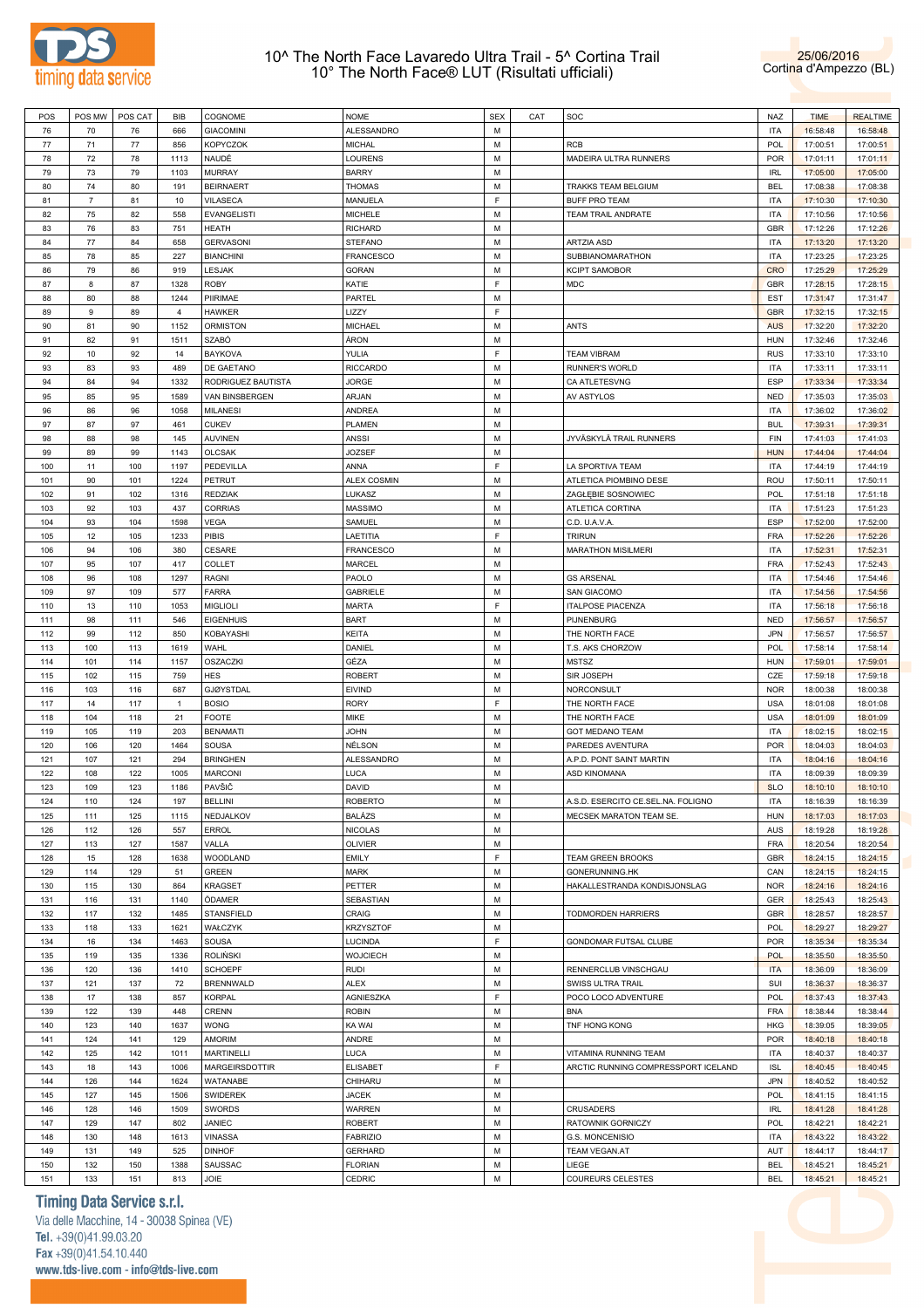



| POS | POS MW         | POS CAT | <b>BIB</b>     | COGNOME            | <b>NOME</b>      | <b>SEX</b> | CAT | SOC                                 | NAZ        | <b>TIME</b> | <b>REALTIME</b> |
|-----|----------------|---------|----------------|--------------------|------------------|------------|-----|-------------------------------------|------------|-------------|-----------------|
| 76  | 70             | 76      | 666            | <b>GIACOMINI</b>   | ALESSANDRO       | M          |     |                                     | <b>ITA</b> | 16:58:48    | 16:58:48        |
| 77  | 71             | 77      | 856            | <b>KOPYCZOK</b>    | <b>MICHAL</b>    | M          |     | RCB                                 | POL        | 17:00:51    | 17:00:51        |
| 78  | 72             | 78      | 1113           | NAUDÉ              | LOURENS          | M          |     | MADEIRA ULTRA RUNNERS               | <b>POR</b> | 17:01:11    | 17:01:11        |
| 79  |                |         |                |                    |                  | M          |     |                                     |            |             |                 |
|     | 73             | 79      | 1103           | <b>MURRAY</b>      | <b>BARRY</b>     |            |     |                                     | <b>IRL</b> | 17:05:00    | 17:05:00        |
| 80  | 74             | 80      | 191            | <b>BEIRNAERT</b>   | <b>THOMAS</b>    | M          |     | TRAKKS TEAM BELGIUM                 | <b>BEL</b> | 17:08:38    | 17:08:38        |
| 81  | $\overline{7}$ | 81      | 10             | VILASECA           | MANUELA          | F.         |     | <b>BUFF PRO TEAM</b>                | <b>ITA</b> | 17:10:30    | 17:10:30        |
| 82  | 75             | 82      | 558            | <b>EVANGELISTI</b> | <b>MICHELE</b>   | M          |     | TEAM TRAIL ANDRATE                  | <b>ITA</b> | 17:10:56    | 17:10:56        |
| 83  | 76             | 83      | 751            | <b>HEATH</b>       | <b>RICHARD</b>   | M          |     |                                     | GBR        | 17:12:26    | 17:12:26        |
| 84  | 77             | 84      | 658            | <b>GERVASONI</b>   | <b>STEFANO</b>   | M          |     | ARTZIA ASD                          | <b>ITA</b> | 17:13:20    | 17:13:20        |
| 85  | 78             | 85      | 227            | <b>BIANCHINI</b>   | FRANCESCO        | M          |     | SUBBIANOMARATHON                    | <b>ITA</b> | 17:23:25    | 17:23:25        |
| 86  | 79             | 86      | 919            | <b>LESJAK</b>      | GORAN            | M          |     | KCIPT SAMOBOR                       | CRO        | 17:25:29    | 17:25:29        |
| 87  | 8              | 87      | 1328           | <b>ROBY</b>        | KATIE            | F.         |     | MDC                                 | <b>GBR</b> | 17:28:15    | 17:28:15        |
| 88  | 80             |         | 1244           | PIIRIMAE           |                  | M          |     |                                     | <b>EST</b> |             |                 |
|     |                | 88      |                |                    | PARTEL           |            |     |                                     |            | 17:31:47    | 17:31:47        |
| 89  | 9              | 89      | $\overline{4}$ | <b>HAWKER</b>      | LIZZY            | F.         |     |                                     | <b>GBR</b> | 17:32:15    | 17:32:15        |
| 90  | 81             | 90      | 1152           | <b>ORMISTON</b>    | MICHAEL          | M          |     | ANTS                                | <b>AUS</b> | 17:32:20    | 17:32:20        |
| 91  | 82             | 91      | 1511           | SZABÓ              | ÁRON             | M          |     |                                     | <b>HUN</b> | 17:32:46    | 17:32:46        |
| 92  | 10             | 92      | 14             | <b>BAYKOVA</b>     | YULIA            | F          |     | <b>TEAM VIBRAM</b>                  | <b>RUS</b> | 17:33:10    | 17:33:10        |
| 93  | 83             | 93      | 489            | DE GAETANO         | <b>RICCARDO</b>  | M          |     | <b>RUNNER'S WORLD</b>               | <b>ITA</b> | 17:33:11    | 17:33:11        |
| 94  | 84             | 94      | 1332           | RODRIGUEZ BAUTISTA | <b>JORGE</b>     | M          |     | CA ATLETESVNG                       | <b>ESP</b> | 17:33:34    | 17:33:34        |
| 95  | 85             | 95      | 1589           | VAN BINSBERGEN     | ARJAN            | M          |     | AV ASTYLOS                          | <b>NED</b> | 17:35:03    | 17:35:03        |
| 96  | 86             | 96      | 1058           | <b>MILANESI</b>    | ANDREA           | M          |     |                                     | <b>ITA</b> | 17:36:02    | 17:36:02        |
|     |                |         |                |                    |                  |            |     |                                     |            |             |                 |
| 97  | 87             | 97      | 461            | <b>CUKEV</b>       | <b>PLAMEN</b>    | M          |     |                                     | <b>BUL</b> | 17:39:31    | 17:39:31        |
| 98  | 88             | 98      | 145            | <b>AUVINEN</b>     | ANSSI            | M          |     | JYVÄSKYLÄ TRAIL RUNNERS             | FIN        | 17:41:03    | 17:41:03        |
| 99  | 89             | 99      | 1143           | <b>OLCSAK</b>      | <b>JOZSEF</b>    | M          |     |                                     | <b>HUN</b> | 17:44:04    | 17:44:04        |
| 100 | 11             | 100     | 1197           | PEDEVILLA          | ANNA             | F          |     | LA SPORTIVA TEAM                    | <b>ITA</b> | 17:44:19    | 17:44:19        |
| 101 | 90             | 101     | 1224           | <b>PETRUT</b>      | ALEX COSMIN      | M          |     | ATLETICA PIOMBINO DESE              | ROU        | 17:50:11    | 17:50:11        |
| 102 | 91             | 102     | 1316           | <b>REDZIAK</b>     | LUKASZ           | M          |     | ZAGŁĘBIE SOSNOWIEC                  | POL        | 17:51:18    | 17:51:18        |
| 103 | 92             | 103     | 437            | CORRIAS            | MASSIMO          | M          |     | ATLETICA CORTINA                    | <b>ITA</b> | 17:51:23    | 17:51:23        |
| 104 | 93             | 104     | 1598           | <b>VEGA</b>        | SAMUEL           | M          |     | C.D. U.A.V.A.                       | <b>ESP</b> | 17:52:00    | 17:52:00        |
| 105 | 12             | 105     | 1233           | PIBIS              | LAETITIA         | F.         |     | <b>TRIRUN</b>                       | <b>FRA</b> | 17:52:26    | 17:52:26        |
|     |                |         |                |                    |                  |            |     |                                     |            |             |                 |
| 106 | 94             | 106     | 380            | CESARE             | FRANCESCO        | М          |     | <b>MARATHON MISILMERI</b>           | <b>ITA</b> | 17:52:31    | 17:52:31        |
| 107 | 95             | 107     | 417            | <b>COLLET</b>      | MARCEL           | M          |     |                                     | <b>FRA</b> | 17:52:43    | 17:52:43        |
| 108 | 96             | 108     | 1297           | <b>RAGNI</b>       | PAOLO            | M          |     | <b>GS ARSENAL</b>                   | <b>ITA</b> | 17:54:46    | 17:54:46        |
| 109 | 97             | 109     | 577            | <b>FARRA</b>       | GABRIELE         | М          |     | <b>SAN GIACOMO</b>                  | <b>ITA</b> | 17:54:56    | 17:54:56        |
| 110 | 13             | 110     | 1053           | <b>MIGLIOLI</b>    | <b>MARTA</b>     | F          |     | <b>ITALPOSE PIACENZA</b>            | <b>ITA</b> | 17:56:18    | 17:56:18        |
| 111 | 98             | 111     | 546            | <b>EIGENHUIS</b>   | <b>BART</b>      | M          |     | PIJNENBURG                          | <b>NED</b> | 17:56:57    | 17:56:57        |
| 112 | 99             | 112     | 850            | KOBAYASHI          | <b>KEITA</b>     | M          |     | THE NORTH FACE                      | <b>JPN</b> | 17:56:57    | 17:56:57        |
| 113 | 100            | 113     | 1619           | WAHL               | DANIEL           | M          |     | T.S. AKS CHORZOW                    | POL        | 17:58:14    | 17:58:14        |
| 114 | 101            | 114     | 1157           | <b>OSZACZKI</b>    | GÉZA             | M          |     | <b>MSTSZ</b>                        | <b>HUN</b> | 17:59:01    | 17:59:01        |
|     |                |         |                | <b>HES</b>         |                  | M          |     |                                     | CZE        |             |                 |
| 115 | 102            | 115     | 759            |                    | ROBERT           |            |     | SIR JOSEPH                          |            | 17:59:18    | 17:59:18        |
| 116 | 103            | 116     | 687            | <b>GJØYSTDAL</b>   | <b>EIVIND</b>    | M          |     | NORCONSULT                          | <b>NOR</b> | 18:00:38    | 18:00:38        |
| 117 | 14             | 117     | $\mathbf{1}$   | <b>BOSIO</b>       | <b>RORY</b>      | F.         |     | THE NORTH FACE                      | <b>USA</b> | 18:01:08    | 18:01:08        |
| 118 | 104            | 118     | 21             | <b>FOOTE</b>       | MIKE             | М          |     | THE NORTH FACE                      | <b>USA</b> | 18:01:09    | 18:01:09        |
| 119 | 105            | 119     | 203            | <b>BENAMATI</b>    | <b>JOHN</b>      | M          |     | <b>GOT MEDANO TEAM</b>              | <b>ITA</b> | 18:02:15    | 18:02:15        |
| 120 | 106            | 120     | 1464           | SOUSA              | NÉLSON           | M          |     | PAREDES AVENTURA                    | <b>POR</b> | 18:04:03    | 18:04:03        |
| 121 | 107            | 121     | 294            | <b>BRINGHEN</b>    | ALESSANDRO       | М          |     | A.P.D. PONT SAINT MARTIN            | <b>ITA</b> | 18:04:16    | 18:04:16        |
| 122 | 108            | 122     | 1005           | <b>MARCONI</b>     | LUCA             | М          |     | <b>ASD KINOMANA</b>                 | <b>ITA</b> | 18:09:39    | 18:09:39        |
| 123 | 109            | 123     | 1186           | PAVŠIČ             | DAVID            | М          |     |                                     | <b>SLO</b> | 18:10:10    | 18:10:10        |
|     |                |         |                |                    |                  | М          |     |                                     |            |             |                 |
| 124 | 110            | 124     | 197            | <b>BELLINI</b>     | <b>ROBERTO</b>   |            |     | A.S.D. ESERCITO CE.SEL.NA. FOLIGNO  | <b>ITA</b> | 18:16:39    | 18:16:39        |
| 125 | 111            | 125     | 1115           | NEDJALKOV          | <b>BALÁZS</b>    | М          |     | MECSEK MARATON TEAM SE.             | <b>HUN</b> | 18:17:03    | 18:17:03        |
| 126 | 112            | 126     | 557            | <b>ERROL</b>       | <b>NICOLAS</b>   | M          |     |                                     | <b>AUS</b> | 18:19:28    | 18:19:28        |
| 127 | 113            | 127     | 1587           | VALLA              | OLIVIER          | М          |     |                                     | <b>FRA</b> | 18:20:54    | 18:20:54        |
| 128 | 15             | 128     | 1638           | WOODLAND           | EMILY            | F          |     | <b>TEAM GREEN BROOKS</b>            | GBR        | 18:24:15    | 18:24:15        |
| 129 | 114            | 129     | 51             | <b>GREEN</b>       | <b>MARK</b>      | M          |     | GONERUNNING.HK                      | CAN        | 18:24:15    | 18:24:15        |
| 130 | 115            | 130     | 864            | <b>KRAGSET</b>     | PETTER           | М          |     | HAKALLESTRANDA KONDISJONSLAG        | <b>NOR</b> | 18:24:16    | 18:24:16        |
| 131 | 116            | 131     | 1140           | ÖDAMER             | SEBASTIAN        | М          |     |                                     | GER        | 18:25:43    | 18:25:43        |
| 132 | 117            | 132     | 1485           | <b>STANSFIELD</b>  | CRAIG            | M          |     | <b>TODMORDEN HARRIERS</b>           | GBR        | 18:28:57    | 18:28:57        |
|     |                |         |                |                    |                  |            |     |                                     |            |             |                 |
| 133 | 118            | 133     | 1621           | WAŁCZYK            | <b>KRZYSZTOF</b> | М          |     |                                     | POL        | 18:29:27    | 18:29:27        |
| 134 | 16             | 134     | 1463           | SOUSA              | LUCINDA          | F          |     | GONDOMAR FUTSAL CLUBE               | <b>POR</b> | 18:35:34    | 18:35:34        |
| 135 | 119            | 135     | 1336           | <b>ROLIŃSKI</b>    | <b>WOJCIECH</b>  | M          |     |                                     | POL        | 18:35:50    | 18:35:50        |
| 136 | 120            | 136     | 1410           | <b>SCHOEPF</b>     | <b>RUDI</b>      | М          |     | RENNERCLUB VINSCHGAU                | <b>ITA</b> | 18:36:09    | 18:36:09        |
| 137 | 121            | 137     | 72             | <b>BRENNWALD</b>   | <b>ALEX</b>      | M          |     | SWISS ULTRA TRAIL                   | SUI        | 18:36:37    | 18:36:37        |
| 138 | 17             | 138     | 857            | <b>KORPAL</b>      | AGNIESZKA        | F          |     | POCO LOCO ADVENTURE                 | POL        | 18:37:43    | 18:37:43        |
| 139 | 122            | 139     | 448            | <b>CRENN</b>       | <b>ROBIN</b>     | М          |     | <b>BNA</b>                          | <b>FRA</b> | 18:38:44    | 18:38:44        |
| 140 | 123            | 140     | 1637           | <b>WONG</b>        | KA WAI           | M          |     | TNF HONG KONG                       | <b>HKG</b> | 18:39:05    | 18:39:05        |
|     |                |         |                | <b>AMORIM</b>      | ANDRE            | М          |     |                                     |            |             |                 |
| 141 | 124            | 141     | 129            |                    |                  |            |     |                                     | POR        | 18:40:18    | 18:40:18        |
| 142 | 125            | 142     | 1011           | <b>MARTINELLI</b>  | LUCA             | М          |     | VITAMINA RUNNING TEAM               | <b>ITA</b> | 18:40:37    | 18:40:37        |
| 143 | 18             | 143     | 1006           | MARGEIRSDOTTIR     | <b>ELISABET</b>  | F.         |     | ARCTIC RUNNING COMPRESSPORT ICELAND | <b>ISL</b> | 18:40:45    | 18:40:45        |
| 144 | 126            | 144     | 1624           | WATANABE           | CHIHARU          | M          |     |                                     | <b>JPN</b> | 18:40:52    | 18:40:52        |
| 145 | 127            | 145     | 1506           | SWIDEREK           | <b>JACEK</b>     | М          |     |                                     | POL        | 18:41:15    | 18:41:15        |
| 146 | 128            | 146     | 1509           | <b>SWORDS</b>      | WARREN           | М          |     | CRUSADERS                           | <b>IRL</b> | 18:41:28    | 18:41:28        |
| 147 | 129            | 147     | 802            | JANIEC             | <b>ROBERT</b>    | М          |     | RATOWNIK GORNICZY                   | POL        | 18:42:21    | 18:42:21        |
| 148 | 130            | 148     | 1613           | <b>VINASSA</b>     | <b>FABRIZIO</b>  | М          |     | G.S. MONCENISIO                     | <b>ITA</b> | 18:43:22    | 18:43:22        |
| 149 | 131            | 149     | 525            | <b>DINHOF</b>      | <b>GERHARD</b>   | М          |     | <b>TEAM VEGAN.AT</b>                | AUT        | 18:44:17    | 18:44:17        |
|     |                |         |                |                    |                  |            |     |                                     |            |             |                 |
| 150 | 132            | 150     | 1388           | SAUSSAC            | <b>FLORIAN</b>   | М          |     | LIEGE                               | <b>BEL</b> | 18:45:21    | 18:45:21        |
| 151 | 133            | 151     | 813            | JOIE               | CEDRIC           | M          |     | COUREURS CELESTES                   | <b>BEL</b> | 18:45:21    | 18:45:21        |

**Timing Data Service s.r.l.**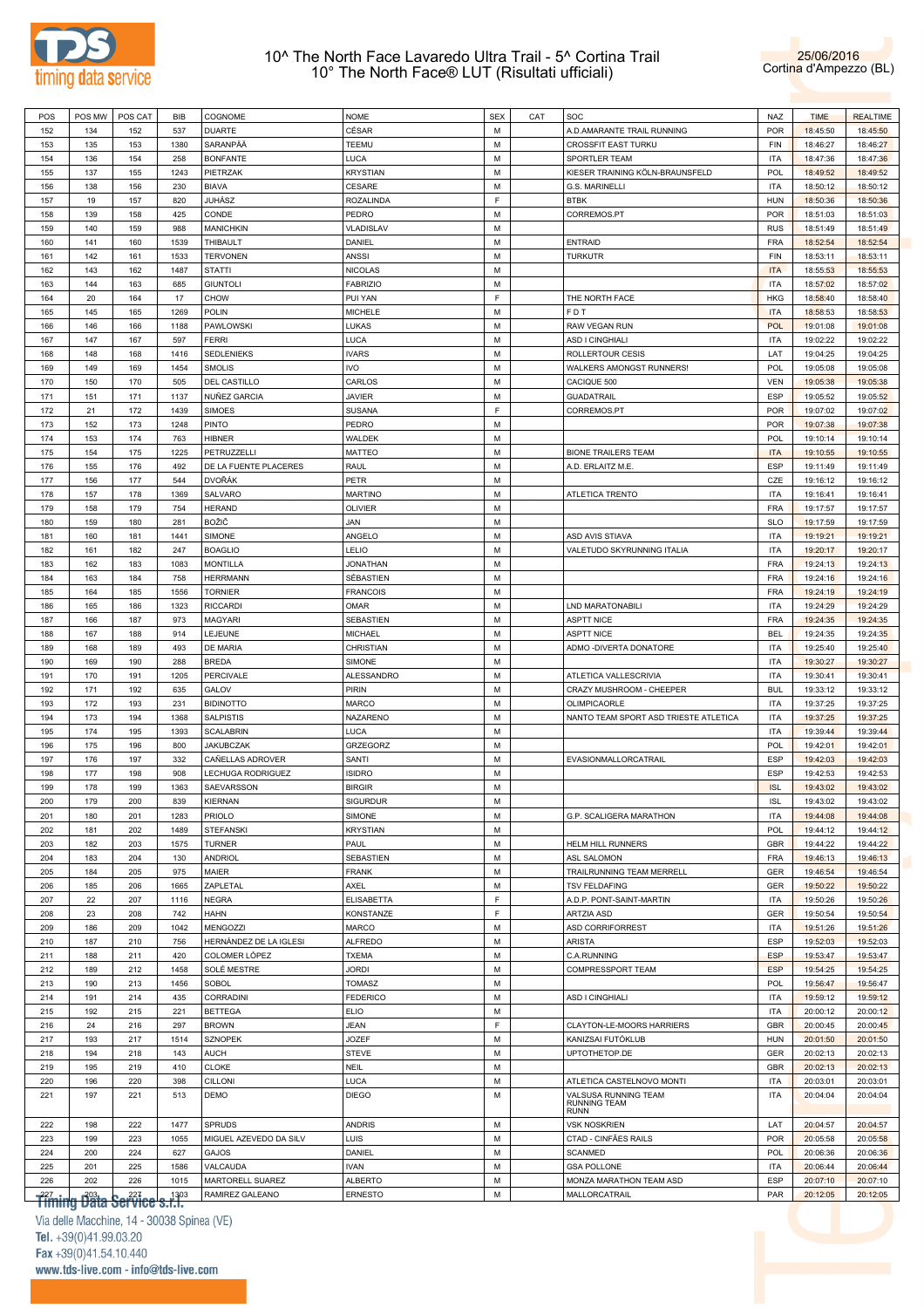



| POS        | POS MW                                             | POS CAT    | <b>BIB</b>   | COGNOME                            | <b>NOME</b>                    | <b>SEX</b> | CAT | SOC                                          | NAZ                      | <b>TIME</b>          | <b>REALTIME</b>      |
|------------|----------------------------------------------------|------------|--------------|------------------------------------|--------------------------------|------------|-----|----------------------------------------------|--------------------------|----------------------|----------------------|
| 152        | 134                                                | 152        | 537          | <b>DUARTE</b>                      | CÉSAR                          | M          |     | A.D.AMARANTE TRAIL RUNNING                   | POR                      | 18:45:50             | 18:45:50             |
| 153        | 135                                                | 153        | 1380         | SARANPÄÄ                           | TEEMU                          | M          |     | <b>CROSSFIT EAST TURKU</b>                   | FIN                      | 18:46:27             | 18:46:27             |
| 154        | 136                                                | 154        | 258          | <b>BONFANTE</b>                    | LUCA                           | М          |     | SPORTLER TEAM                                | <b>ITA</b>               | 18:47:36             | 18:47:36             |
| 155        | 137                                                | 155        | 1243         | PIETRZAK                           | <b>KRYSTIAN</b>                | M          |     | KIESER TRAINING KÖLN-BRAUNSFELD              | POL                      | 18:49:52             | 18:49:52             |
| 156        | 138                                                | 156        | 230          | <b>BIAVA</b>                       | CESARE                         | M          |     | G.S. MARINELLI                               | <b>ITA</b>               | 18:50:12             | 18:50:12             |
| 157        | 19                                                 | 157        | 820          | JUHÁSZ                             | ROZALINDA                      | F          |     | <b>BTBK</b>                                  | <b>HUN</b>               | 18:50:36             | 18:50:36             |
| 158        | 139                                                | 158        | 425          | CONDE                              | PEDRO                          | М          |     | CORREMOS.PT                                  | POR                      | 18:51:03             | 18:51:03             |
| 159        | 140                                                | 159        | 988          | <b>MANICHKIN</b>                   | VLADISLAV                      | M          |     |                                              | <b>RUS</b>               | 18:51:49             | 18:51:49             |
| 160        | 141                                                | 160        | 1539         | THIBAULT                           | DANIEL                         | M          |     | <b>ENTRAID</b>                               | <b>FRA</b>               | 18:52:54             | 18:52:54             |
| 161        | 142                                                | 161        | 1533         | <b>TERVONEN</b>                    | <b>ANSSI</b>                   | M          |     | <b>TURKUTR</b>                               | FIN                      | 18:53:11             | 18:53:11             |
| 162        | 143                                                | 162        | 1487         | <b>STATTI</b>                      | <b>NICOLAS</b>                 | M          |     |                                              | <b>ITA</b>               | 18:55:53             | 18:55:53             |
| 163        | 144                                                | 163        | 685          | <b>GIUNTOLI</b>                    | <b>FABRIZIO</b>                | M          |     |                                              | <b>ITA</b>               | 18:57:02             | 18:57:02             |
| 164        | 20                                                 | 164        | 17           | <b>CHOW</b>                        | PUI YAN                        | E          |     | THE NORTH FACE                               | <b>HKG</b>               | 18:58:40             | 18:58:40             |
| 165        | 145                                                | 165        | 1269         | POLIN                              | <b>MICHELE</b>                 | M          |     | FDT                                          | <b>ITA</b>               | 18:58:53             | 18:58:53             |
| 166        | 146                                                | 166        | 1188         | <b>PAWLOWSKI</b>                   | LUKAS                          | M          |     | RAW VEGAN RUN                                | <b>POL</b>               | 19:01:08             | 19:01:08             |
| 167        | 147                                                | 167        | 597          | <b>FERRI</b>                       | LUCA                           | M<br>M     |     | ASD I CINGHIALI                              | <b>ITA</b>               | 19:02:22             | 19:02:22             |
| 168<br>169 | 148<br>149                                         | 168<br>169 | 1416<br>1454 | <b>SEDLENIEKS</b><br><b>SMOLIS</b> | <b>IVARS</b><br><b>IVO</b>     | M          |     | ROLLERTOUR CESIS<br>WALKERS AMONGST RUNNERS! | LAT<br><b>POL</b>        | 19:04:25<br>19:05:08 | 19:04:25<br>19:05:08 |
| 170        | 150                                                | 170        | 505          | DEL CASTILLO                       | CARLOS                         | M          |     | CACIQUE 500                                  | <b>VEN</b>               | 19:05:38             | 19:05:38             |
| 171        | 151                                                | 171        | 1137         | NUÑEZ GARCIA                       | <b>JAVIER</b>                  | M          |     | <b>GUADATRAIL</b>                            | ESP                      | 19:05:52             | 19:05:52             |
| 172        | 21                                                 | 172        | 1439         | SIMOES                             | <b>SUSANA</b>                  | F          |     | CORREMOS.PT                                  | POR                      | 19:07:02             | 19:07:02             |
| 173        | 152                                                | 173        | 1248         | PINTO                              | PEDRO                          | M          |     |                                              | POR                      | 19:07:38             | 19:07:38             |
| 174        | 153                                                | 174        | 763          | <b>HIBNER</b>                      | WALDEK                         | М          |     |                                              | <b>POL</b>               | 19:10:14             | 19:10:14             |
| 175        | 154                                                | 175        | 1225         | PETRUZZELLI                        | MATTEO                         | M          |     | <b>BIONE TRAILERS TEAM</b>                   | <b>ITA</b>               | 19:10:55             | 19:10:55             |
| 176        | 155                                                | 176        | 492          | DE LA FUENTE PLACERES              | RAUL                           | M          |     | A.D. ERLAITZ M.E.                            | <b>ESP</b>               | 19:11:49             | 19:11:49             |
| 177        | 156                                                | 177        | 544          | <b>DVOŘÁK</b>                      | PETR                           | M          |     |                                              | CZE                      | 19:16:12             | 19:16:12             |
| 178        | 157                                                | 178        | 1369         | SALVARO                            | <b>MARTINO</b>                 | M          |     | ATLETICA TRENTO                              | <b>ITA</b>               | 19:16:41             | 19:16:41             |
| 179        | 158                                                | 179        | 754          | <b>HERAND</b>                      | OLIVIER                        | M          |     |                                              | <b>FRA</b>               | 19:17:57             | 19:17:57             |
| 180        | 159                                                | 180        | 281          | BOŽIČ                              | JAN                            | M          |     |                                              | <b>SLO</b>               | 19:17:59             | 19:17:59             |
| 181        | 160                                                | 181        | 1441         | SIMONE                             | ANGELO                         | M          |     | ASD AVIS STIAVA                              | <b>ITA</b>               | 19:19:21             | 19:19:21             |
| 182        | 161                                                | 182        | 247          | <b>BOAGLIO</b>                     | LELIO                          | M          |     | VALETUDO SKYRUNNING ITALIA                   | <b>ITA</b>               | 19:20:17             | 19:20:17             |
| 183        | 162                                                | 183        | 1083         | <b>MONTILLA</b>                    | <b>JONATHAN</b>                | M          |     |                                              | <b>FRA</b>               | 19:24:13             | 19:24:13             |
| 184        | 163                                                | 184        | 758          | <b>HERRMANN</b>                    | SÉBASTIEN                      | M          |     |                                              | <b>FRA</b>               | 19:24:16             | 19:24:16             |
| 185        | 164                                                | 185        | 1556         | <b>TORNIER</b>                     | <b>FRANCOIS</b>                | M          |     |                                              | <b>FRA</b>               | 19:24:19             | 19:24:19             |
| 186        | 165                                                | 186        | 1323         | <b>RICCARDI</b>                    | OMAR                           | M          |     | LND MARATONABILI                             | <b>ITA</b>               | 19:24:29             | 19:24:29             |
| 187        | 166                                                | 187        | 973          | MAGYARI                            | SEBASTIEN                      | M          |     | <b>ASPTT NICE</b>                            | <b>FRA</b>               | 19:24:35             | 19:24:35             |
| 188        | 167                                                | 188        | 914          | LEJEUNE                            | <b>MICHAEL</b>                 | M          |     | <b>ASPTT NICE</b>                            | <b>BEL</b>               | 19:24:35             | 19:24:35             |
| 189        | 168                                                | 189        | 493          | DE MARIA                           | CHRISTIAN                      | M          |     | ADMO - DIVERTA DONATORE                      | <b>ITA</b>               | 19:25:40             | 19:25:40             |
| 190        | 169                                                | 190        | 288          | <b>BREDA</b>                       | SIMONE                         | M          |     |                                              | <b>ITA</b>               | 19:30:27             | 19:30:27             |
| 191        | 170                                                | 191        | 1205         | PERCIVALE                          | ALESSANDRO                     | M          |     | ATLETICA VALLESCRIVIA                        | <b>ITA</b>               | 19:30:41             | 19:30:41             |
| 192        | 171                                                | 192        | 635          | GALOV                              | PIRIN                          | M          |     | CRAZY MUSHROOM - CHEEPER                     | <b>BUL</b>               | 19:33:12             | 19:33:12             |
| 193        | 172                                                | 193        | 231          | <b>BIDINOTTO</b>                   | <b>MARCO</b>                   | M          |     | OLIMPICAORLE                                 | <b>ITA</b>               | 19:37:25             | 19:37:25             |
| 194        | 173                                                | 194        | 1368         | <b>SALPISTIS</b>                   | NAZARENO                       | M          |     | NANTO TEAM SPORT ASD TRIESTE ATLETICA        | <b>ITA</b>               | 19:37:25             | 19:37:25             |
| 195        | 174                                                | 195        | 1393         | <b>SCALABRIN</b>                   | LUCA                           | M          |     |                                              | <b>ITA</b>               | 19:39:44             | 19:39:44             |
| 196        | 175                                                | 196        | 800          | <b>JAKUBCZAK</b>                   | GRZEGORZ                       | M          |     |                                              | <b>POL</b>               | 19:42:01             | 19:42:01             |
| 197        | 176                                                | 197        | 332          | CAÑELLAS ADROVER                   | SANTI                          | М          |     | EVASIONMALLORCATRAIL                         | <b>ESP</b>               | 19:42:03             | 19:42:03             |
| 198        | 177                                                | 198        | 908          | LECHUGA RODRIGUEZ                  | <b>ISIDRO</b>                  | М          |     |                                              | <b>ESP</b>               | 19:42:53             | 19:42:53             |
| 199        | 178                                                | 199        | 1363         | SAEVARSSON                         | <b>BIRGIR</b>                  | M          |     |                                              | <b>ISL</b>               | 19:43:02             | 19:43:02             |
| 200        | 179                                                | 200        | 839          | <b>KIERNAN</b>                     | <b>SIGURDUR</b>                | M          |     |                                              | <b>ISL</b>               | 19:43:02             | 19:43:02             |
| 201        | 180                                                | 201        | 1283         | PRIOLO                             | SIMONE                         | М          |     | G.P. SCALIGERA MARATHON                      | <b>ITA</b>               | 19:44:08             | 19:44:08             |
| 202        | 181                                                | 202        | 1489         | <b>STEFANSKI</b>                   | <b>KRYSTIAN</b>                | M          |     |                                              | <b>POL</b>               | 19:44:12             | 19:44:12             |
| 203        | 182                                                | 203        | 1575         | <b>TURNER</b>                      | PAUL                           | М          |     | HELM HILL RUNNERS                            | <b>GBR</b>               | 19:44:22             | 19:44:22             |
| 204        | 183                                                | 204        | 130          | <b>ANDRIOL</b>                     | SEBASTIEN                      | М          |     | ASL SALOMON                                  | <b>FRA</b>               | 19:46:13             | 19:46:13             |
| 205        | 184                                                | 205        | 975          | MAIER                              | <b>FRANK</b>                   | M          |     | TRAILRUNNING TEAM MERRELL                    | GER                      | 19:46:54             | 19:46:54             |
| 206        | 185                                                | 206        | 1665         | ZAPLETAL                           | AXEL                           | M          |     | <b>TSV FELDAFING</b>                         | GER                      | 19:50:22             | 19:50:22             |
| 207        | 22                                                 | 207        | 1116         | <b>NEGRA</b>                       | <b>ELISABETTA</b>              | F<br>F     |     | A.D.P. PONT-SAINT-MARTIN                     | <b>ITA</b>               | 19:50:26             | 19:50:26             |
| 208        | 23                                                 | 208        | 742          | HAHN<br>MENGOZZI                   | KONSTANZE                      | M          |     | ARTZIA ASD<br>ASD CORRIFORREST               | GER                      | 19:50:54             | 19:50:54<br>19:51:26 |
| 209        | 186                                                | 209        | 1042         | HERNÁNDEZ DE LA IGLESI             | <b>MARCO</b>                   | M          |     |                                              | <b>ITA</b><br><b>ESP</b> | 19:51:26             |                      |
| 210<br>211 | 187<br>188                                         | 210<br>211 | 756<br>420   | COLOMER LÓPEZ                      | <b>ALFREDO</b><br><b>TXEMA</b> | M          |     | <b>ARISTA</b><br>C.A.RUNNING                 | <b>ESP</b>               | 19:52:03<br>19:53:47 | 19:52:03<br>19:53:47 |
| 212        | 189                                                | 212        | 1458         | SOLÉ MESTRE                        | <b>JORDI</b>                   | М          |     | COMPRESSPORT TEAM                            | <b>ESP</b>               | 19:54:25             | 19:54:25             |
| 213        | 190                                                | 213        | 1456         | SOBOL                              | <b>TOMASZ</b>                  | M          |     |                                              | <b>POL</b>               | 19:56:47             | 19:56:47             |
| 214        | 191                                                | 214        | 435          | CORRADINI                          | <b>FEDERICO</b>                | M          |     | ASD I CINGHIALI                              | <b>ITA</b>               | 19:59:12             | 19:59:12             |
| 215        | 192                                                | 215        | 221          | <b>BETTEGA</b>                     | <b>ELIO</b>                    | M          |     |                                              | <b>ITA</b>               | 20:00:12             | 20:00:12             |
| 216        | 24                                                 | 216        | 297          | <b>BROWN</b>                       | JEAN                           | F          |     | CLAYTON-LE-MOORS HARRIERS                    | <b>GBR</b>               | 20:00:45             | 20:00:45             |
| 217        | 193                                                | 217        | 1514         | <b>SZNOPEK</b>                     | <b>JOZEF</b>                   | M          |     | KANIZSAI FUTÓKLUB                            | <b>HUN</b>               | 20:01:50             | 20:01:50             |
| 218        | 194                                                | 218        | 143          | <b>AUCH</b>                        | <b>STEVE</b>                   | M          |     | UPTOTHETOP.DE                                | GER                      | 20:02:13             | 20:02:13             |
| 219        | 195                                                | 219        | 410          | <b>CLOKE</b>                       | <b>NEIL</b>                    | M          |     |                                              | <b>GBR</b>               | 20:02:13             | 20:02:13             |
| 220        | 196                                                | 220        | 398          | CILLONI                            | LUCA                           | М          |     | ATLETICA CASTELNOVO MONTI                    | <b>ITA</b>               | 20:03:01             | 20:03:01             |
| 221        | 197                                                | 221        | 513          | DEMO                               | <b>DIEGO</b>                   | М          |     | VALSUSA RUNNING TEAM                         | <b>ITA</b>               | 20:04:04             | 20:04:04             |
|            |                                                    |            |              |                                    |                                |            |     | <b>RUNNING TEAM</b><br><b>RUNN</b>           |                          |                      |                      |
| 222        | 198                                                | 222        | 1477         | <b>SPRUDS</b>                      | <b>ANDRIS</b>                  | M          |     | <b>VSK NOSKRIEN</b>                          | LAT                      | 20:04:57             | 20:04:57             |
| 223        | 199                                                | 223        | 1055         | MIGUEL AZEVEDO DA SILV             | LUIS                           | M          |     | CTAD - CINFÃES RAILS                         | <b>POR</b>               | 20:05:58             | 20:05:58             |
| 224        | 200                                                | 224        | 627          | GAJOS                              | DANIEL                         | M          |     | <b>SCANMED</b>                               | <b>POL</b>               | 20:06:36             | 20:06:36             |
| 225        | 201                                                | 225        | 1586         | VALCAUDA                           | <b>IVAN</b>                    | M          |     | <b>GSA POLLONE</b>                           | <b>ITA</b>               | 20:06:44             | 20:06:44             |
| 226        | 202                                                | 226        | 1015         | MARTORELL SUAREZ                   | <b>ALBERTO</b>                 | M          |     | MONZA MARATHON TEAM ASD                      | ESP                      | 20:07:10             | 20:07:10             |
|            |                                                    |            |              | RAMIREZ GALEANO                    | <b>ERNESTO</b>                 | M          |     | MALLORCATRAIL                                | PAR                      | 20:12:05             | 20:12:05             |
|            | <del>Tîmirlg Dâta Service<sup>l</sup>s.r.?!?</del> |            |              |                                    |                                |            |     |                                              |                          |                      |                      |
|            | Via delle Macchine, 14 - 30038 Spinea (VE)         |            |              |                                    |                                |            |     |                                              |                          |                      |                      |
|            | Tel. $+39(0)41.99.03.20$                           |            |              |                                    |                                |            |     |                                              | <b>The State</b>         |                      |                      |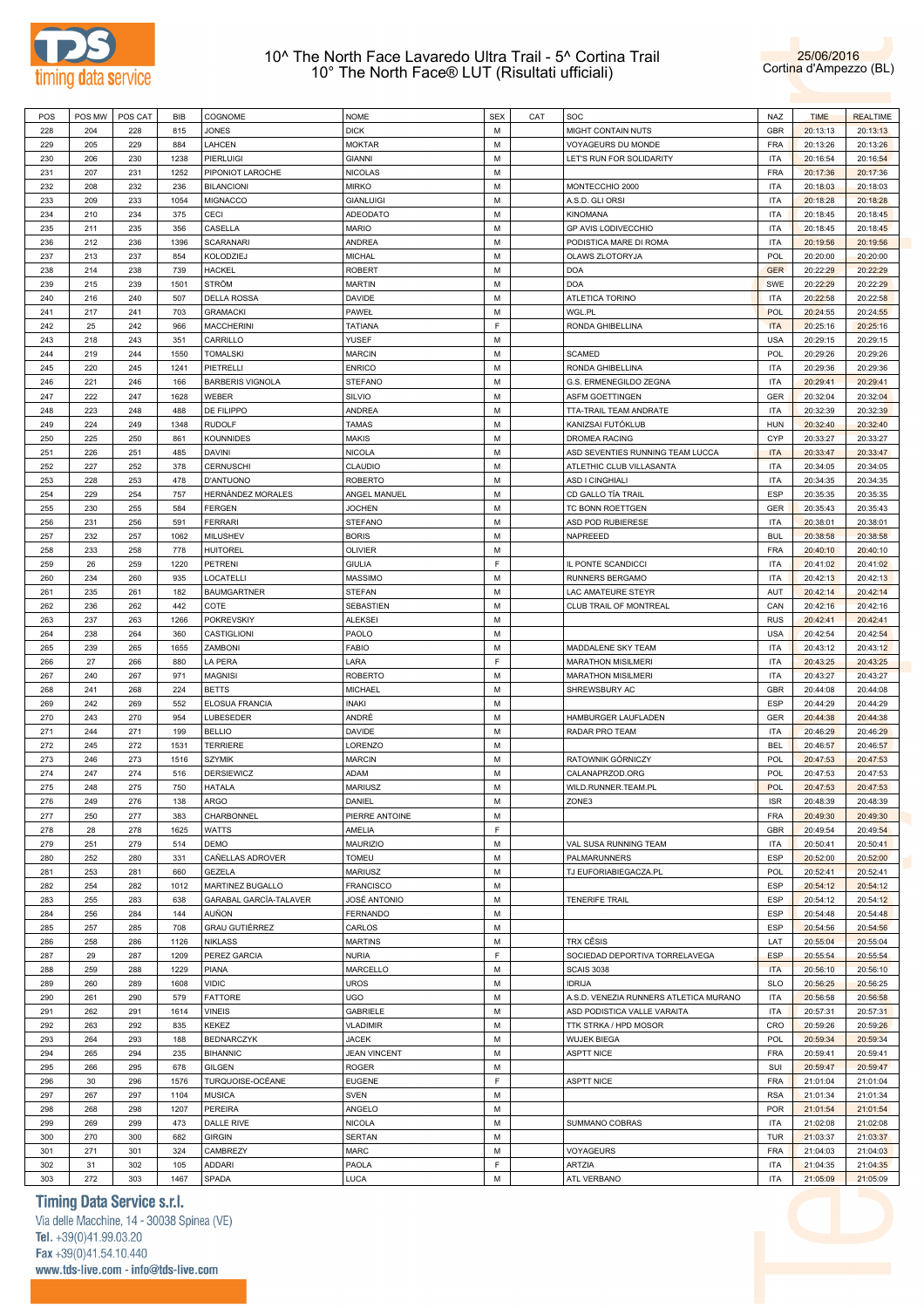



| POS        | POS MW    | POS CAT    | BIB  | COGNOME                 | <b>NOME</b>         | <b>SEX</b> | CAT | SOC                                    | NAZ        | <b>TIME</b> | <b>REALTIME</b> |
|------------|-----------|------------|------|-------------------------|---------------------|------------|-----|----------------------------------------|------------|-------------|-----------------|
| 228        | 204       | 228        | 815  | JONES                   | <b>DICK</b>         | М          |     | MIGHT CONTAIN NUTS                     | GBR        | 20:13:13    | 20:13:13        |
|            |           |            |      |                         |                     |            |     |                                        |            |             |                 |
| 229        | 205       | 229        | 884  | LAHCEN                  | <b>MOKTAR</b>       | М          |     | VOYAGEURS DU MONDE                     | <b>FRA</b> | 20:13:26    | 20:13:26        |
| 230        | 206       | 230        | 1238 | PIERLUIGI               | GIANNI              | М          |     | LET'S RUN FOR SOLIDARITY               | <b>ITA</b> | 20:16:54    | 20:16:54        |
| 231        | 207       | 231        | 1252 | PIPONIOT LAROCHE        | NICOLAS             | М          |     |                                        | <b>FRA</b> | 20:17:36    | 20:17:36        |
|            |           |            |      |                         |                     |            |     |                                        |            |             |                 |
| 232        | 208       | 232        | 236  | <b>BILANCIONI</b>       | MIRKO               | М          |     | MONTECCHIO 2000                        | <b>ITA</b> | 20:18:03    | 20:18:03        |
| 233        | 209       | 233        | 1054 | <b>MIGNACCO</b>         | <b>GIANLUIGI</b>    | M          |     | A.S.D. GLI ORSI                        | <b>ITA</b> | 20:18:28    | 20:18:28        |
| 234        | 210       | 234        | 375  | CECI                    | ADEODATO            | М          |     | <b>KINOMANA</b>                        | <b>ITA</b> | 20:18:45    | 20:18:45        |
|            |           |            |      |                         |                     |            |     |                                        |            |             |                 |
| 235        | 211       | 235        | 356  | CASELLA                 | MARIO               | M          |     | GP AVIS LODIVECCHIO                    | <b>ITA</b> | 20:18:45    | 20:18:45        |
| 236        | 212       | 236        | 1396 | <b>SCARANARI</b>        | ANDREA              | M          |     | PODISTICA MARE DI ROMA                 | <b>ITA</b> | 20:19:56    | 20:19:56        |
| 237        | 213       | 237        | 854  | KOLODZIEJ               | <b>MICHAL</b>       | M          |     | OLAWS ZLOTORYJA                        | <b>POL</b> | 20:20:00    | 20:20:00        |
| 238        | 214       | 238        | 739  | <b>HACKEL</b>           | ROBERT              | M          |     | <b>DOA</b>                             | <b>GER</b> | 20:22:29    | 20:22:29        |
|            |           |            |      |                         |                     |            |     |                                        |            |             |                 |
| 239        | 215       | 239        | 1501 | <b>STRÖM</b>            | <b>MARTIN</b>       | М          |     | <b>DOA</b>                             | SWE        | 20:22:29    | 20:22:29        |
| 240        | 216       | 240        | 507  | <b>DELLA ROSSA</b>      | DAVIDE              | М          |     | ATLETICA TORINO                        | ITA        | 20:22:58    | 20:22:58        |
| 241        | 217       | 241        | 703  | <b>GRAMACKI</b>         | PAWEŁ               | М          |     | WGL.PL                                 | <b>POL</b> | 20:24:55    | 20:24:55        |
|            |           |            |      |                         |                     |            |     |                                        |            |             |                 |
| 242        | 25        | 242        | 966  | <b>MACCHERINI</b>       | TATIANA             | F          |     | RONDA GHIBELLINA                       | <b>ITA</b> | 20:25:16    | 20:25:16        |
| 243        | 218       | 243        | 351  | CARRILLO                | YUSEF               | М          |     |                                        | <b>USA</b> | 20:29:15    | 20:29:15        |
| 244        | 219       | 244        | 1550 | <b>TOMALSKI</b>         | <b>MARCIN</b>       | М          |     | <b>SCAMED</b>                          | <b>POL</b> | 20:29:26    | 20:29:26        |
|            |           |            |      |                         |                     |            |     |                                        |            |             |                 |
| 245        | 220       | 245        | 1241 | PIETRELLI               | <b>ENRICO</b>       | M          |     | RONDA GHIBELLINA                       | <b>ITA</b> | 20:29:36    | 20:29:36        |
| 246        | 221       | 246        | 166  | <b>BARBERIS VIGNOLA</b> | STEFANO             | М          |     | G.S. ERMENEGILDO ZEGNA                 | <b>ITA</b> | 20:29:41    | 20:29:41        |
| 247        | 222       | 247        | 1628 | WEBER                   | SILVIO              | M          |     | <b>ASFM GOETTINGEN</b>                 | GER        | 20:32:04    | 20:32:04        |
|            |           |            |      |                         |                     |            |     |                                        |            |             |                 |
| 248        | 223       | 248        | 488  | DE FILIPPO              | ANDREA              | M          |     | TTA-TRAIL TEAM ANDRATE                 | <b>ITA</b> | 20:32:39    | 20:32:39        |
| 249        | 224       | 249        | 1348 | <b>RUDOLF</b>           | <b>TAMAS</b>        | M          |     | KANIZSAI FUTÓKLUB                      | <b>HUN</b> | 20:32:40    | 20:32:40        |
| 250        | 225       | 250        | 861  | <b>KOUNNIDES</b>        | MAKIS               | M          |     | DROMEA RACING                          | CYP        | 20:33:27    | 20:33:27        |
| 251        | 226       | 251        | 485  | <b>DAVINI</b>           | NICOLA              | М          |     | ASD SEVENTIES RUNNING TEAM LUCCA       | <b>ITA</b> | 20:33:47    | 20:33:47        |
|            |           |            |      |                         |                     |            |     |                                        |            |             |                 |
| 252        | 227       | 252        | 378  | <b>CERNUSCHI</b>        | CLAUDIO             | М          |     | ATLETHIC CLUB VILLASANTA               | <b>ITA</b> | 20:34:05    | 20:34:05        |
| 253        | 228       | 253        | 478  | D'ANTUONO               | <b>ROBERTO</b>      | М          |     | <b>ASD I CINGHIALI</b>                 | <b>ITA</b> | 20:34:35    | 20:34:35        |
| 254        | 229       | 254        | 757  | HERNÁNDEZ MORALES       | ANGEL MANUEL        | М          |     | CD GALLO TÍA TRAIL                     | ESP        | 20:35:35    | 20:35:35        |
|            |           |            |      |                         |                     |            |     |                                        |            |             |                 |
| 255        | 230       | 255        | 584  | FERGEN                  | <b>JOCHEN</b>       | М          |     | TC BONN ROETTGEN                       | GER        | 20:35:43    | 20:35:43        |
| 256        | 231       | 256        | 591  | <b>FERRARI</b>          | STEFANO             | М          |     | ASD POD RUBIERESE                      | ITA        | 20:38:01    | 20:38:01        |
| 257        | 232       | 257        | 1062 | MILUSHEV                | <b>BORIS</b>        | М          |     | NAPREEED                               | <b>BUL</b> | 20:38:58    | 20:38:58        |
|            |           |            |      |                         |                     |            |     |                                        |            |             |                 |
| 258        | 233       | 258        | 778  | <b>HUITOREL</b>         | OLIVIER             | М          |     |                                        | <b>FRA</b> | 20:40:10    | 20:40:10        |
| 259        | 26        | 259        | 1220 | PETRENI                 | GIULIA              | F          |     | IL PONTE SCANDICCI                     | <b>ITA</b> | 20:41:02    | 20:41:02        |
| 260        | 234       | 260        | 935  | LOCATELLI               | MASSIMO             | M          |     | RUNNERS BERGAMO                        | <b>ITA</b> | 20:42:13    | 20:42:13        |
|            |           |            |      |                         |                     |            |     |                                        |            |             |                 |
| 261        | 235       | 261        | 182  | <b>BAUMGARTNER</b>      | <b>STEFAN</b>       | M          |     | LAC AMATEURE STEYR                     | AUT        | 20:42:14    | 20:42:14        |
| 262        | 236       | 262        | 442  | COTE                    | SEBASTIEN           | M          |     | CLUB TRAIL OF MONTREAL                 | CAN        | 20:42:16    | 20:42:16        |
| 263        | 237       | 263        | 1266 | <b>POKREVSKIY</b>       | ALEKSEI             | М          |     |                                        | <b>RUS</b> | 20:42:41    | 20:42:41        |
|            |           |            |      |                         |                     |            |     |                                        |            |             |                 |
| 264        | 238       | 264        | 360  | CASTIGLIONI             | PAOLO               | M          |     |                                        | <b>USA</b> | 20:42:54    | 20:42:54        |
| 265        | 239       | 265        | 1655 | ZAMBONI                 | FABIO               | М          |     | MADDALENE SKY TEAM                     | <b>ITA</b> | 20:43:12    | 20:43:12        |
| 266        | 27        | 266        | 880  | LA PERA                 | LARA                | F          |     | <b>MARATHON MISILMERI</b>              | <b>ITA</b> | 20:43:25    | 20:43:25        |
|            |           |            |      |                         |                     |            |     |                                        |            |             |                 |
| 267        | 240       | 267        | 971  | <b>MAGNISI</b>          | <b>ROBERTO</b>      | М          |     | <b>MARATHON MISILMERI</b>              | <b>ITA</b> | 20:43:27    | 20:43:27        |
| 268        | 241       | 268        | 224  | <b>BETTS</b>            | MICHAEL             | М          |     | SHREWSBURY AC                          | GBR        | 20:44:08    | 20:44:08        |
| 269        | 242       | 269        | 552  | ELOSUA FRANCIA          | INAKI               | М          |     |                                        | ESP        | 20:44:29    | 20:44:29        |
| 270        |           | 270        |      | LUBESEDER               | ANDRÉ               | М          |     | HAMBURGER LAUFLADEN                    | GER        | 20:44:38    | 20:44:38        |
|            | 243       |            | 954  |                         |                     |            |     |                                        |            |             |                 |
| 271        | 244       | 271        | 199  | <b>BELLIO</b>           | DAVIDE              | M          |     | RADAR PRO TEAM                         | <b>ITA</b> | 20:46:29    | 20:46:29        |
| 272        | 245       | 272        | 1531 | <b>TERRIERE</b>         | LORENZO             | М          |     |                                        | <b>BEL</b> | 20:46:57    | 20:46:57        |
| 273        |           | 273        | 1516 | <b>SZYMIK</b>           | <b>MARCIN</b>       | M          |     | RATOWNIK GÓRNICZY                      | <b>POL</b> | 20:47:53    | 20:47:53        |
|            | 246       |            |      |                         |                     |            |     |                                        |            |             |                 |
| 274        | 247       | 274        | 516  | <b>DERSIEWICZ</b>       | ADAM                | M          |     | CALANAPRZOD.ORG                        | <b>POL</b> | 20:47:53    | 20:47:53        |
| 275        | 248       | 275        | 750  | HATALA                  | <b>MARIUSZ</b>      | M          |     | WILD.RUNNER.TEAM.PL                    | <b>POL</b> | 20:47:53    | 20:47:53        |
| 276        | 249       | 276        | 138  | ARGO                    | DANIEL              | М          |     | ZONE3                                  | <b>ISR</b> | 20:48:39    | 20:48:39        |
|            |           |            |      |                         |                     |            |     |                                        |            |             |                 |
| 277        | 250       | 277        | 383  | CHARBONNEL              | PIERRE ANTOINE      | М          |     |                                        | <b>FRA</b> | 20:49:30    | 20:49:30        |
| 278        | 28        | 278        | 1625 | <b>WATTS</b>            | AMELIA              | F          |     |                                        | GBR        | 20:49:54    | 20:49:54        |
| 279        | 251       | 279        | 514  | DEMO                    | <b>MAURIZIO</b>     | М          |     | VAL SUSA RUNNING TEAM                  | <b>ITA</b> | 20:50:41    | 20:50:41        |
|            |           |            |      |                         |                     |            |     |                                        |            |             |                 |
| 280        | 252       | 280        | 331  | CAÑELLAS ADROVER        | TOMEU               | М          |     | PALMARUNNERS                           | ESP        | 20:52:00    | 20:52:00        |
| 281        | 253       | 281        | 660  | GEZELA                  | <b>MARIUSZ</b>      | М          |     | TJ EUFORIABIEGACZA.PL                  | POL        | 20:52:41    | 20:52:41        |
| 282        | 254       | 282        | 1012 | MARTINEZ BUGALLO        | <b>FRANCISCO</b>    | М          |     |                                        | ESP        | 20:54:12    | 20:54:12        |
|            |           |            |      |                         |                     |            |     |                                        |            |             |                 |
| 283        | 255       | 283        | 638  | GARABAL GARCÍA-TALAVER  | <b>JOSÉ ANTONIO</b> | М          |     | <b>TENERIFE TRAIL</b>                  | ESP        | 20:54:12    | 20:54:12        |
| 284        | 256       | 284        | 144  | AUÑON                   | FERNANDO            | M          |     |                                        | ESP        | 20:54:48    | 20:54:48        |
| 285        | 257       | 285        | 708  | <b>GRAU GUTIÉRREZ</b>   | CARLOS              | М          |     |                                        | <b>ESP</b> | 20:54:56    | 20:54:56        |
|            |           |            |      |                         | <b>MARTINS</b>      | M          |     | <b>TRX CĒSIS</b>                       |            |             |                 |
| 286        | 258       | 286        | 1126 | <b>NIKLASS</b>          |                     |            |     |                                        | LAT        | 20:55:04    | 20:55:04        |
| 287        | 29        | 287        | 1209 | PEREZ GARCIA            | NURIA               | F.         |     | SOCIEDAD DEPORTIVA TORRELAVEGA         | <b>ESP</b> | 20:55:54    | 20:55:54        |
| 288        | 259       | 288        | 1229 | PIANA                   | MARCELLO            | M          |     | <b>SCAIS 3038</b>                      | <b>ITA</b> | 20:56:10    | 20:56:10        |
|            |           |            |      | <b>VIDIC</b>            | <b>UROS</b>         | М          |     | <b>IDRIJA</b>                          |            |             |                 |
| 289        | 260       | 289        | 1608 |                         |                     |            |     |                                        | <b>SLO</b> | 20:56:25    | 20:56:25        |
| 290        | 261       | 290        | 579  | <b>FATTORE</b>          | UGO                 | М          |     | A.S.D. VENEZIA RUNNERS ATLETICA MURANO | <b>ITA</b> | 20:56:58    | 20:56:58        |
| 291        | 262       | 291        | 1614 | <b>VINEIS</b>           | GABRIELE            | М          |     | ASD PODISTICA VALLE VARAITA            | <b>ITA</b> | 20:57:31    | 20:57:31        |
|            |           |            |      |                         |                     |            |     |                                        |            |             |                 |
| 292        | 263       | 292        | 835  | <b>KEKEZ</b>            | <b>VLADIMIR</b>     | М          |     | TTK STRKA / HPD MOSOR                  | CRO        | 20:59:26    | 20:59:26        |
| 293        | 264       | 293        | 188  | <b>BEDNARCZYK</b>       | <b>JACEK</b>        | М          |     | <b>WUJEK BIEGA</b>                     | <b>POL</b> | 20:59:34    | 20:59:34        |
| 294        | 265       | 294        | 235  | <b>BIHANNIC</b>         | <b>JEAN VINCENT</b> | М          |     | <b>ASPTT NICE</b>                      | <b>FRA</b> | 20:59:41    | 20:59:41        |
| 295        |           |            |      |                         | <b>ROGER</b>        | М          |     |                                        |            |             | 20:59:47        |
|            | 266       | 295        | 678  | <b>GILGEN</b>           |                     |            |     |                                        | SUI        | 20:59:47    |                 |
| 296        | 30        | 296        | 1576 | TURQUOISE-OCÉANE        | <b>EUGENE</b>       | F          |     | <b>ASPTT NICE</b>                      | <b>FRA</b> | 21:01:04    | 21:01:04        |
| 297        | 267       | 297        | 1104 | <b>MUSICA</b>           | SVEN                | М          |     |                                        | <b>RSA</b> | 21:01:34    | 21:01:34        |
| 298        | 268       | 298        | 1207 | PEREIRA                 | ANGELO              | М          |     |                                        | <b>POR</b> | 21:01:54    | 21:01:54        |
|            |           |            |      |                         |                     |            |     |                                        |            |             |                 |
| 299        | 269       | 299        | 473  | DALLE RIVE              | NICOLA              | М          |     | SUMMANO COBRAS                         | <b>ITA</b> | 21:02:08    | 21:02:08        |
| 300        | 270       | 300        | 682  | <b>GIRGIN</b>           | <b>SERTAN</b>       | М          |     |                                        | TUR        | 21:03:37    | 21:03:37        |
| 301        | 271       | 301        | 324  | CAMBREZY                | MARC                | М          |     | VOYAGEURS                              | <b>FRA</b> | 21:04:03    | 21:04:03        |
|            |           |            |      |                         |                     |            |     |                                        |            |             |                 |
|            |           |            |      | ADDARI                  | PAOLA               | F          |     | ARTZIA                                 | <b>ITA</b> | 21:04:35    | 21:04:35        |
| 302<br>303 | 31<br>272 | 302<br>303 | 105  | SPADA                   | LUCA                | М          |     | ATL VERBANO                            | <b>ITA</b> |             | 21:05:09        |

## **Timing Data Service s.r.l.**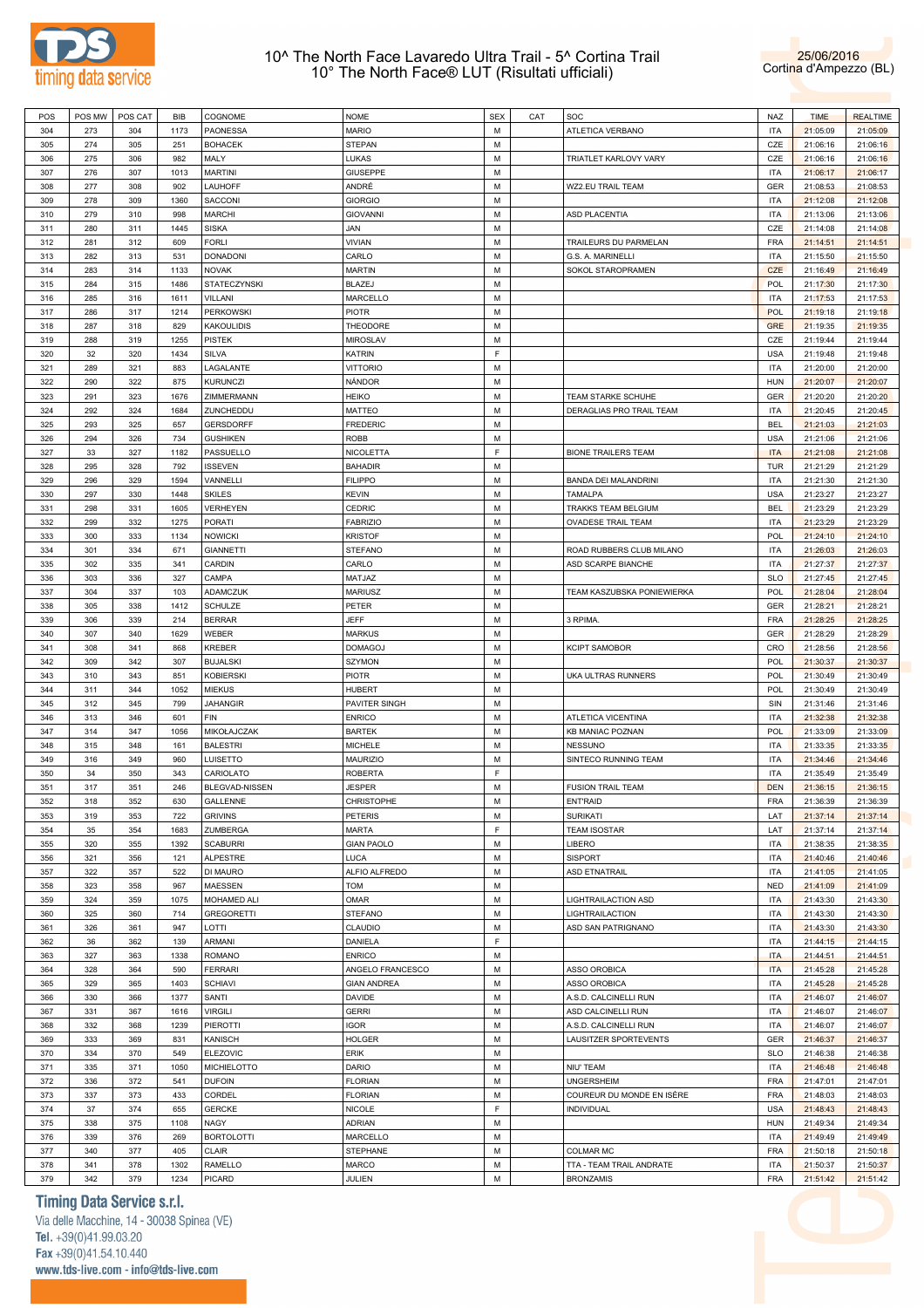



| POS | POS MW | POS CAT | BIB  | COGNOME           | <b>NOME</b>        | <b>SEX</b> | CAT | SOC                          | NAZ        | <b>TIME</b> | <b>REALTIME</b> |
|-----|--------|---------|------|-------------------|--------------------|------------|-----|------------------------------|------------|-------------|-----------------|
| 304 | 273    | 304     | 1173 | PAONESSA          | <b>MARIO</b>       | M          |     | ATLETICA VERBANO             | <b>ITA</b> | 21:05:09    | 21:05:09        |
| 305 | 274    | 305     | 251  | <b>BOHACEK</b>    | <b>STEPAN</b>      | M          |     |                              | CZE        | 21:06:16    | 21:06:16        |
| 306 | 275    | 306     | 982  | MALY              | LUKAS              | M          |     | <b>TRIATLET KARLOVY VARY</b> | CZE        | 21:06:16    | 21:06:16        |
|     |        |         |      |                   |                    |            |     |                              |            |             |                 |
| 307 | 276    | 307     | 1013 | <b>MARTINI</b>    | <b>GIUSEPPE</b>    | M          |     |                              | <b>ITA</b> | 21:06:17    | 21:06:17        |
| 308 | 277    | 308     | 902  | LAUHOFF           | ANDRÉ              | M          |     | WZ2.EU TRAIL TEAM            | <b>GER</b> | 21:08:53    | 21:08:53        |
| 309 | 278    | 309     | 1360 | <b>SACCONI</b>    | <b>GIORGIO</b>     | M          |     |                              | <b>ITA</b> | 21:12:08    | 21:12:08        |
| 310 | 279    | 310     | 998  | <b>MARCHI</b>     | <b>GIOVANNI</b>    | M          |     | <b>ASD PLACENTIA</b>         | <b>ITA</b> | 21:13:06    | 21:13:06        |
| 311 | 280    | 311     | 1445 | <b>SISKA</b>      | JAN                | M          |     |                              | CZE        | 21:14:08    | 21:14:08        |
| 312 | 281    | 312     | 609  | <b>FORLI</b>      | <b>VIVIAN</b>      | M          |     | TRAILEURS DU PARMELAN        | <b>FRA</b> | 21:14:51    | 21:14:51        |
| 313 | 282    | 313     | 531  | <b>DONADONI</b>   | CARLO              | M          |     | G.S. A. MARINELLI            | <b>ITA</b> | 21:15:50    | 21:15:50        |
| 314 | 283    | 314     | 1133 | <b>NOVAK</b>      | <b>MARTIN</b>      | M          |     | SOKOL STAROPRAMEN            | CZE        | 21:16:49    | 21:16:49        |
|     |        |         |      |                   |                    |            |     |                              |            |             |                 |
| 315 | 284    | 315     | 1486 | STATECZYNSKI      | <b>BLAZEJ</b>      | M          |     |                              | POL        | 21:17:30    | 21:17:30        |
| 316 | 285    | 316     | 1611 | VILLANI           | MARCELLO           | M          |     |                              | <b>ITA</b> | 21:17:53    | 21:17:53        |
| 317 | 286    | 317     | 1214 | <b>PERKOWSKI</b>  | <b>PIOTR</b>       | M          |     |                              | POL        | 21:19:18    | 21:19:18        |
| 318 | 287    | 318     | 829  | <b>KAKOULIDIS</b> | THEODORE           | M          |     |                              | <b>GRE</b> | 21:19:35    | 21:19:35        |
| 319 | 288    | 319     | 1255 | <b>PISTEK</b>     | <b>MIROSLAV</b>    | M          |     |                              | CZE        | 21:19:44    | 21:19:44        |
| 320 | 32     | 320     | 1434 | SILVA             | <b>KATRIN</b>      | F          |     |                              | <b>USA</b> | 21:19:48    | 21:19:48        |
| 321 | 289    | 321     | 883  | LAGALANTE         | <b>VITTORIO</b>    | M          |     |                              | <b>ITA</b> | 21:20:00    | 21:20:00        |
| 322 | 290    | 322     | 875  | <b>KURUNCZI</b>   |                    | M          |     |                              | <b>HUN</b> |             |                 |
|     |        |         |      |                   | NÁNDOR             |            |     |                              |            | 21:20:07    | 21:20:07        |
| 323 | 291    | 323     | 1676 | ZIMMERMANN        | <b>HEIKO</b>       | M          |     | TEAM STARKE SCHUHE           | <b>GER</b> | 21:20:20    | 21:20:20        |
| 324 | 292    | 324     | 1684 | ZUNCHEDDU         | <b>MATTEO</b>      | M          |     | DERAGLIAS PRO TRAIL TEAM     | <b>ITA</b> | 21:20:45    | 21:20:45        |
| 325 | 293    | 325     | 657  | <b>GERSDORFF</b>  | <b>FREDERIC</b>    | M          |     |                              | <b>BEL</b> | 21:21:03    | 21:21:03        |
| 326 | 294    | 326     | 734  | <b>GUSHIKEN</b>   | <b>ROBB</b>        | M          |     |                              | <b>USA</b> | 21:21:06    | 21:21:06        |
| 327 | 33     | 327     | 1182 | PASSUELLO         | NICOLETTA          | E          |     | <b>BIONE TRAILERS TEAM</b>   | <b>ITA</b> | 21:21:08    | 21:21:08        |
| 328 | 295    | 328     | 792  | <b>ISSEVEN</b>    | <b>BAHADIR</b>     | M          |     |                              | <b>TUR</b> | 21:21:29    | 21:21:29        |
|     |        |         |      |                   |                    |            |     |                              |            |             |                 |
| 329 | 296    | 329     | 1594 | VANNELLI          | <b>FILIPPO</b>     | M          |     | BANDA DEI MALANDRINI         | <b>ITA</b> | 21:21:30    | 21:21:30        |
| 330 | 297    | 330     | 1448 | <b>SKILES</b>     | <b>KEVIN</b>       | M          |     | <b>TAMALPA</b>               | <b>USA</b> | 21:23:27    | 21:23:27        |
| 331 | 298    | 331     | 1605 | VERHEYEN          | <b>CEDRIC</b>      | M          |     | TRAKKS TEAM BELGIUM          | <b>BEL</b> | 21:23:29    | 21:23:29        |
| 332 | 299    | 332     | 1275 | <b>PORATI</b>     | <b>FABRIZIO</b>    | M          |     | OVADESE TRAIL TEAM           | <b>ITA</b> | 21:23:29    | 21:23:29        |
| 333 | 300    | 333     | 1134 | <b>NOWICKI</b>    | <b>KRISTOF</b>     | M          |     |                              | POL        | 21:24:10    | 21:24:10        |
| 334 | 301    | 334     | 671  | <b>GIANNETTI</b>  | STEFANO            | M          |     | ROAD RUBBERS CLUB MILANO     | <b>ITA</b> | 21:26:03    | 21:26:03        |
| 335 | 302    | 335     | 341  | CARDIN            | CARLO              | M          |     | ASD SCARPE BIANCHE           | <b>ITA</b> | 21:27:37    | 21:27:37        |
|     |        |         |      |                   |                    |            |     |                              |            |             |                 |
| 336 | 303    | 336     | 327  | CAMPA             | MATJAZ             | M          |     |                              | <b>SLO</b> | 21:27:45    | 21:27:45        |
| 337 | 304    | 337     | 103  | ADAMCZUK          | <b>MARIUSZ</b>     | M          |     | TEAM KASZUBSKA PONIEWIERKA   | POL        | 21:28:04    | 21:28:04        |
| 338 | 305    | 338     | 1412 | SCHULZE           | PETER              | M          |     |                              | <b>GER</b> | 21:28:21    | 21:28:21        |
| 339 | 306    | 339     | 214  | <b>BERRAR</b>     | <b>JEFF</b>        | M          |     | 3 RPIMA.                     | <b>FRA</b> | 21:28:25    | 21:28:25        |
| 340 | 307    | 340     | 1629 | WEBER             | <b>MARKUS</b>      | M          |     |                              | <b>GER</b> | 21:28:29    | 21:28:29        |
| 341 | 308    | 341     | 868  | <b>KREBER</b>     | <b>DOMAGOJ</b>     | M          |     | <b>KCIPT SAMOBOR</b>         | CRO        | 21:28:56    | 21:28:56        |
| 342 | 309    | 342     | 307  | <b>BUJALSKI</b>   | <b>SZYMON</b>      | M          |     |                              | POL        | 21:30:37    | 21:30:37        |
| 343 | 310    | 343     | 851  |                   | <b>PIOTR</b>       | M          |     |                              | POL        |             |                 |
|     |        |         |      | <b>KOBIERSKI</b>  |                    |            |     | UKA ULTRAS RUNNERS           |            | 21:30:49    | 21:30:49        |
| 344 | 311    | 344     | 1052 | <b>MIEKUS</b>     | <b>HUBERT</b>      | M          |     |                              | POL        | 21:30:49    | 21:30:49        |
| 345 | 312    | 345     | 799  | <b>JAHANGIR</b>   | PAVITER SINGH      | M          |     |                              | SIN        | 21:31:46    | 21:31:46        |
| 346 | 313    | 346     | 601  | <b>FIN</b>        | <b>ENRICO</b>      | M          |     | ATLETICA VICENTINA           | <b>ITA</b> | 21:32:38    | 21:32:38        |
| 347 | 314    | 347     | 1056 | MIKOŁAJCZAK       | <b>BARTEK</b>      | M          |     | <b>KB MANIAC POZNAN</b>      | POL        | 21:33:09    | 21:33:09        |
| 348 | 315    | 348     | 161  | <b>BALESTRI</b>   | <b>MICHELE</b>     | M          |     | <b>NESSUNO</b>               | <b>ITA</b> | 21:33:35    | 21:33:35        |
| 349 | 316    | 349     | 960  | LUISETTO          | <b>MAURIZIO</b>    | M          |     | SINTECO RUNNING TEAM         | <b>ITA</b> | 21:34:46    | 21:34:46        |
| 350 | 34     | 350     | 343  | CARIOLATO         | <b>ROBERTA</b>     | F          |     |                              | <b>ITA</b> | 21:35:49    | 21:35:49        |
|     | 317    | 351     | 246  |                   |                    | M          |     |                              | <b>DEN</b> |             |                 |
| 351 |        |         |      | BLEGVAD-NISSEN    | <b>JESPER</b>      |            |     | <b>FUSION TRAIL TEAM</b>     |            | 21:36:15    | 21:36:15        |
| 352 | 318    | 352     | 630  | GALLENNE          | CHRISTOPHE         | M          |     | <b>ENT'RAID</b>              | <b>FRA</b> | 21:36:39    | 21:36:39        |
| 353 | 319    | 353     | 722  | <b>GRIVINS</b>    | <b>PETERIS</b>     | M          |     | <b>SURIKATI</b>              | LAT        | 21:37:14    | 21:37:14        |
| 354 | 35     | 354     | 1683 | ZUMBERGA          | <b>MARTA</b>       | E          |     | <b>TEAM ISOSTAR</b>          | LAT        | 21:37:14    | 21:37:14        |
| 355 | 320    | 355     | 1392 | <b>SCABURRI</b>   | <b>GIAN PAOLO</b>  | M          |     | LIBERO                       | <b>ITA</b> | 21:38:35    | 21:38:35        |
| 356 | 321    | 356     | 121  | <b>ALPESTRE</b>   | <b>LUCA</b>        | M          |     | <b>SISPORT</b>               | <b>ITA</b> | 21:40:46    | 21:40:46        |
| 357 | 322    | 357     | 522  | DI MAURO          | ALFIO ALFREDO      | M          |     | ASD ETNATRAIL                | <b>ITA</b> | 21:41:05    | 21:41:05        |
| 358 | 323    | 358     | 967  | MAESSEN           | <b>TOM</b>         | M          |     |                              | <b>NED</b> | 21:41:09    | 21:41:09        |
|     |        |         |      |                   |                    |            |     |                              |            |             |                 |
| 359 | 324    | 359     | 1075 | MOHAMED ALI       | OMAR               | M          |     | LIGHTRAILACTION ASD          | <b>ITA</b> | 21:43:30    | 21:43:30        |
| 360 | 325    | 360     | 714  | <b>GREGORETTI</b> | <b>STEFANO</b>     | M          |     | LIGHTRAILACTION              | <b>ITA</b> | 21:43:30    | 21:43:30        |
| 361 | 326    | 361     | 947  | LOTTI             | CLAUDIO            | M          |     | ASD SAN PATRIGNANO           | <b>ITA</b> | 21:43:30    | 21:43:30        |
| 362 | 36     | 362     | 139  | ARMANI            | DANIELA            | E          |     |                              | <b>ITA</b> | 21:44:15    | 21:44:15        |
| 363 | 327    | 363     | 1338 | <b>ROMANO</b>     | <b>ENRICO</b>      | M          |     |                              | <b>ITA</b> | 21:44:51    | 21:44:51        |
| 364 | 328    | 364     | 590  | <b>FERRARI</b>    | ANGELO FRANCESCO   | M          |     | <b>ASSO OROBICA</b>          | <b>ITA</b> | 21:45:28    | 21:45:28        |
| 365 | 329    | 365     | 1403 | <b>SCHIAVI</b>    | <b>GIAN ANDREA</b> | M          |     | ASSO OROBICA                 | <b>ITA</b> | 21:45:28    | 21:45:28        |
|     |        |         |      |                   |                    |            |     |                              |            |             |                 |
| 366 | 330    | 366     | 1377 | SANTI             | <b>DAVIDE</b>      | M          |     | A.S.D. CALCINELLI RUN        | <b>ITA</b> | 21:46:07    | 21:46:07        |
| 367 | 331    | 367     | 1616 | VIRGILI           | <b>GERRI</b>       | M          |     | ASD CALCINELLI RUN           | <b>ITA</b> | 21:46:07    | 21:46:07        |
| 368 | 332    | 368     | 1239 | <b>PIEROTTI</b>   | <b>IGOR</b>        | M          |     | A.S.D. CALCINELLI RUN        | <b>ITA</b> | 21:46:07    | 21:46:07        |
| 369 | 333    | 369     | 831  | <b>KANISCH</b>    | <b>HOLGER</b>      | M          |     | LAUSITZER SPORTEVENTS        | GER        | 21:46:37    | 21:46:37        |
| 370 | 334    | 370     | 549  | <b>ELEZOVIC</b>   | ERIK               | M          |     |                              | <b>SLO</b> | 21:46:38    | 21:46:38        |
| 371 | 335    | 371     | 1050 | MICHIELOTTO       | DARIO              | M          |     | NIU' TEAM                    | <b>ITA</b> | 21:46:48    | 21:46:48        |
| 372 | 336    | 372     | 541  | <b>DUFOIN</b>     | <b>FLORIAN</b>     | M          |     | <b>UNGERSHEIM</b>            | <b>FRA</b> | 21:47:01    | 21:47:01        |
|     |        |         |      |                   |                    |            |     |                              |            |             |                 |
| 373 | 337    | 373     | 433  | CORDEL            | <b>FLORIAN</b>     | M          |     | COUREUR DU MONDE EN ISÈRE    | <b>FRA</b> | 21:48:03    | 21:48:03        |
| 374 | 37     | 374     | 655  | <b>GERCKE</b>     | NICOLE             | E          |     | INDIVIDUAL                   | <b>USA</b> | 21:48:43    | 21:48:43        |
| 375 | 338    | 375     | 1108 | <b>NAGY</b>       | <b>ADRIAN</b>      | M          |     |                              | <b>HUN</b> | 21:49:34    | 21:49:34        |
| 376 | 339    | 376     | 269  | <b>BORTOLOTTI</b> | MARCELLO           | M          |     |                              | <b>ITA</b> | 21:49:49    | 21:49:49        |
| 377 | 340    | 377     | 405  | <b>CLAIR</b>      | <b>STEPHANE</b>    | M          |     | <b>COLMAR MC</b>             | <b>FRA</b> | 21:50:18    | 21:50:18        |
| 378 | 341    | 378     | 1302 | <b>RAMELLO</b>    | <b>MARCO</b>       | M          |     | TTA - TEAM TRAIL ANDRATE     | <b>ITA</b> | 21:50:37    | 21:50:37        |
| 379 | 342    | 379     | 1234 | <b>PICARD</b>     | JULIEN             | М          |     | <b>BRONZAMIS</b>             | <b>FRA</b> | 21:51:42    | 21:51:42        |
|     |        |         |      |                   |                    |            |     |                              |            |             |                 |

## **Timing Data Service s.r.l.**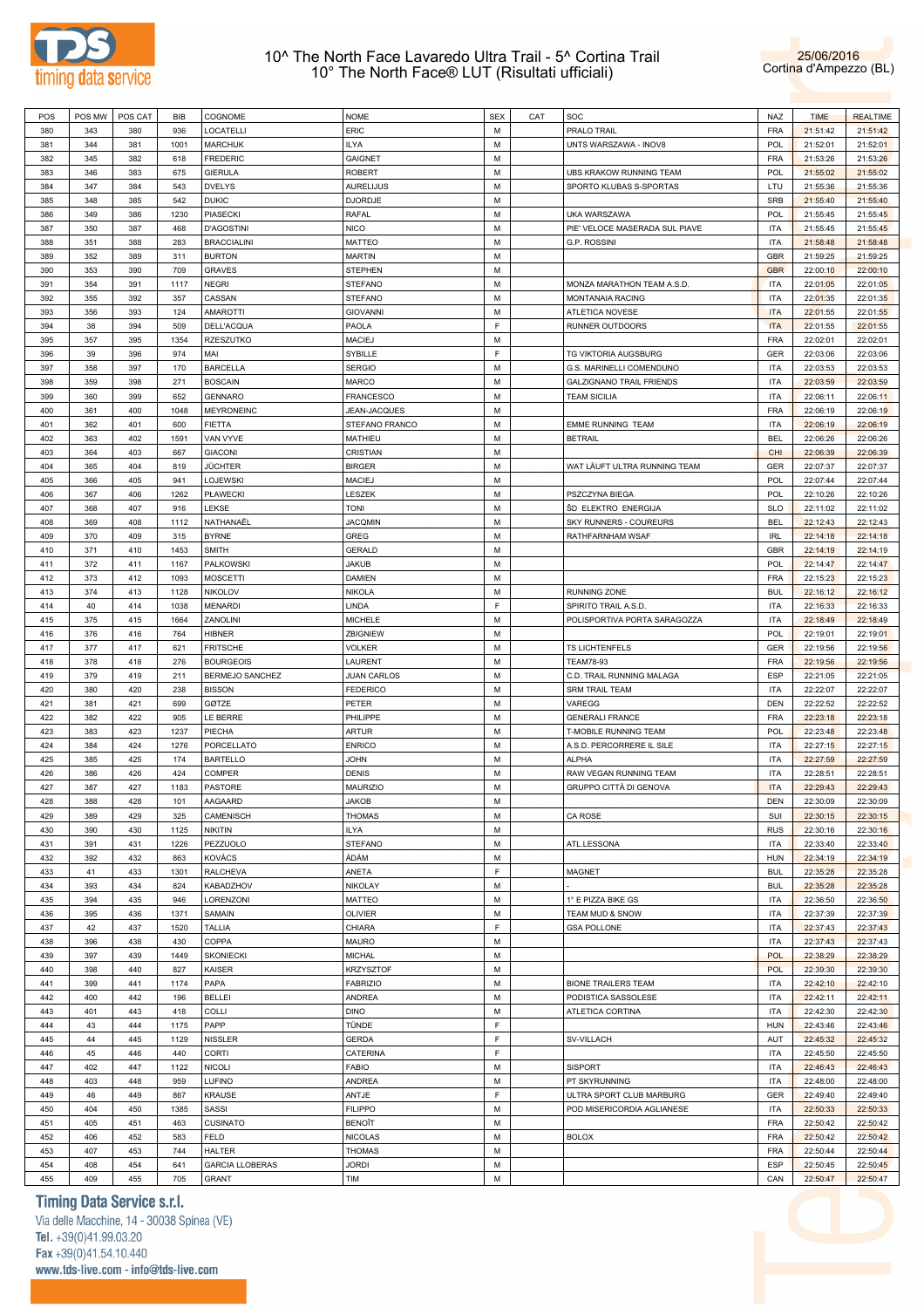



| POS | POS MW | POS CAT | BIB  | COGNOME                | <b>NOME</b>        | <b>SEX</b> | CAT | SOC                             | NAZ        | <b>TIME</b> | <b>REALTIME</b> |
|-----|--------|---------|------|------------------------|--------------------|------------|-----|---------------------------------|------------|-------------|-----------------|
| 380 | 343    | 380     | 936  | LOCATELLI              | ERIC               | М          |     | PRALO TRAIL                     | <b>FRA</b> | 21:51:42    | 21:51:42        |
| 381 | 344    | 381     | 1001 | <b>MARCHUK</b>         | <b>ILYA</b>        | M          |     | UNTS WARSZAWA - INOV8           | <b>POL</b> | 21:52:01    | 21:52:01        |
| 382 | 345    | 382     | 618  | <b>FREDERIC</b>        | <b>GAIGNET</b>     | М          |     |                                 | <b>FRA</b> | 21:53:26    | 21:53:26        |
|     |        |         |      |                        |                    |            |     |                                 |            |             |                 |
| 383 | 346    | 383     | 675  | <b>GIERULA</b>         | <b>ROBERT</b>      | М          |     | UBS KRAKOW RUNNING TEAM         | POL        | 21:55:02    | 21:55:02        |
| 384 | 347    | 384     | 543  | <b>DVELYS</b>          | <b>AURELIJUS</b>   | M          |     | SPORTO KLUBAS S-SPORTAS         | LTU        | 21:55:36    | 21:55:36        |
| 385 | 348    | 385     | 542  | <b>DUKIC</b>           | <b>DJORDJE</b>     | М          |     |                                 | SRB        | 21:55:40    | 21:55:40        |
| 386 | 349    | 386     | 1230 | PIASECKI               | RAFAL              | М          |     | UKA WARSZAWA                    | POL        | 21:55:45    | 21:55:45        |
| 387 | 350    | 387     | 468  | <b>D'AGOSTINI</b>      | <b>NICO</b>        | M          |     | PIE' VELOCE MASERADA SUL PIAVE  | <b>ITA</b> | 21:55:45    | 21:55:45        |
| 388 | 351    | 388     | 283  | <b>BRACCIALINI</b>     | <b>MATTEO</b>      | М          |     | G.P. ROSSINI                    | <b>ITA</b> | 21:58:48    | 21:58:48        |
| 389 | 352    | 389     | 311  | <b>BURTON</b>          | <b>MARTIN</b>      | М          |     |                                 | <b>GBR</b> | 21:59:25    | 21:59:25        |
| 390 | 353    | 390     | 709  | <b>GRAVES</b>          | <b>STEPHEN</b>     | M          |     |                                 | <b>GBR</b> | 22:00:10    | 22:00:10        |
| 391 | 354    | 391     | 1117 | NEGRI                  | <b>STEFANO</b>     | М          |     | MONZA MARATHON TEAM A.S.D.      | <b>ITA</b> | 22:01:05    | 22:01:05        |
|     |        |         |      |                        |                    |            |     |                                 |            |             |                 |
| 392 | 355    | 392     | 357  | CASSAN                 | <b>STEFANO</b>     | М          |     | MONTANAIA RACING                | <b>ITA</b> | 22:01:35    | 22:01:35        |
| 393 | 356    | 393     | 124  | <b>AMAROTTI</b>        | <b>GIOVANNI</b>    | M          |     | ATLETICA NOVESE                 | <b>ITA</b> | 22:01:55    | 22:01:55        |
| 394 | 38     | 394     | 509  | DELL'ACQUA             | PAOLA              | F          |     | RUNNER OUTDOORS                 | <b>ITA</b> | 22:01:55    | 22:01:55        |
| 395 | 357    | 395     | 1354 | RZESZUTKO              | <b>MACIEJ</b>      | М          |     |                                 | <b>FRA</b> | 22:02:01    | 22:02:01        |
| 396 | 39     | 396     | 974  | MAI                    | SYBILLE            | E          |     | TG VIKTORIA AUGSBURG            | GER        | 22:03:06    | 22:03:06        |
| 397 | 358    | 397     | 170  | <b>BARCELLA</b>        | <b>SERGIO</b>      | М          |     | G.S. MARINELLI COMENDUNO        | <b>ITA</b> | 22:03:53    | 22:03:53        |
| 398 | 359    | 398     | 271  | <b>BOSCAIN</b>         | <b>MARCO</b>       | M          |     | <b>GALZIGNANO TRAIL FRIENDS</b> | <b>ITA</b> | 22:03:59    | 22:03:59        |
| 399 | 360    | 399     | 652  | <b>GENNARO</b>         | <b>FRANCESCO</b>   | M          |     | <b>TEAM SICILIA</b>             | <b>ITA</b> | 22:06:11    | 22:06:11        |
| 400 | 361    | 400     | 1048 | MEYRONEINC             | JEAN-JACQUES       | М          |     |                                 | <b>FRA</b> | 22:06:19    | 22:06:19        |
|     |        |         |      |                        | STEFANO FRANCO     | M          |     |                                 | <b>ITA</b> |             |                 |
| 401 | 362    | 401     | 600  | <b>FIETTA</b>          |                    |            |     | EMME RUNNING TEAM               |            | 22:06:19    | 22:06:19        |
| 402 | 363    | 402     | 1591 | VAN VYVE               | MATHIEU            | M          |     | <b>BETRAIL</b>                  | <b>BEL</b> | 22:06:26    | 22:06:26        |
| 403 | 364    | 403     | 667  | <b>GIACONI</b>         | CRISTIAN           | М          |     |                                 | <b>CHI</b> | 22:06:39    | 22:06:39        |
| 404 | 365    | 404     | 819  | JÜCHTER                | <b>BIRGER</b>      | M          |     | WAT LÄUFT ULTRA RUNNING TEAM    | GER        | 22:07:37    | 22:07:37        |
| 405 | 366    | 405     | 941  | LOJEWSKI               | <b>MACIEJ</b>      | M          |     |                                 | POL        | 22:07:44    | 22:07:44        |
| 406 | 367    | 406     | 1262 | PŁAWECKI               | LESZEK             | М          |     | PSZCZYNA BIEGA                  | <b>POL</b> | 22:10:26    | 22:10:26        |
| 407 | 368    | 407     | 916  | LEKSE                  | <b>TONI</b>        | М          |     | ŠD ELEKTRO ENERGIJA             | <b>SLO</b> | 22:11:02    | 22:11:02        |
| 408 | 369    | 408     | 1112 | NATHANAËL              | <b>JACQMIN</b>     | M          |     | SKY RUNNERS - COUREURS          | <b>BEL</b> | 22:12:43    | 22:12:43        |
| 409 | 370    | 409     | 315  | <b>BYRNE</b>           | GREG               | М          |     | RATHFARNHAM WSAF                | <b>IRL</b> | 22:14:18    | 22:14:18        |
|     |        |         |      |                        |                    | М          |     |                                 |            |             |                 |
| 410 | 371    | 410     | 1453 | SMITH                  | <b>GERALD</b>      |            |     |                                 | GBR        | 22:14:19    | 22:14:19        |
| 411 | 372    | 411     | 1167 | PALKOWSKI              | JAKUB              | M          |     |                                 | POL        | 22:14:47    | 22:14:47        |
| 412 | 373    | 412     | 1093 | MOSCETTI               | DAMIEN             | М          |     |                                 | <b>FRA</b> | 22:15:23    | 22:15:23        |
| 413 | 374    | 413     | 1128 | <b>NIKOLOV</b>         | NIKOLA             | М          |     | RUNNING ZONE                    | <b>BUL</b> | 22:16:12    | 22:16:12        |
| 414 | 40     | 414     | 1038 | <b>MENARDI</b>         | LINDA              | F          |     | SPIRITO TRAIL A.S.D.            | <b>ITA</b> | 22:16:33    | 22:16:33        |
| 415 | 375    | 415     | 1664 | ZANOLINI               | <b>MICHELE</b>     | М          |     | POLISPORTIVA PORTA SARAGOZZA    | <b>ITA</b> | 22:18:49    | 22:18:49        |
| 416 | 376    | 416     | 764  | HIBNER                 | ZBIGNIEW           | M          |     |                                 | POL        | 22:19:01    | 22:19:01        |
| 417 | 377    | 417     | 621  | <b>FRITSCHE</b>        | <b>VOLKER</b>      | M          |     | TS LICHTENFELS                  | GER        | 22:19:56    | 22:19:56        |
| 418 | 378    | 418     | 276  | <b>BOURGEOIS</b>       | LAURENT            | М          |     | <b>TEAM78-93</b>                | <b>FRA</b> | 22:19:56    | 22:19:56        |
| 419 | 379    | 419     | 211  | BERMEJO SANCHEZ        | <b>JUAN CARLOS</b> | M          |     | C.D. TRAIL RUNNING MALAGA       | ESP        | 22:21:05    | 22:21:05        |
|     |        |         |      |                        |                    |            |     |                                 |            |             |                 |
| 420 | 380    | 420     | 238  | <b>BISSON</b>          | <b>FEDERICO</b>    | M          |     | <b>SRM TRAIL TEAM</b>           | <b>ITA</b> | 22:22:07    | 22:22:07        |
| 421 | 381    | 421     | 699  | GØTZE                  | PETER              | М          |     | VAREGG                          | DEN        | 22:22:52    | 22:22:52        |
| 422 | 382    | 422     | 905  | LE BERRE               | PHILIPPE           | M          |     | <b>GENERALI FRANCE</b>          | <b>FRA</b> | 22:23:18    | 22:23:18        |
| 423 | 383    | 423     | 1237 | PIECHA                 | ARTUR              | М          |     | T-MOBILE RUNNING TEAM           | POL        | 22:23:48    | 22:23:48        |
| 424 | 384    | 424     | 1276 | PORCELLATO             | <b>ENRICO</b>      | М          |     | A.S.D. PERCORRERE IL SILE       | <b>ITA</b> | 22:27:15    | 22:27:15        |
| 425 | 385    | 425     | 174  | <b>BARTELLO</b>        | <b>JOHN</b>        | М          |     | ALPHA                           | <b>ITA</b> | 22:27:59    | 22:27:59        |
| 426 | 386    | 426     | 424  | COMPER                 | <b>DENIS</b>       | М          |     | RAW VEGAN RUNNING TEAM          | <b>ITA</b> | 22:28:51    | 22:28:51        |
| 427 | 387    | 427     | 1183 | <b>PASTORE</b>         | <b>MAURIZIO</b>    | М          |     | GRUPPO CITTÀ DI GENOVA          | <b>ITA</b> | 22:29:43    | 22:29:43        |
|     | 388    | 428     |      |                        |                    | M          |     |                                 | <b>DEN</b> |             |                 |
| 428 |        |         | 101  | AAGAARD                | <b>JAKOB</b>       |            |     |                                 |            | 22:30:09    | 22:30:09        |
| 429 | 389    | 429     | 325  | CAMENISCH              | <b>THOMAS</b>      | М          |     | CA ROSE                         | SUI        | 22:30:15    | 22:30:15        |
| 430 | 390    | 430     | 1125 | NIKITIN                | <b>ILYA</b>        | М          |     |                                 | <b>RUS</b> | 22:30:16    | 22:30:16        |
| 431 | 391    | 431     | 1226 | PEZZUOLO               | <b>STEFANO</b>     | М          |     | ATL.LESSONA                     | <b>ITA</b> | 22:33:40    | 22:33:40        |
| 432 | 392    | 432     | 863  | KOVÁCS                 | ÁDÁM               | М          |     |                                 | <b>HUN</b> | 22:34:19    | 22:34:19        |
| 433 | 41     | 433     | 1301 | <b>RALCHEVA</b>        | ANETA              | F          |     | MAGNET                          | <b>BUL</b> | 22:35:28    | 22:35:28        |
| 434 | 393    | 434     | 824  | KABADZHOV              | NIKOLAY            | М          |     |                                 | <b>BUL</b> | 22:35:28    | 22:35:28        |
| 435 | 394    | 435     | 946  | LORENZONI              | MATTEO             | М          |     | 1° E PIZZA BIKE GS              | <b>ITA</b> | 22:36:50    | 22:36:50        |
| 436 | 395    | 436     | 1371 | SAMAIN                 | OLIVIER            | М          |     | TEAM MUD & SNOW                 | <b>ITA</b> | 22:37:39    | 22:37:39        |
| 437 | 42     | 437     | 1520 | <b>TALLIA</b>          | CHIARA             | E          |     | <b>GSA POLLONE</b>              | <b>ITA</b> | 22:37:43    | 22:37:43        |
|     |        |         |      |                        |                    |            |     |                                 |            |             |                 |
| 438 | 396    | 438     | 430  | COPPA                  | MAURO              | М          |     |                                 | <b>ITA</b> | 22:37:43    | 22:37:43        |
| 439 | 397    | 439     | 1449 | SKONIECKI              | <b>MICHAL</b>      | М          |     |                                 | <b>POL</b> | 22:38:29    | 22:38:29        |
| 440 | 398    | 440     | 827  | KAISER                 | <b>KRZYSZTOF</b>   | М          |     |                                 | <b>POL</b> | 22:39:30    | 22:39:30        |
| 441 | 399    | 441     | 1174 | PAPA                   | <b>FABRIZIO</b>    | М          |     | <b>BIONE TRAILERS TEAM</b>      | <b>ITA</b> | 22:42:10    | 22:42:10        |
| 442 | 400    | 442     | 196  | <b>BELLEI</b>          | ANDREA             | М          |     | PODISTICA SASSOLESE             | <b>ITA</b> | 22:42:11    | 22:42:11        |
| 443 | 401    | 443     | 418  | COLLI                  | <b>DINO</b>        | М          |     | ATLETICA CORTINA                | <b>ITA</b> | 22:42:30    | 22:42:30        |
| 444 | 43     | 444     | 1175 | PAPP                   | TÜNDE              | F          |     |                                 | <b>HUN</b> | 22:43:46    | 22:43:46        |
| 445 | 44     | 445     | 1129 | NISSLER                | <b>GERDA</b>       | F          |     | SV-VILLACH                      | AUT        | 22:45:32    | 22:45:32        |
| 446 | 45     | 446     | 440  | CORTI                  | CATERINA           | E          |     |                                 | <b>ITA</b> | 22:45:50    | 22:45:50        |
|     |        |         |      |                        |                    |            |     |                                 |            |             |                 |
| 447 | 402    | 447     | 1122 | NICOLI                 | <b>FABIO</b>       | М          |     | <b>SISPORT</b>                  | <b>ITA</b> | 22:46:43    | 22:46:43        |
| 448 | 403    | 448     | 959  | LUFINO                 | ANDREA             | М          |     | PT SKYRUNNING                   | <b>ITA</b> | 22:48:00    | 22:48:00        |
| 449 | 46     | 449     | 867  | KRAUSE                 | ANTJE              | E          |     | ULTRA SPORT CLUB MARBURG        | GER        | 22:49:40    | 22:49:40        |
| 450 | 404    | 450     | 1385 | SASSI                  | <b>FILIPPO</b>     | М          |     | POD MISERICORDIA AGLIANESE      | <b>ITA</b> | 22:50:33    | 22:50:33        |
| 451 | 405    | 451     | 463  | CUSINATO               | BENOÎT             | М          |     |                                 | <b>FRA</b> | 22:50:42    | 22:50:42        |
| 452 | 406    | 452     | 583  | FELD                   | <b>NICOLAS</b>     | М          |     | <b>BOLOX</b>                    | <b>FRA</b> | 22:50:42    | 22:50:42        |
| 453 | 407    | 453     | 744  | HALTER                 | <b>THOMAS</b>      | М          |     |                                 | <b>FRA</b> | 22:50:44    | 22:50:44        |
| 454 | 408    | 454     | 641  | <b>GARCIA LLOBERAS</b> | <b>JORDI</b>       | М          |     |                                 | ESP        | 22:50:45    | 22:50:45        |
| 455 | 409    | 455     | 705  | GRANT                  | TIM                | М          |     |                                 | CAN        | 22:50:47    | 22:50:47        |
|     |        |         |      |                        |                    |            |     |                                 |            |             |                 |

**Timing Data Service s.r.l.**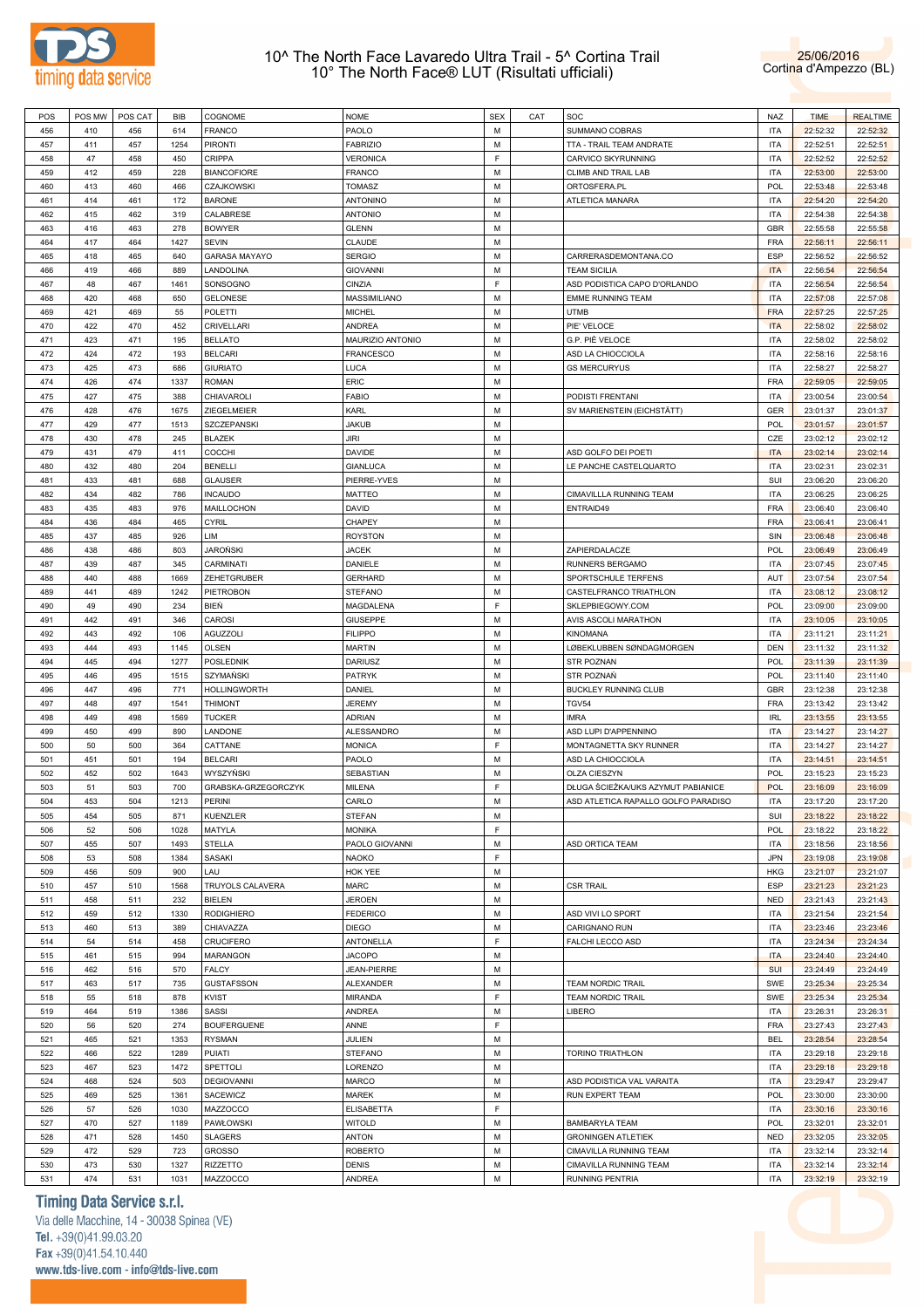



| POS | POS MW | POS CAT | BIB  | COGNOME              | NOME               | <b>SEX</b> | CAT | SOC                                 | NAZ        | <b>TIME</b> | <b>REALTIME</b> |
|-----|--------|---------|------|----------------------|--------------------|------------|-----|-------------------------------------|------------|-------------|-----------------|
| 456 | 410    | 456     | 614  | <b>FRANCO</b>        | PAOLO              | M          |     | SUMMANO COBRAS                      | ITA        | 22:52:32    | 22:52:32        |
|     |        | 457     | 1254 | <b>PIRONTI</b>       | <b>FABRIZIO</b>    | М          |     |                                     | <b>ITA</b> | 22:52:51    | 22:52:51        |
| 457 | 411    |         |      |                      |                    |            |     | TTA - TRAIL TEAM ANDRATE            |            |             |                 |
| 458 | 47     | 458     | 450  | CRIPPA               | VERONICA           | F          |     | CARVICO SKYRUNNING                  | ITA        | 22:52:52    | 22:52:52        |
| 459 | 412    | 459     | 228  | <b>BIANCOFIORE</b>   | FRANCO             | M          |     | CLIMB AND TRAIL LAB                 | <b>ITA</b> | 22:53:00    | 22:53:00        |
| 460 | 413    | 460     | 466  | CZAJKOWSKI           | TOMASZ             | M          |     | ORTOSFERA.PL                        | <b>POL</b> | 22:53:48    | 22:53:48        |
| 461 | 414    | 461     | 172  | <b>BARONE</b>        | ANTONINO           | M          |     | ATLETICA MANARA                     | <b>ITA</b> | 22:54:20    | 22:54:20        |
| 462 | 415    | 462     | 319  | CALABRESE            | <b>ANTONIO</b>     | M          |     |                                     | <b>ITA</b> | 22:54:38    | 22:54:38        |
| 463 |        | 463     | 278  | <b>BOWYER</b>        | <b>GLENN</b>       | M          |     |                                     | GBR        | 22:55:58    | 22:55:58        |
|     | 416    |         |      |                      |                    |            |     |                                     |            |             |                 |
| 464 | 417    | 464     | 1427 | <b>SEVIN</b>         | CLAUDE             | M          |     |                                     | <b>FRA</b> | 22:56:11    | 22:56:11        |
| 465 | 418    | 465     | 640  | <b>GARASA MAYAYO</b> | <b>SERGIO</b>      | M          |     | CARRERASDEMONTANA.CO                | <b>ESP</b> | 22:56:52    | 22:56:52        |
| 466 | 419    | 466     | 889  | LANDOLINA            | GIOVANNI           | M          |     | <b>TEAM SICILIA</b>                 | <b>ITA</b> | 22:56:54    | 22:56:54        |
| 467 | 48     | 467     | 1461 | SONSOGNO             | CINZIA             | F          |     | ASD PODISTICA CAPO D'ORLANDO        | <b>ITA</b> | 22:56:54    | 22:56:54        |
| 468 | 420    | 468     | 650  | <b>GELONESE</b>      | MASSIMILIANO       | M          |     | <b>EMME RUNNING TEAM</b>            | ITA        | 22:57:08    | 22:57:08        |
| 469 | 421    | 469     | 55   |                      |                    | M          |     | <b>UTMB</b>                         | <b>FRA</b> | 22:57:25    | 22:57:25        |
|     |        |         |      | POLETTI              | MICHEL             |            |     |                                     |            |             |                 |
| 470 | 422    | 470     | 452  | CRIVELLARI           | ANDREA             | M          |     | PIE' VELOCE                         | <b>ITA</b> | 22:58:02    | 22:58:02        |
| 471 | 423    | 471     | 195  | <b>BELLATO</b>       | MAURIZIO ANTONIO   | M          |     | G.P. PIÈ VELOCE                     | <b>ITA</b> | 22:58:02    | 22:58:02        |
| 472 | 424    | 472     | 193  | <b>BELCARI</b>       | FRANCESCO          | M          |     | ASD LA CHIOCCIOLA                   | ITA        | 22:58:16    | 22:58:16        |
| 473 | 425    | 473     | 686  | <b>GIURIATO</b>      | LUCA               | M          |     | <b>GS MERCURYUS</b>                 | <b>ITA</b> | 22:58:27    | 22:58:27        |
| 474 | 426    | 474     | 1337 | <b>ROMAN</b>         | ERIC               | M          |     |                                     | <b>FRA</b> | 22:59:05    | 22:59:05        |
| 475 | 427    | 475     | 388  | CHIAVAROLI           | FABIO              | M          |     | PODISTI FRENTANI                    | <b>ITA</b> | 23:00:54    | 23:00:54        |
|     |        |         |      |                      |                    |            |     |                                     |            |             |                 |
| 476 | 428    | 476     | 1675 | ZIEGELMEIER          | KARL               | M          |     | SV MARIENSTEIN (EICHSTÄTT)          | GER        | 23:01:37    | 23:01:37        |
| 477 | 429    | 477     | 1513 | SZCZEPANSKI          | <b>JAKUB</b>       | M          |     |                                     | <b>POL</b> | 23:01:57    | 23:01:57        |
| 478 | 430    | 478     | 245  | <b>BLAZEK</b>        | JIRI               | M          |     |                                     | CZE        | 23:02:12    | 23:02:12        |
| 479 | 431    | 479     | 411  | COCCHI               | DAVIDE             | M          |     | ASD GOLFO DEI POETI                 | <b>ITA</b> | 23:02:14    | 23:02:14        |
| 480 | 432    | 480     | 204  | <b>BENELLI</b>       | GIANLUCA           | M          |     | LE PANCHE CASTELQUARTO              | ITA        | 23:02:31    | 23:02:31        |
| 481 |        |         |      |                      |                    | M          |     |                                     | SUI        |             |                 |
|     | 433    | 481     | 688  | <b>GLAUSER</b>       | PIERRE-YVES        |            |     |                                     |            | 23:06:20    | 23:06:20        |
| 482 | 434    | 482     | 786  | <b>INCAUDO</b>       | MATTEO             | M          |     | CIMAVILLLA RUNNING TEAM             | ITA        | 23:06:25    | 23:06:25        |
| 483 | 435    | 483     | 976  | MAILLOCHON           | DAVID              | M          |     | ENTRAID49                           | <b>FRA</b> | 23:06:40    | 23:06:40        |
| 484 | 436    | 484     | 465  | CYRIL                | CHAPEY             | M          |     |                                     | <b>FRA</b> | 23:06:41    | 23:06:41        |
| 485 | 437    | 485     | 926  | LIM                  | <b>ROYSTON</b>     | M          |     |                                     | SIN        | 23:06:48    | 23:06:48        |
| 486 | 438    | 486     | 803  | JAROŃSKI             | JACEK              | M          |     | ZAPIERDALACZE                       | POL        | 23:06:49    | 23:06:49        |
|     |        |         |      |                      |                    |            |     |                                     |            |             |                 |
| 487 | 439    | 487     | 345  | CARMINATI            | DANIELE            | M          |     | RUNNERS BERGAMO                     | <b>ITA</b> | 23:07:45    | 23:07:45        |
| 488 | 440    | 488     | 1669 | ZEHETGRUBER          | <b>GERHARD</b>     | M          |     | SPORTSCHULE TERFENS                 | AUT        | 23:07:54    | 23:07:54        |
| 489 | 441    | 489     | 1242 | <b>PIETROBON</b>     | STEFANO            | M          |     | CASTELFRANCO TRIATHLON              | <b>ITA</b> | 23:08:12    | 23:08:12        |
| 490 | 49     | 490     | 234  | BIEŃ                 | MAGDALENA          | F          |     | SKLEPBIEGOWY.COM                    | <b>POL</b> | 23:09:00    | 23:09:00        |
| 491 | 442    | 491     | 346  | CAROSI               | GIUSEPPE           | M          |     | AVIS ASCOLI MARATHON                | <b>ITA</b> | 23:10:05    | 23:10:05        |
| 492 | 443    | 492     | 106  | AGUZZOLI             | FILIPPO            | M          |     | <b>KINOMANA</b>                     | ITA        | 23:11:21    | 23:11:21        |
|     |        |         |      |                      |                    |            |     |                                     |            |             |                 |
| 493 | 444    | 493     | 1145 | <b>OLSEN</b>         | MARTIN             | M          |     | LØBEKLUBBEN SØNDAGMORGEN            | <b>DEN</b> | 23:11:32    | 23:11:32        |
| 494 | 445    | 494     | 1277 | <b>POSLEDNIK</b>     | DARIUSZ            | M          |     | <b>STR POZNAN</b>                   | <b>POL</b> | 23:11:39    | 23:11:39        |
| 495 | 446    | 495     | 1515 | SZYMAŃSKI            | PATRYK             | M          |     | STR POZNAŃ                          | <b>POL</b> | 23:11:40    | 23:11:40        |
| 496 | 447    | 496     | 771  | HOLLINGWORTH         | DANIEL             | M          |     | BUCKLEY RUNNING CLUB                | GBR        | 23:12:38    | 23:12:38        |
| 497 | 448    | 497     | 1541 | <b>THIMONT</b>       | <b>JEREMY</b>      | М          |     | <b>TGV54</b>                        | <b>FRA</b> | 23:13:42    | 23:13:42        |
| 498 | 449    | 498     | 1569 | <b>TUCKER</b>        | adrian             | M          |     | <b>IMRA</b>                         | <b>IRL</b> | 23:13:55    | 23:13:55        |
|     |        |         |      |                      |                    |            |     |                                     |            |             |                 |
| 499 | 450    | 499     | 890  | LANDONE              | ALESSANDRO         | M          |     | ASD LUPI D'APPENNINO                | <b>ITA</b> | 23:14:27    | 23:14:27        |
| 500 | 50     | 500     | 364  | CATTANE              | MONICA             | F          |     | MONTAGNETTA SKY RUNNER              | ITA        | 23:14:27    | 23:14:27        |
| 501 | 451    | 501     | 194  | <b>BELCARI</b>       | PAOLO              | M          |     | ASD LA CHIOCCIOLA                   | <b>ITA</b> | 23:14:51    | 23:14:51        |
| 502 | 452    | 502     | 1643 | WYSZYŃSKI            | SEBASTIAN          | M          |     | OLZA CIESZYN                        | <b>POL</b> | 23:15:23    | 23:15:23        |
| 503 | 51     | 503     | 700  | GRABSKA-GRZEGORCZYK  | MILENA             | F          |     | DŁUGA ŚCIEŻKA/UKS AZYMUT PABIANICE  | <b>POL</b> | 23:16:09    | 23:16:09        |
| 504 | 453    | 504     | 1213 | <b>PERINI</b>        | CARLO              | M          |     | ASD ATLETICA RAPALLO GOLFO PARADISO | <b>ITA</b> | 23:17:20    | 23:17:20        |
|     |        |         |      |                      |                    |            |     |                                     |            |             |                 |
| 505 | 454    | 505     | 871  | <b>KUENZLER</b>      | <b>STEFAN</b>      | М          |     |                                     | SUI        | 23:18:22    | 23:18:22        |
| 506 | 52     | 506     | 1028 | MATYLA               | MONIKA             | F          |     |                                     | POL        | 23:18:22    | 23:18:22        |
| 507 | 455    | 507     | 1493 | <b>STELLA</b>        | PAOLO GIOVANNI     | М          |     | ASD ORTICA TEAM                     | <b>ITA</b> | 23:18:56    | 23:18:56        |
| 508 | 53     | 508     | 1384 | SASAKI               | NAOKO              | F          |     |                                     | <b>JPN</b> | 23:19:08    | 23:19:08        |
| 509 | 456    | 509     | 900  | LAU                  | HOK YEE            | М          |     |                                     | <b>HKG</b> | 23:21:07    | 23:21:07        |
| 510 | 457    | 510     | 1568 | TRUYOLS CALAVERA     | MARC               | M          |     | <b>CSR TRAIL</b>                    | <b>ESP</b> | 23:21:23    | 23:21:23        |
|     |        |         |      |                      |                    |            |     |                                     |            |             |                 |
| 511 | 458    | 511     | 232  | <b>BIELEN</b>        | <b>JEROEN</b>      | M          |     |                                     | <b>NED</b> | 23:21:43    | 23:21:43        |
| 512 | 459    | 512     | 1330 | <b>RODIGHIERO</b>    | <b>FEDERICO</b>    | M          |     | ASD VIVI LO SPORT                   | <b>ITA</b> | 23:21:54    | 23:21:54        |
| 513 | 460    | 513     | 389  | CHIAVAZZA            | <b>DIEGO</b>       | М          |     | CARIGNANO RUN                       | <b>ITA</b> | 23:23:46    | 23:23:46        |
| 514 | 54     | 514     | 458  | <b>CRUCIFERO</b>     | ANTONELLA          | F          |     | FALCHI LECCO ASD                    | <b>ITA</b> | 23:24:34    | 23:24:34        |
| 515 | 461    | 515     | 994  | MARANGON             | <b>JACOPO</b>      | М          |     |                                     | <b>ITA</b> | 23:24:40    | 23:24:40        |
| 516 | 462    | 516     | 570  | <b>FALCY</b>         | <b>JEAN-PIERRE</b> | M          |     |                                     | <b>SUI</b> | 23:24:49    | 23:24:49        |
|     |        |         |      |                      |                    |            |     |                                     |            |             |                 |
| 517 | 463    | 517     | 735  | <b>GUSTAFSSON</b>    | ALEXANDER          | М          |     | <b>TEAM NORDIC TRAIL</b>            | SWE        | 23:25:34    | 23:25:34        |
| 518 | 55     | 518     | 878  | <b>KVIST</b>         | MIRANDA            | F          |     | <b>TEAM NORDIC TRAIL</b>            | SWE        | 23:25:34    | 23:25:34        |
| 519 | 464    | 519     | 1386 | SASSI                | ANDREA             | M          |     | LIBERO                              | <b>ITA</b> | 23:26:31    | 23:26:31        |
| 520 | 56     | 520     | 274  | <b>BOUFERGUENE</b>   | ANNE               | F          |     |                                     | <b>FRA</b> | 23:27:43    | 23:27:43        |
| 521 | 465    | 521     | 1353 | <b>RYSMAN</b>        | JULIEN             | ${\sf M}$  |     |                                     | <b>BEL</b> | 23:28:54    | 23:28:54        |
| 522 | 466    | 522     | 1289 | <b>PUIATI</b>        | STEFANO            | M          |     | <b>TORINO TRIATHLON</b>             | <b>ITA</b> | 23:29:18    | 23:29:18        |
|     |        |         |      |                      |                    |            |     |                                     |            |             |                 |
| 523 | 467    | 523     | 1472 | SPETTOLI             | LORENZO            | M          |     |                                     | <b>ITA</b> | 23:29:18    | 23:29:18        |
| 524 | 468    | 524     | 503  | <b>DEGIOVANNI</b>    | MARCO              | M          |     | ASD PODISTICA VAL VARAITA           | <b>ITA</b> | 23:29:47    | 23:29:47        |
| 525 | 469    | 525     | 1361 | SACEWICZ             | <b>MAREK</b>       | ${\sf M}$  |     | RUN EXPERT TEAM                     | <b>POL</b> | 23:30:00    | 23:30:00        |
| 526 | 57     | 526     | 1030 | MAZZOCCO             | ELISABETTA         | F          |     |                                     | <b>ITA</b> | 23:30:16    | 23:30:16        |
| 527 | 470    | 527     | 1189 | <b>PAWŁOWSKI</b>     | WITOLD             | М          |     | BAMBARYŁA TEAM                      | POL        | 23:32:01    | 23:32:01        |
| 528 | 471    | 528     | 1450 | <b>SLAGERS</b>       | ANTON              | M          |     | <b>GRONINGEN ATLETIEK</b>           | <b>NED</b> | 23:32:05    | 23:32:05        |
| 529 | 472    | 529     | 723  | GROSSO               | <b>ROBERTO</b>     | М          |     |                                     | <b>ITA</b> | 23:32:14    | 23:32:14        |
|     |        |         |      |                      |                    |            |     | CIMAVILLA RUNNING TEAM              |            |             |                 |
| 530 | 473    | 530     | 1327 | <b>RIZZETTO</b>      | DENIS              | M          |     | CIMAVILLA RUNNING TEAM              | <b>ITA</b> | 23:32:14    | 23:32:14        |
| 531 | 474    | 531     | 1031 | MAZZOCCO             | ANDREA             | М          |     | RUNNING PENTRIA                     | <b>ITA</b> | 23:32:19    | 23:32:19        |

## **Timing Data Service s.r.l.**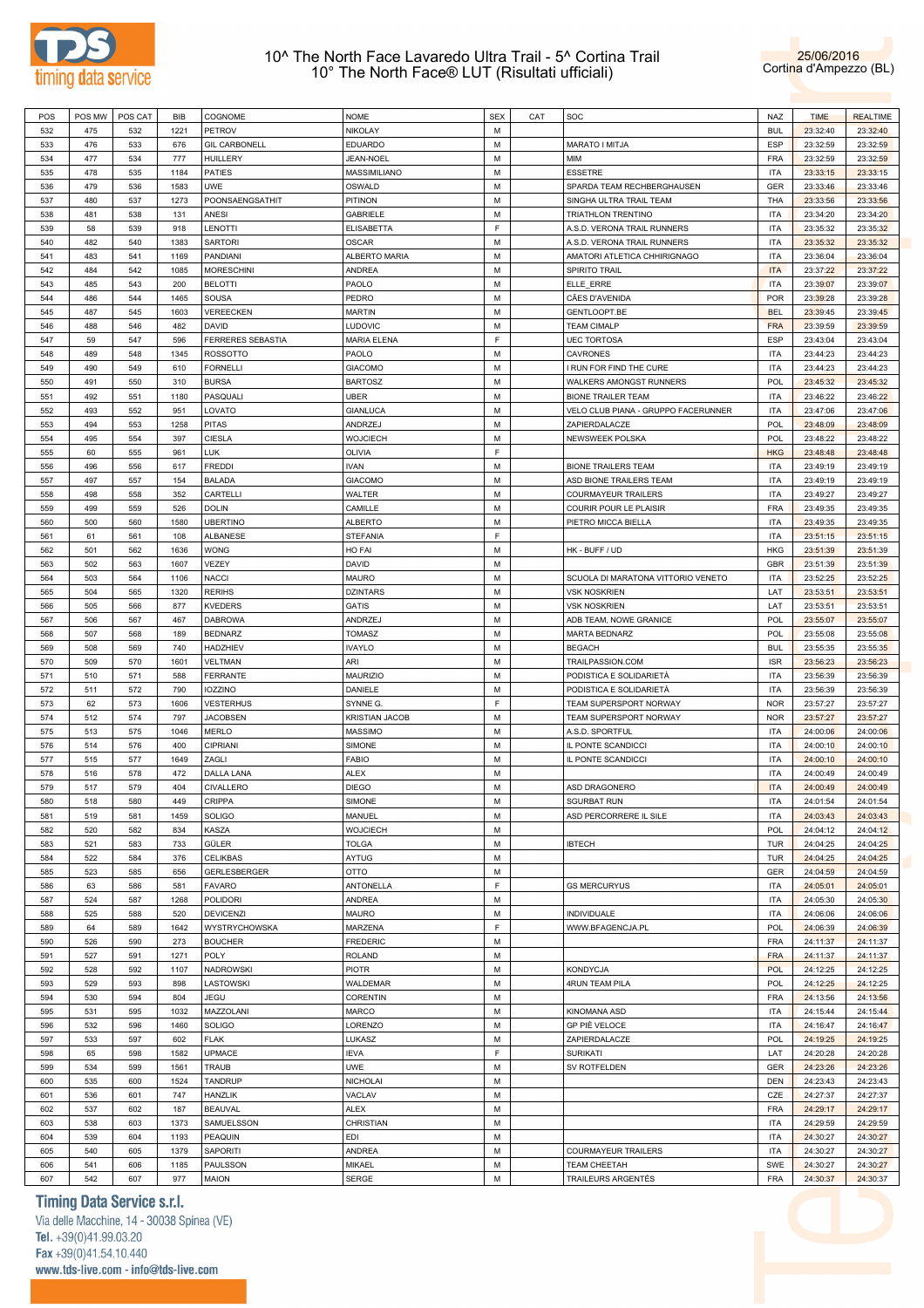



| POS | POS MW | POS CAT | BIB  | COGNOME                  | <b>NOME</b>           | <b>SEX</b> | CAT | SOC                                 | NAZ        | <b>TIME</b> | <b>REALTIME</b> |
|-----|--------|---------|------|--------------------------|-----------------------|------------|-----|-------------------------------------|------------|-------------|-----------------|
| 532 | 475    | 532     | 1221 | <b>PETROV</b>            | NIKOLAY               | M          |     |                                     | <b>BUL</b> | 23:32:40    | 23:32:40        |
|     |        |         |      |                          |                       |            |     |                                     |            |             |                 |
| 533 | 476    | 533     | 676  | <b>GIL CARBONELL</b>     | <b>EDUARDO</b>        | М          |     | MARATO I MITJA                      | <b>ESP</b> | 23:32:59    | 23:32:59        |
| 534 | 477    | 534     | 777  | <b>HUILLERY</b>          | JEAN-NOEL             | М          |     | ΜΙΜ                                 | <b>FRA</b> | 23:32:59    | 23:32:59        |
| 535 | 478    | 535     | 1184 | <b>PATIES</b>            | MASSIMILIANO          | М          |     | <b>ESSETRE</b>                      | <b>ITA</b> | 23:33:15    | 23:33:15        |
|     |        |         |      |                          |                       |            |     |                                     |            |             |                 |
| 536 | 479    | 536     | 1583 | <b>UWE</b>               | OSWALD                | М          |     | SPARDA TEAM RECHBERGHAUSEN          | GER        | 23:33:46    | 23:33:46        |
| 537 | 480    | 537     | 1273 | POONSAENGSATHIT          | PITINON               | М          |     | SINGHA ULTRA TRAIL TEAM             | THA        | 23:33:56    | 23:33:56        |
| 538 | 481    | 538     | 131  | ANESI                    | <b>GABRIELE</b>       | М          |     | TRIATHLON TRENTINO                  | <b>ITA</b> | 23:34:20    | 23:34:20        |
| 539 | 58     | 539     | 918  |                          |                       | F          |     |                                     | <b>ITA</b> |             |                 |
|     |        |         |      | <b>LENOTTI</b>           | <b>ELISABETTA</b>     |            |     | A.S.D. VERONA TRAIL RUNNERS         |            | 23:35:32    | 23:35:32        |
| 540 | 482    | 540     | 1383 | <b>SARTORI</b>           | <b>OSCAR</b>          | M          |     | A.S.D. VERONA TRAIL RUNNERS         | ITA        | 23:35:32    | 23:35:32        |
| 541 | 483    | 541     | 1169 | PANDIANI                 | ALBERTO MARIA         | М          |     | AMATORI ATLETICA CHHIRIGNAGO        | <b>ITA</b> | 23:36:04    | 23:36:04        |
| 542 | 484    | 542     | 1085 | <b>MORESCHINI</b>        | ANDREA                | M          |     | <b>SPIRITO TRAIL</b>                | <b>ITA</b> | 23:37:22    | 23:37:22        |
|     |        |         |      |                          |                       |            |     |                                     |            |             |                 |
| 543 | 485    | 543     | 200  | <b>BELOTTI</b>           | PAOLO                 | М          |     | ELLE_ERRE                           | <b>ITA</b> | 23:39:07    | 23:39:07        |
| 544 | 486    | 544     | 1465 | SOUSA                    | PEDRO                 | М          |     | CÃES D'AVENIDA                      | <b>POR</b> | 23:39:28    | 23:39:28        |
| 545 | 487    | 545     | 1603 | VEREECKEN                | <b>MARTIN</b>         | М          |     | GENTLOOPT.BE                        | <b>BEL</b> | 23:39:45    | 23:39:45        |
| 546 | 488    | 546     | 482  | DAVID                    | <b>LUDOVIC</b>        | М          |     | <b>TEAM CIMALP</b>                  | <b>FRA</b> | 23:39:59    | 23:39:59        |
|     |        |         |      |                          |                       |            |     |                                     |            |             |                 |
| 547 | 59     | 547     | 596  | <b>FERRERES SEBASTIA</b> | <b>MARIA ELENA</b>    | F          |     | <b>UEC TORTOSA</b>                  | <b>ESP</b> | 23:43:04    | 23:43:04        |
| 548 | 489    | 548     | 1345 | <b>ROSSOTTO</b>          | PAOLO                 | M          |     | CAVRONES                            | ITA        | 23:44:23    | 23:44:23        |
| 549 | 490    | 549     | 610  | <b>FORNELLI</b>          | <b>GIACOMO</b>        | М          |     | I RUN FOR FIND THE CURE             | <b>ITA</b> | 23:44:23    | 23:44:23        |
| 550 | 491    | 550     | 310  | <b>BURSA</b>             | <b>BARTOSZ</b>        | М          |     | WALKERS AMONGST RUNNERS             | <b>POL</b> | 23:45:32    | 23:45:32        |
|     |        |         |      |                          |                       |            |     |                                     |            |             |                 |
| 551 | 492    | 551     | 1180 | PASQUALI                 | <b>UBER</b>           | М          |     | <b>BIONE TRAILER TEAM</b>           | <b>ITA</b> | 23:46:22    | 23:46:22        |
| 552 | 493    | 552     | 951  | LOVATO                   | <b>GIANLUCA</b>       | М          |     | VELO CLUB PIANA - GRUPPO FACERUNNER | ITA        | 23:47:06    | 23:47:06        |
| 553 | 494    | 553     | 1258 | <b>PITAS</b>             | ANDRZEJ               | М          |     | ZAPIERDALACZE                       | <b>POL</b> | 23:48:09    | 23:48:09        |
| 554 | 495    | 554     | 397  | <b>CIESLA</b>            | <b>WOJCIECH</b>       | М          |     | NEWSWEEK POLSKA                     | <b>POL</b> | 23:48:22    | 23:48:22        |
|     |        |         |      |                          |                       |            |     |                                     |            |             |                 |
| 555 | 60     | 555     | 961  | <b>LUK</b>               | OLIVIA                | F          |     |                                     | <b>HKG</b> | 23:48:48    | 23:48:48        |
| 556 | 496    | 556     | 617  | <b>FREDDI</b>            | IVAN                  | M          |     | <b>BIONE TRAILERS TEAM</b>          | <b>ITA</b> | 23:49:19    | 23:49:19        |
| 557 | 497    | 557     | 154  | <b>BALADA</b>            | <b>GIACOMO</b>        | М          |     | ASD BIONE TRAILERS TEAM             | <b>ITA</b> | 23:49:19    | 23:49:19        |
| 558 | 498    | 558     | 352  | CARTELLI                 | WALTER                | М          |     | <b>COURMAYEUR TRAILERS</b>          | ITA        | 23:49:27    | 23:49:27        |
|     |        |         |      |                          |                       |            |     |                                     |            |             |                 |
| 559 | 499    | 559     | 526  | <b>DOLIN</b>             | CAMILLE               | М          |     | COURIR POUR LE PLAISIR              | <b>FRA</b> | 23:49:35    | 23:49:35        |
| 560 | 500    | 560     | 1580 | <b>UBERTINO</b>          | ALBERTO               | М          |     | PIETRO MICCA BIELLA                 | <b>ITA</b> | 23:49:35    | 23:49:35        |
| 561 | 61     | 561     | 108  | <b>ALBANESE</b>          | <b>STEFANIA</b>       | F          |     |                                     | <b>ITA</b> | 23:51:15    | 23:51:15        |
| 562 | 501    | 562     | 1636 |                          |                       | M          |     | HK - BUFF / UD                      | <b>HKG</b> |             |                 |
|     |        |         |      | <b>WONG</b>              | HO FAI                |            |     |                                     |            | 23:51:39    | 23:51:39        |
| 563 | 502    | 563     | 1607 | VEZEY                    | DAVID                 | М          |     |                                     | GBR        | 23:51:39    | 23:51:39        |
| 564 | 503    | 564     | 1106 | <b>NACCI</b>             | MAURO                 | M          |     | SCUOLA DI MARATONA VITTORIO VENETO  | <b>ITA</b> | 23:52:25    | 23:52:25        |
| 565 | 504    | 565     | 1320 | <b>RERIHS</b>            | <b>DZINTARS</b>       | М          |     | <b>VSK NOSKRIEN</b>                 | LAT        | 23:53:51    | 23:53:51        |
|     |        |         |      |                          |                       | M          |     |                                     |            |             |                 |
| 566 | 505    | 566     | 877  | <b>KVEDERS</b>           | GATIS                 |            |     | <b>VSK NOSKRIEN</b>                 | LAT        | 23:53:51    | 23:53:51        |
| 567 | 506    | 567     | 467  | <b>DABROWA</b>           | ANDRZEJ               | М          |     | ADB TEAM, NOWE GRANICE              | <b>POL</b> | 23:55:07    | 23:55:07        |
| 568 | 507    | 568     | 189  | <b>BEDNARZ</b>           | <b>TOMASZ</b>         | M          |     | MARTA BEDNARZ                       | POL        | 23:55:08    | 23:55:08        |
| 569 | 508    | 569     | 740  | <b>HADZHIEV</b>          | <b>IVAYLO</b>         | М          |     | <b>BEGACH</b>                       | <b>BUL</b> | 23:55:35    | 23:55:35        |
|     |        |         |      |                          | ARI                   | M          |     |                                     | <b>ISR</b> |             |                 |
| 570 | 509    | 570     | 1601 | VELTMAN                  |                       |            |     | TRAILPASSION.COM                    |            | 23:56:23    | 23:56:23        |
| 571 | 510    | 571     | 588  | <b>FERRANTE</b>          | <b>MAURIZIO</b>       | М          |     | PODISTICA E SOLIDARIETÁ             | <b>ITA</b> | 23:56:39    | 23:56:39        |
| 572 | 511    | 572     | 790  | <b>IOZZINO</b>           | DANIELE               | M          |     | PODISTICA E SOLIDARIETA             | <b>ITA</b> | 23:56:39    | 23:56:39        |
| 573 | 62     | 573     | 1606 | <b>VESTERHUS</b>         | SYNNE G.              | F          |     | TEAM SUPERSPORT NORWAY              | <b>NOR</b> | 23:57:27    | 23:57:27        |
|     |        |         |      |                          |                       | M          |     |                                     |            |             |                 |
| 574 | 512    | 574     | 797  | <b>JACOBSEN</b>          | <b>KRISTIAN JACOB</b> |            |     | TEAM SUPERSPORT NORWAY              | <b>NOR</b> | 23:57:27    | 23:57:27        |
| 575 | 513    | 575     | 1046 | <b>MERLO</b>             | <b>MASSIMO</b>        | М          |     | A.S.D. SPORTFUL                     | <b>ITA</b> | 24:00:06    | 24:00:06        |
| 576 | 514    | 576     | 400  | <b>CIPRIANI</b>          | <b>SIMONE</b>         | M          |     | IL PONTE SCANDICCI                  | ITA        | 24:00:10    | 24:00:10        |
| 577 | 515    | 577     | 1649 | ZAGLI                    | <b>FABIO</b>          | М          |     | IL PONTE SCANDICCI                  | <b>ITA</b> | 24:00:10    | 24:00:10        |
|     |        |         |      |                          |                       |            |     |                                     |            |             |                 |
| 578 | 516    | 578     | 472  | DALLA LANA               | <b>ALEX</b>           | М          |     |                                     | <b>ITA</b> | 24:00:49    | 24:00:49        |
| 579 | 517    | 579     | 404  | <b>CIVALLERO</b>         | <b>DIEGO</b>          | М          |     | ASD DRAGONERO                       | <b>ITA</b> | 24:00:49    | 24:00:49        |
| 580 | 518    | 580     | 449  | CRIPPA                   | SIMONE                | М          |     | <b>SGURBAT RUN</b>                  | <b>ITA</b> | 24:01:54    | 24:01:54        |
| 581 | 519    | 581     | 1459 | <b>SOLIGO</b>            | MANUEL                | М          |     | ASD PERCORRERE IL SILE              | <b>ITA</b> | 24:03:43    | 24:03:43        |
|     |        |         |      |                          |                       | М          |     |                                     |            |             |                 |
| 582 | 520    | 582     | 834  | KASZA                    | <b>WOJCIECH</b>       |            |     |                                     | POL        | 24:04:12    | 24:04:12        |
| 583 | 521    | 583     | 733  | GÜLER                    | <b>TOLGA</b>          | М          |     | <b>IBTECH</b>                       | <b>TUR</b> | 24:04:25    | 24:04:25        |
| 584 | 522    | 584     | 376  | CELIKBAS                 | AYTUG                 | М          |     |                                     | <b>TUR</b> | 24:04:25    | 24:04:25        |
| 585 | 523    | 585     | 656  | GERLESBERGER             | OTTO                  | М          |     |                                     | GER        | 24:04:59    | 24:04:59        |
| 586 | 63     | 586     | 581  | <b>FAVARO</b>            | ANTONELLA             | F          |     | <b>GS MERCURYUS</b>                 | <b>ITA</b> |             | 24:05:01        |
|     |        |         |      |                          |                       |            |     |                                     |            | 24:05:01    |                 |
| 587 | 524    | 587     | 1268 | POLIDORI                 | ANDREA                | М          |     |                                     | <b>ITA</b> | 24:05:30    | 24:05:30        |
| 588 | 525    | 588     | 520  | <b>DEVICENZI</b>         | MAURO                 | М          |     | INDIVIDUALE                         | <b>ITA</b> | 24:06:06    | 24:06:06        |
| 589 | 64     | 589     | 1642 | <b>WYSTRYCHOWSKA</b>     | MARZENA               | F          |     | WWW.BFAGENCJA.PL                    | POL        | 24:06:39    | 24:06:39        |
| 590 | 526    | 590     | 273  | <b>BOUCHER</b>           | <b>FREDERIC</b>       | M          |     |                                     | <b>FRA</b> | 24:11:37    | 24:11:37        |
|     |        |         |      |                          |                       |            |     |                                     |            |             |                 |
| 591 | 527    | 591     | 1271 | POLY                     | <b>ROLAND</b>         | М          |     |                                     | <b>FRA</b> | 24:11:37    | 24:11:37        |
| 592 | 528    | 592     | 1107 | <b>NADROWSKI</b>         | <b>PIOTR</b>          | M          |     | <b>KONDYCJA</b>                     | POL        | 24:12:25    | 24:12:25        |
| 593 | 529    | 593     | 898  | LASTOWSKI                | WALDEMAR              | М          |     | 4RUN TEAM PILA                      | POL        | 24:12:25    | 24:12:25        |
|     |        |         |      |                          |                       | М          |     |                                     |            |             |                 |
| 594 | 530    | 594     | 804  | JEGU                     | CORENTIN              |            |     |                                     | <b>FRA</b> | 24:13:56    | 24:13:56        |
| 595 | 531    | 595     | 1032 | MAZZOLANI                | MARCO                 | М          |     | KINOMANA ASD                        | <b>ITA</b> | 24:15:44    | 24:15:44        |
| 596 | 532    | 596     | 1460 | <b>SOLIGO</b>            | LORENZO               | M          |     | GP PIÈ VELOCE                       | <b>ITA</b> | 24:16:47    | 24:16:47        |
| 597 | 533    | 597     | 602  | <b>FLAK</b>              | LUKASZ                | М          |     | ZAPIERDALACZE                       | POL        | 24:19:25    | 24:19:25        |
|     |        |         |      |                          |                       | F          |     |                                     |            |             |                 |
| 598 | 65     | 598     | 1582 | UPMACE                   | <b>IEVA</b>           |            |     | SURIKATI                            | LAT        | 24:20:28    | 24:20:28        |
| 599 | 534    | 599     | 1561 | TRAUB                    | <b>UWE</b>            | M          |     | SV ROTFELDEN                        | GER        | 24:23:26    | 24:23:26        |
| 600 | 535    | 600     | 1524 | <b>TANDRUP</b>           | NICHOLAI              | M          |     |                                     | <b>DEN</b> | 24:23:43    | 24:23:43        |
| 601 | 536    | 601     | 747  | <b>HANZLIK</b>           | VACLAV                | М          |     |                                     | CZE        | 24:27:37    | 24:27:37        |
|     |        |         |      |                          |                       |            |     |                                     |            |             |                 |
| 602 | 537    | 602     | 187  | <b>BEAUVAL</b>           | ALEX                  | M          |     |                                     | <b>FRA</b> | 24:29:17    | 24:29:17        |
| 603 | 538    | 603     | 1373 | SAMUELSSON               | CHRISTIAN             | М          |     |                                     | <b>ITA</b> | 24:29:59    | 24:29:59        |
| 604 | 539    | 604     | 1193 | PEAQUIN                  | EDI                   | M          |     |                                     | <b>ITA</b> | 24:30:27    | 24:30:27        |
| 605 | 540    | 605     | 1379 | SAPORITI                 | ANDREA                | М          |     | COURMAYEUR TRAILERS                 | <b>ITA</b> | 24:30:27    | 24:30:27        |
|     |        |         |      |                          |                       | M          |     |                                     |            |             |                 |
| 606 | 541    | 606     | 1185 | PAULSSON                 | MIKAEL                |            |     | TEAM CHEETAH                        | SWE        | 24:30:27    | 24:30:27        |
| 607 | 542    | 607     | 977  | <b>MAION</b>             | SERGE                 | M          |     | TRAILEURS ARGENTÉS                  | <b>FRA</b> | 24:30:37    | 24:30:37        |

# **Timing Data Service s.r.l.**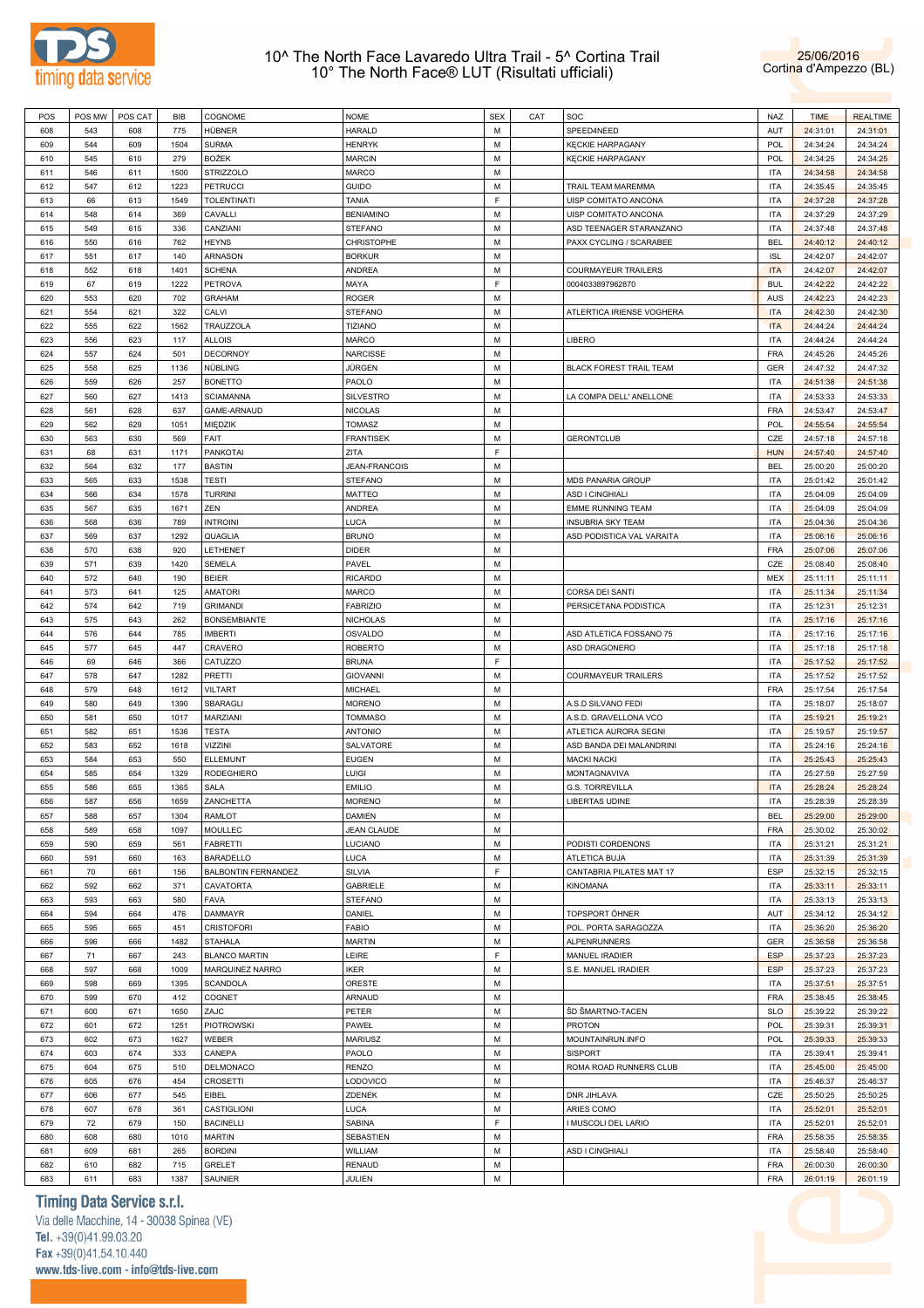



| POS | POS MW | POS CAT | BIB  | COGNOME                    | NOME                 | <b>SEX</b> | CAT | SOC                            | NAZ        | <b>TIME</b> | <b>REALTIME</b> |
|-----|--------|---------|------|----------------------------|----------------------|------------|-----|--------------------------------|------------|-------------|-----------------|
| 608 | 543    | 608     | 775  | HÜBNER                     | HARALD               | М          |     | SPEED4NEED                     | AUT        | 24:31:01    | 24:31:01        |
|     |        |         |      |                            |                      |            |     |                                |            |             |                 |
| 609 | 544    | 609     | 1504 | <b>SURMA</b>               | <b>HENRYK</b>        | М          |     | <b>KECKIE HARPAGANY</b>        | POL        | 24:34:24    | 24:34:24        |
| 610 | 545    | 610     | 279  | <b>BOŻEK</b>               | <b>MARCIN</b>        | М          |     | <b>KECKIE HARPAGANY</b>        | POL        | 24:34:25    | 24:34:25        |
| 611 | 546    | 611     | 1500 | <b>STRIZZOLO</b>           | MARCO                | М          |     |                                | <b>ITA</b> | 24:34:58    | 24:34:58        |
|     |        |         |      |                            |                      |            |     |                                |            |             |                 |
| 612 | 547    | 612     | 1223 | <b>PETRUCCI</b>            | Guido                | М          |     | TRAIL TEAM MAREMMA             | ITA        | 24:35:45    | 24:35:45        |
| 613 | 66     | 613     | 1549 | <b>TOLENTINATI</b>         | TANIA                | F          |     | UISP COMITATO ANCONA           | <b>ITA</b> | 24:37:28    | 24:37:28        |
| 614 | 548    | 614     | 369  | CAVALLI                    | <b>BENIAMINO</b>     | М          |     | UISP COMITATO ANCONA           | <b>ITA</b> | 24:37:29    | 24:37:29        |
|     |        |         |      |                            |                      |            |     |                                |            |             |                 |
| 615 | 549    | 615     | 336  | CANZIANI                   | STEFANO              | М          |     | ASD TEENAGER STARANZANO        | <b>ITA</b> | 24:37:48    | 24:37:48        |
| 616 | 550    | 616     | 762  | <b>HEYNS</b>               | CHRISTOPHE           | M          |     | PAXX CYCLING / SCARABEE        | <b>BEL</b> | 24:40:12    | 24:40:12        |
| 617 | 551    | 617     | 140  | ARNASON                    | <b>BORKUR</b>        | М          |     |                                | <b>ISL</b> | 24:42:07    | 24:42:07        |
|     |        |         |      |                            |                      |            |     |                                |            |             |                 |
| 618 | 552    | 618     | 1401 | <b>SCHENA</b>              | ANDREA               | М          |     | COURMAYEUR TRAILERS            | <b>ITA</b> | 24:42:07    | 24:42:07        |
| 619 | 67     | 619     | 1222 | <b>PETROVA</b>             | MAYA                 | F          |     | 0004033897962870               | <b>BUL</b> | 24:42:22    | 24:42:22        |
| 620 | 553    | 620     | 702  | <b>GRAHAM</b>              | ROGER                | М          |     |                                | <b>AUS</b> | 24:42:23    | 24:42:23        |
|     |        |         |      |                            |                      |            |     |                                |            |             |                 |
| 621 | 554    | 621     | 322  | CALVI                      | STEFANO              | М          |     | ATLERTICA IRIENSE VOGHERA      | <b>ITA</b> | 24:42:30    | 24:42:30        |
| 622 | 555    | 622     | 1562 | TRAUZZOLA                  | TIZIANO              | М          |     |                                | <b>ITA</b> | 24:44:24    | 24:44:24        |
| 623 | 556    | 623     | 117  | <b>ALLOIS</b>              | MARCO                | М          |     | LIBERO                         | <b>ITA</b> | 24:44:24    | 24:44:24        |
|     |        |         |      |                            |                      |            |     |                                |            |             |                 |
| 624 | 557    | 624     | 501  | DECORNOY                   | NARCISSE             | М          |     |                                | <b>FRA</b> | 24:45:26    | 24:45:26        |
| 625 | 558    | 625     | 1136 | NÜBLING                    | JÜRGEN               | М          |     | <b>BLACK FOREST TRAIL TEAM</b> | GER        | 24:47:32    | 24:47:32        |
| 626 | 559    | 626     | 257  | <b>BONETTO</b>             | PAOLO                | М          |     |                                | ITA        | 24:51:38    | 24:51:38        |
|     |        |         |      |                            |                      |            |     |                                |            |             |                 |
| 627 | 560    | 627     | 1413 | <b>SCIAMANNA</b>           | SILVESTRO            | М          |     | LA COMPA DELL' ANELLONE        | <b>ITA</b> | 24:53:33    | 24:53:33        |
| 628 | 561    | 628     | 637  | GAME-ARNAUD                | NICOLAS              | M          |     |                                | <b>FRA</b> | 24:53:47    | 24:53:47        |
| 629 | 562    | 629     | 1051 | MIEDZIK                    | TOMASZ               | M          |     |                                | <b>POL</b> | 24:55:54    | 24:55:54        |
|     |        |         |      |                            |                      |            |     |                                |            |             |                 |
| 630 | 563    | 630     | 569  | FAIT                       | <b>FRANTISEK</b>     | М          |     | <b>GERONTCLUB</b>              | CZE        | 24:57:18    | 24:57:18        |
| 631 | 68     | 631     | 1171 | <b>PANKOTAI</b>            | ZITA                 | F.         |     |                                | <b>HUN</b> | 24:57:40    | 24:57:40        |
| 632 | 564    | 632     | 177  | <b>BASTIN</b>              | <b>JEAN-FRANCOIS</b> | М          |     |                                | <b>BEL</b> | 25:00:20    | 25:00:20        |
|     |        |         |      |                            |                      |            |     |                                |            |             |                 |
| 633 | 565    | 633     | 1538 | <b>TESTI</b>               | STEFANO              | М          |     | MDS PANARIA GROUP              | ITA        | 25:01:42    | 25:01:42        |
| 634 | 566    | 634     | 1578 | <b>TURRINI</b>             | MATTEO               | М          |     | ASD I CINGHIALI                | ITA        | 25:04:09    | 25:04:09        |
| 635 | 567    | 635     | 1671 | ZEN                        | ANDREA               | М          |     | <b>EMME RUNNING TEAM</b>       | <b>ITA</b> | 25:04:09    | 25:04:09        |
|     |        |         |      |                            |                      |            |     |                                |            |             |                 |
| 636 | 568    | 636     | 789  | <b>INTROINI</b>            | LUCA                 | М          |     | <b>INSUBRIA SKY TEAM</b>       | ITA        | 25:04:36    | 25:04:36        |
| 637 | 569    | 637     | 1292 | QUAGLIA                    | <b>BRUNO</b>         | М          |     | ASD PODISTICA VAL VARAITA      | <b>ITA</b> | 25:06:16    | 25:06:16        |
| 638 | 570    | 638     | 920  | LETHENET                   | DIDER                | М          |     |                                | <b>FRA</b> | 25:07:06    | 25:07:06        |
|     |        |         |      |                            |                      |            |     |                                |            |             |                 |
| 639 | 571    | 639     | 1420 | SEMELA                     | PAVEL                | М          |     |                                | CZE        | 25:08:40    | 25:08:40        |
| 640 | 572    | 640     | 190  | <b>BEIER</b>               | <b>RICARDO</b>       | M          |     |                                | MEX        | 25:11:11    | 25:11:11        |
| 641 | 573    | 641     | 125  | <b>AMATORI</b>             | MARCO                | М          |     | CORSA DEI SANTI                | <b>ITA</b> | 25:11:34    | 25:11:34        |
|     |        |         |      |                            |                      |            |     |                                |            |             |                 |
| 642 | 574    | 642     | 719  | <b>GRIMANDI</b>            | <b>FABRIZIO</b>      | М          |     | PERSICETANA PODISTICA          | <b>ITA</b> | 25:12:31    | 25:12:31        |
| 643 | 575    | 643     | 262  | <b>BONSEMBIANTE</b>        | <b>NICHOLAS</b>      | М          |     |                                | <b>ITA</b> | 25:17:16    | 25:17:16        |
| 644 | 576    | 644     | 785  | <b>IMBERTI</b>             | OSVALDO              | М          |     | ASD ATLETICA FOSSANO 75        | <b>ITA</b> | 25:17:16    | 25:17:16        |
|     |        |         |      |                            |                      |            |     |                                |            |             |                 |
| 645 | 577    | 645     | 447  | CRAVERO                    | <b>ROBERTO</b>       | М          |     | ASD DRAGONERO                  | <b>ITA</b> | 25:17:18    | 25:17:18        |
| 646 | 69     | 646     | 366  | CATUZZO                    | <b>BRUNA</b>         | F          |     |                                | ITA        | 25:17:52    | 25:17:52        |
| 647 | 578    | 647     | 1282 | PRETTI                     | <b>GIOVANNI</b>      | М          |     | COURMAYEUR TRAILERS            | <b>ITA</b> | 25:17:52    | 25:17:52        |
|     |        |         |      |                            |                      |            |     |                                |            |             |                 |
| 648 | 579    | 648     | 1612 | VILTART                    | MICHAEL              | М          |     |                                | <b>FRA</b> | 25:17:54    | 25:17:54        |
| 649 | 580    | 649     | 1390 | SBARAGLI                   | <b>MORENO</b>        | М          |     | A.S.D SILVANO FEDI             | <b>ITA</b> | 25:18:07    | 25:18:07        |
| 650 | 581    | 650     | 1017 | MARZIANI                   | <b>TOMMASO</b>       | М          |     | A.S.D. GRAVELLONA VCO          | ITA        | 25:19:21    | 25:19:21        |
|     |        |         |      |                            |                      |            |     |                                |            |             |                 |
| 651 | 582    | 651     | 1536 | TESTA                      | <b>ANTONIO</b>       | М          |     | ATLETICA AURORA SEGNI          | <b>ITA</b> | 25:19:57    | 25:19:57        |
| 652 | 583    | 652     | 1618 | VIZZINI                    | SALVATORE            | М          |     | ASD BANDA DEI MALANDRINI       | <b>ITA</b> | 25:24:16    | 25:24:16        |
| 653 | 584    | 653     | 550  | ELLEMUNT                   | EUGEN                | М          |     | <b>MACKI NACKI</b>             | <b>ITA</b> | 25:25:43    | 25:25:43        |
|     |        |         |      |                            |                      |            |     |                                |            |             |                 |
| 654 | 585    | 654     | 1329 | RODEGHIERO                 | Luigi                | М          |     | MONTAGNAVIVA                   | <b>ITA</b> | 25:27:59    | 25:27:59        |
| 655 | 586    | 655     | 1365 | SALA                       | EMILIO               | M          |     | <b>G.S. TORREVILLA</b>         | <b>ITA</b> | 25:28:24    | 25:28:24        |
| 656 | 587    | 656     | 1659 | ZANCHETTA                  | <b>MORENO</b>        | M          |     | <b>LIBERTAS UDINE</b>          | <b>ITA</b> | 25:28:39    | 25:28:39        |
|     |        |         |      |                            |                      |            |     |                                |            |             |                 |
| 657 | 588    | 657     | 1304 | RAMLOT                     | DAMIEN               | М          |     |                                | <b>BEL</b> | 25:29:00    | 25:29:00        |
| 658 | 589    | 658     | 1097 | <b>MOULLEC</b>             | JEAN CLAUDE          | М          |     |                                | <b>FRA</b> | 25:30:02    | 25:30:02        |
| 659 | 590    | 659     | 561  | <b>FABRETTI</b>            | LUCIANO              | М          |     | PODISTI CORDENONS              | <b>ITA</b> | 25:31:21    | 25:31:21        |
|     |        |         |      |                            |                      |            |     |                                |            |             |                 |
| 660 | 591    | 660     | 163  | <b>BARADELLO</b>           | LUCA                 | М          |     | ATLETICA BUJA                  | <b>ITA</b> | 25:31:39    | 25:31:39        |
| 661 | 70     | 661     | 156  | <b>BALBONTIN FERNANDEZ</b> | SILVIA               | F          |     | CANTABRIA PILATES MAT 17       | ESP        | 25:32:15    | 25:32:15        |
| 662 | 592    | 662     | 371  | CAVATORTA                  | GABRIELE             | М          |     | <b>KINOMANA</b>                | <b>ITA</b> | 25:33:11    | 25:33:11        |
|     |        |         |      |                            | STEFANO              | М          |     |                                |            |             |                 |
| 663 | 593    | 663     | 580  | FAVA                       |                      |            |     |                                | <b>ITA</b> | 25:33:13    | 25:33:13        |
| 664 | 594    | 664     | 476  | <b>DAMMAYR</b>             | DANIEL               | M          |     | TOPSPORT ÖHNER                 | AUT        | 25:34:12    | 25:34:12        |
| 665 | 595    | 665     | 451  | <b>CRISTOFORI</b>          | FABIO                | M          |     | POL. PORTA SARAGOZZA           | <b>ITA</b> | 25:36:20    | 25:36:20        |
|     |        |         |      |                            |                      |            |     |                                |            |             |                 |
| 666 | 596    | 666     | 1482 | <b>STAHALA</b>             | <b>MARTIN</b>        | M          |     | <b>ALPENRUNNERS</b>            | GER        | 25:36:58    | 25:36:58        |
| 667 | 71     | 667     | 243  | <b>BLANCO MARTIN</b>       | LEIRE                | F.         |     | MANUEL IRADIER                 | <b>ESP</b> | 25:37:23    | 25:37:23        |
| 668 | 597    | 668     | 1009 | MARQUINEZ NARRO            | <b>IKER</b>          | M          |     | S.E. MANUEL IRADIER            | <b>ESP</b> | 25:37:23    | 25:37:23        |
|     |        |         |      |                            |                      |            |     |                                |            |             |                 |
| 669 | 598    | 669     | 1395 | SCANDOLA                   | ORESTE               | М          |     |                                | <b>ITA</b> | 25:37:51    | 25:37:51        |
| 670 | 599    | 670     | 412  | COGNET                     | ARNAUD               | М          |     |                                | <b>FRA</b> | 25:38:45    | 25:38:45        |
| 671 | 600    | 671     | 1650 | ZAJC                       | PETER                | М          |     | ŠD ŠMARTNO-TACEN               | <b>SLO</b> | 25:39:22    | 25:39:22        |
|     |        |         |      |                            |                      |            |     |                                |            |             |                 |
| 672 | 601    | 672     | 1251 | <b>PIOTROWSKI</b>          | PAWEŁ                | М          |     | <b>PROTON</b>                  | <b>POL</b> | 25:39:31    | 25:39:31        |
| 673 | 602    | 673     | 1627 | WEBER                      | <b>MARIUSZ</b>       | М          |     | MOUNTAINRUN.INFO               | <b>POL</b> | 25:39:33    | 25:39:33        |
| 674 | 603    | 674     | 333  | CANEPA                     | PAOLO                | М          |     | <b>SISPORT</b>                 | <b>ITA</b> | 25:39:41    | 25:39:41        |
|     |        |         |      |                            |                      |            |     |                                |            |             |                 |
| 675 | 604    | 675     | 510  | DELMONACO                  | RENZO                | М          |     | ROMA ROAD RUNNERS CLUB         | <b>ITA</b> | 25:45:00    | 25:45:00        |
| 676 | 605    | 676     | 454  | CROSETTI                   | LODOVICO             | M          |     |                                | <b>ITA</b> | 25:46:37    | 25:46:37        |
| 677 | 606    | 677     | 545  | EIBEL                      | ZDENEK               | М          |     | <b>DNR JIHLAVA</b>             | CZE        | 25:50:25    | 25:50:25        |
|     |        |         |      |                            |                      |            |     |                                |            |             |                 |
| 678 | 607    | 678     | 361  | CASTIGLIONI                | LUCA                 | M          |     | ARIES COMO                     | <b>ITA</b> | 25:52:01    | 25:52:01        |
| 679 | 72     | 679     | 150  | <b>BACINELLI</b>           | SABINA               | F.         |     | I MUSCOLI DEL LARIO            | <b>ITA</b> | 25:52:01    | 25:52:01        |
| 680 | 608    | 680     | 1010 | MARTIN                     | SEBASTIEN            | M          |     |                                | <b>FRA</b> | 25:58:35    | 25:58:35        |
|     |        | 681     | 265  |                            |                      | М          |     |                                |            |             |                 |
|     |        |         |      | <b>BORDINI</b>             | WILLIAM              |            |     | <b>ASD I CINGHIALI</b>         | <b>ITA</b> | 25:58:40    | 25:58:40        |
| 681 | 609    |         |      |                            |                      |            |     |                                |            |             |                 |
| 682 | 610    | 682     | 715  | <b>GRELET</b>              | <b>RENAUD</b>        | М          |     |                                | <b>FRA</b> | 26:00:30    | 26:00:30        |

## **Timing Data Service s.r.l.**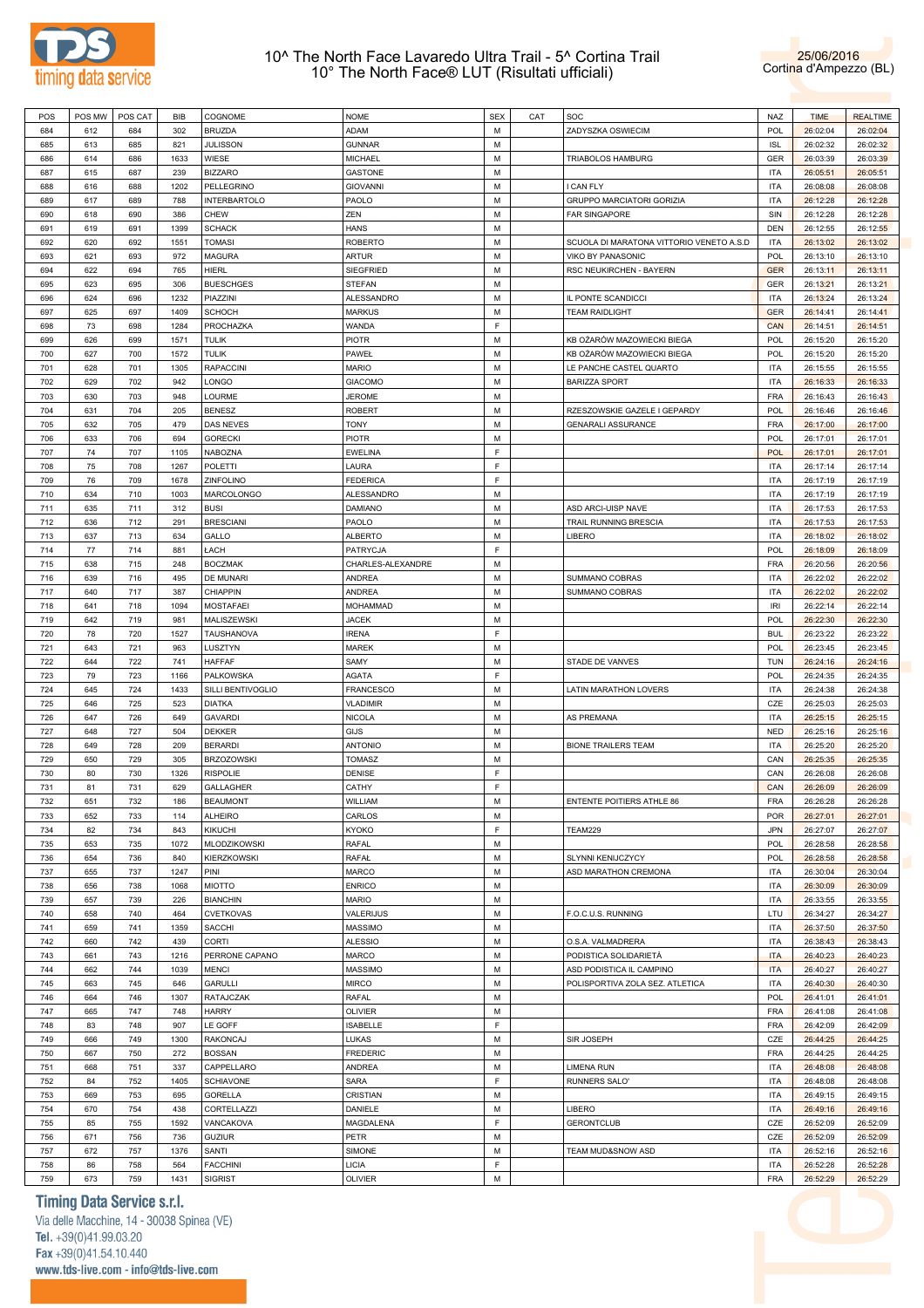



| POS | POS MW | POS CAT | <b>BIB</b> | COGNOME             | <b>NOME</b>       | <b>SEX</b> | CAT | SOC                                      | NAZ        | <b>TIME</b> | <b>REALTIME</b> |
|-----|--------|---------|------------|---------------------|-------------------|------------|-----|------------------------------------------|------------|-------------|-----------------|
| 684 | 612    | 684     | 302        | <b>BRUZDA</b>       | ADAM              | M          |     | ZADYSZKA OSWIECIM                        | POL        | 26:02:04    | 26:02:04        |
| 685 | 613    | 685     | 821        | <b>JULISSON</b>     | <b>GUNNAR</b>     | М          |     |                                          | <b>ISL</b> | 26:02:32    | 26:02:32        |
| 686 | 614    | 686     | 1633       | WIESE               | <b>MICHAEL</b>    | М          |     | TRIABOLOS HAMBURG                        | GER        | 26:03:39    | 26:03:39        |
| 687 | 615    | 687     | 239        | <b>BIZZARO</b>      | GASTONE           | М          |     |                                          | <b>ITA</b> | 26:05:51    | 26:05:51        |
| 688 | 616    | 688     | 1202       | PELLEGRINO          | <b>GIOVANNI</b>   | М          |     | I CAN FLY                                | <b>ITA</b> | 26:08:08    | 26:08:08        |
| 689 | 617    | 689     | 788        | <b>INTERBARTOLO</b> | PAOLO             | М          |     | <b>GRUPPO MARCIATORI GORIZIA</b>         | <b>ITA</b> | 26:12:28    | 26:12:28        |
| 690 | 618    | 690     | 386        | CHEW                | ZEN               | М          |     | <b>FAR SINGAPORE</b>                     | SIN        | 26:12:28    | 26:12:28        |
| 691 | 619    | 691     | 1399       | <b>SCHACK</b>       | <b>HANS</b>       | М          |     |                                          | <b>DEN</b> | 26:12:55    | 26:12:55        |
| 692 | 620    | 692     | 1551       | <b>TOMASI</b>       | <b>ROBERTO</b>    | М          |     | SCUOLA DI MARATONA VITTORIO VENETO A.S.D | <b>ITA</b> | 26:13:02    | 26:13:02        |
| 693 | 621    | 693     | 972        | <b>MAGURA</b>       | <b>ARTUR</b>      | М          |     | VIKO BY PANASONIC                        | POL        | 26:13:10    | 26:13:10        |
| 694 | 622    | 694     | 765        | HIERL               | SIEGFRIED         | М          |     | RSC NEUKIRCHEN - BAYERN                  | <b>GER</b> | 26:13:11    | 26:13:11        |
| 695 | 623    | 695     | 306        | <b>BUESCHGES</b>    | <b>STEFAN</b>     | М          |     |                                          | <b>GER</b> | 26:13:21    | 26:13:21        |
| 696 | 624    | 696     | 1232       | PIAZZINI            | ALESSANDRO        | М          |     | IL PONTE SCANDICCI                       | <b>ITA</b> | 26:13:24    | 26:13:24        |
| 697 | 625    | 697     | 1409       | <b>SCHOCH</b>       | <b>MARKUS</b>     | М          |     | <b>TEAM RAIDLIGHT</b>                    | <b>GER</b> | 26:14:41    | 26:14:41        |
| 698 | 73     | 698     | 1284       | PROCHAZKA           | WANDA             | F          |     |                                          | CAN        | 26:14:51    | 26:14:51        |
| 699 | 626    | 699     | 1571       | <b>TULIK</b>        | <b>PIOTR</b>      | М          |     | KB OŻARÓW MAZOWIECKI BIEGA               | POL        | 26:15:20    | 26:15:20        |
| 700 | 627    | 700     | 1572       | <b>TULIK</b>        | PAWEŁ             | М          |     | KB OŻARÓW MAZOWIECKI BIEGA               | POL        | 26:15:20    | 26:15:20        |
| 701 | 628    | 701     | 1305       | <b>RAPACCINI</b>    | <b>MARIO</b>      | М          |     | LE PANCHE CASTEL QUARTO                  | <b>ITA</b> | 26:15:55    | 26:15:55        |
| 702 | 629    |         | 942        | LONGO               | GIACOMO           | М          |     | <b>BARIZZA SPORT</b>                     | <b>ITA</b> |             |                 |
|     |        | 702     |            | LOURME              |                   | М          |     |                                          | FRA        | 26:16:33    | 26:16:33        |
| 703 | 630    | 703     | 948        |                     | <b>JEROME</b>     |            |     |                                          |            | 26:16:43    | 26:16:43        |
| 704 | 631    | 704     | 205        | <b>BENESZ</b>       | <b>ROBERT</b>     | М          |     | RZESZOWSKIE GAZELE I GEPARDY             | POL        | 26:16:46    | 26:16:46        |
| 705 | 632    | 705     | 479        | <b>DAS NEVES</b>    | <b>TONY</b>       | М          |     | <b>GENARALI ASSURANCE</b>                | <b>FRA</b> | 26:17:00    | 26:17:00        |
| 706 | 633    | 706     | 694        | <b>GORECKI</b>      | PIOTR             | М          |     |                                          | POL        | 26:17:01    | 26:17:01        |
| 707 | 74     | 707     | 1105       | NABOZNA             | EWELINA           | F          |     |                                          | <b>POL</b> | 26:17:01    | 26:17:01        |
| 708 | 75     | 708     | 1267       | <b>POLETTI</b>      | LAURA             | F          |     |                                          | <b>ITA</b> | 26:17:14    | 26:17:14        |
| 709 | 76     | 709     | 1678       | <b>ZINFOLINO</b>    | <b>FEDERICA</b>   | F          |     |                                          | <b>ITA</b> | 26:17:19    | 26:17:19        |
| 710 | 634    | 710     | 1003       | MARCOLONGO          | ALESSANDRO        | М          |     |                                          | <b>ITA</b> | 26:17:19    | 26:17:19        |
| 711 | 635    | 711     | 312        | <b>BUSI</b>         | <b>DAMIANO</b>    | М          |     | ASD ARCI-UISP NAVE                       | <b>ITA</b> | 26:17:53    | 26:17:53        |
| 712 | 636    | 712     | 291        | <b>BRESCIANI</b>    | PAOLO             | М          |     | TRAIL RUNNING BRESCIA                    | <b>ITA</b> | 26:17:53    | 26:17:53        |
| 713 | 637    | 713     | 634        | GALLO               | <b>ALBERTO</b>    | М          |     | LIBERO                                   | <b>ITA</b> | 26:18:02    | 26:18:02        |
| 714 | 77     | 714     | 881        | ŁACH                | PATRYCJA          | F          |     |                                          | POL        | 26:18:09    | 26:18:09        |
| 715 | 638    | 715     | 248        | <b>BOCZMAK</b>      | CHARLES-ALEXANDRE | М          |     |                                          | <b>FRA</b> | 26:20:56    | 26:20:56        |
| 716 | 639    | 716     | 495        | <b>DE MUNARI</b>    | ANDREA            | М          |     | SUMMANO COBRAS                           | <b>ITA</b> | 26:22:02    | 26:22:02        |
| 717 | 640    | 717     | 387        | CHIAPPIN            | <b>ANDREA</b>     | М          |     | SUMMANO COBRAS                           | <b>ITA</b> | 26:22:02    | 26:22:02        |
| 718 | 641    | 718     | 1094       | <b>MOSTAFAEI</b>    | <b>MOHAMMAD</b>   | М          |     |                                          | IRI        | 26:22:14    | 26:22:14        |
| 719 | 642    | 719     | 981        | MALISZEWSKI         | <b>JACEK</b>      | М          |     |                                          | POL        | 26:22:30    | 26:22:30        |
| 720 | 78     | 720     | 1527       | TAUSHANOVA          | <b>IRENA</b>      | F          |     |                                          | <b>BUL</b> | 26:23:22    | 26:23:22        |
| 721 | 643    | 721     | 963        | LUSZTYN             | <b>MAREK</b>      | М          |     |                                          | POL        | 26:23:45    | 26:23:45        |
| 722 | 644    | 722     | 741        | <b>HAFFAF</b>       | SAMY              | М          |     | STADE DE VANVES                          | <b>TUN</b> | 26:24:16    | 26:24:16        |
| 723 | 79     | 723     | 1166       | PALKOWSKA           | <b>AGATA</b>      | F          |     |                                          | POL        | 26:24:35    | 26:24:35        |
| 724 | 645    | 724     | 1433       | SILLI BENTIVOGLIO   | FRANCESCO         | М          |     | <b>LATIN MARATHON LOVERS</b>             | <b>ITA</b> | 26:24:38    | 26:24:38        |
| 725 | 646    | 725     | 523        | <b>DIATKA</b>       | <b>VLADIMIR</b>   | М          |     |                                          | CZE        | 26:25:03    | 26:25:03        |
| 726 | 647    | 726     | 649        | <b>GAVARDI</b>      | <b>NICOLA</b>     | М          |     | AS PREMANA                               | <b>ITA</b> | 26:25:15    | 26:25:15        |
| 727 | 648    | 727     | 504        | <b>DEKKER</b>       | <b>GIJS</b>       | М          |     |                                          | <b>NED</b> | 26:25:16    | 26:25:16        |
| 728 | 649    | 728     | 209        | <b>BERARDI</b>      | <b>ANTONIO</b>    | М          |     | <b>BIONE TRAILERS TEAM</b>               | <b>ITA</b> | 26:25:20    | 26:25:20        |
| 729 | 650    | 729     | 305        | <b>BRZOZOWSKI</b>   | <b>TOMASZ</b>     | М          |     |                                          | CAN        | 26:25:35    | 26:25:35        |
| 730 | 80     | 730     | 1326       | <b>RISPOLIE</b>     | DENISE            | F          |     |                                          | CAN        | 26:26:08    | 26:26:08        |
| 731 | 81     | 731     | 629        | <b>GALLAGHER</b>    | CATHY             | F          |     |                                          | CAN        | 26:26:09    | 26:26:09        |
| 732 | 651    | 732     | 186        | <b>BEAUMONT</b>     | WILLIAM           | M          |     | <b>ENTENTE POITIERS ATHLE 86</b>         | FRA        | 26:26:28    | 26:26:28        |
| 733 | 652    | 733     | 114        | <b>ALHEIRO</b>      | CARLOS            | М          |     |                                          | POR        | 26:27:01    | 26:27:01        |
| 734 | 82     | 734     | 843        | <b>KIKUCHI</b>      | <b>KYOKO</b>      | F          |     | <b>TEAM229</b>                           | <b>JPN</b> | 26:27:07    | 26:27:07        |
| 735 | 653    | 735     | 1072       | MLODZIKOWSKI        | RAFAL             | М          |     |                                          | POL        | 26:28:58    | 26:28:58        |
| 736 | 654    | 736     | 840        | <b>KIERZKOWSKI</b>  | <b>RAFAŁ</b>      | М          |     | SLYNNI KENIJCZYCY                        | <b>POL</b> | 26:28:58    | 26:28:58        |
| 737 | 655    | 737     | 1247       | PINI                | MARCO             | М          |     | ASD MARATHON CREMONA                     | <b>ITA</b> | 26:30:04    | 26:30:04        |
| 738 | 656    | 738     | 1068       | <b>MIOTTO</b>       | <b>ENRICO</b>     | М          |     |                                          | <b>ITA</b> | 26:30:09    | 26:30:09        |
| 739 | 657    | 739     | 226        | <b>BIANCHIN</b>     | MARIO             | М          |     |                                          | <b>ITA</b> | 26:33:55    | 26:33:55        |
| 740 | 658    | 740     | 464        | <b>CVETKOVAS</b>    | VALERIJUS         | М          |     | F.O.C.U.S. RUNNING                       | LTU        | 26:34:27    | 26:34:27        |
| 741 | 659    | 741     | 1359       | SACCHI              | MASSIMO           | М          |     |                                          | <b>ITA</b> |             | 26:37:50        |
|     |        |         | 439        | CORTI               |                   | М          |     |                                          |            | 26:37:50    |                 |
| 742 | 660    | 742     |            |                     | <b>ALESSIO</b>    |            |     | O.S.A. VALMADRERA                        | <b>ITA</b> | 26:38:43    | 26:38:43        |
| 743 | 661    | 743     | 1216       | PERRONE CAPANO      | MARCO             | М          |     | PODISTICA SOLIDARIETÀ                    | <b>ITA</b> | 26:40:23    | 26:40:23        |
| 744 | 662    | 744     | 1039       | <b>MENCI</b>        | MASSIMO           | М          |     | ASD PODISTICA IL CAMPINO                 | <b>ITA</b> | 26:40:27    | 26:40:27        |
| 745 | 663    | 745     | 646        | <b>GARULLI</b>      | <b>MIRCO</b>      | М          |     | POLISPORTIVA ZOLA SEZ. ATLETICA          | <b>ITA</b> | 26:40:30    | 26:40:30        |
| 746 | 664    | 746     | 1307       | RATAJCZAK           | <b>RAFAL</b>      | М          |     |                                          | POL        | 26:41:01    | 26:41:01        |
| 747 | 665    | 747     | 748        | <b>HARRY</b>        | OLIVIER           | М          |     |                                          | FRA        | 26:41:08    | 26:41:08        |
| 748 | 83     | 748     | 907        | LE GOFF             | <b>ISABELLE</b>   | F          |     |                                          | <b>FRA</b> | 26:42:09    | 26:42:09        |
| 749 | 666    | 749     | 1300       | RAKONCAJ            | LUKAS             | М          |     | SIR JOSEPH                               | CZE        | 26:44:25    | 26:44:25        |
| 750 | 667    | 750     | 272        | <b>BOSSAN</b>       | <b>FREDERIC</b>   | М          |     |                                          | <b>FRA</b> | 26:44:25    | 26:44:25        |
| 751 | 668    | 751     | 337        | CAPPELLARO          | ANDREA            | М          |     | LIMENA RUN                               | <b>ITA</b> | 26:48:08    | 26:48:08        |
| 752 | 84     | 752     | 1405       | <b>SCHIAVONE</b>    | SARA              | F          |     | RUNNERS SALO'                            | <b>ITA</b> | 26:48:08    | 26:48:08        |
| 753 | 669    | 753     | 695        | <b>GORELLA</b>      | CRISTIAN          | М          |     |                                          | <b>ITA</b> | 26:49:15    | 26:49:15        |
| 754 | 670    | 754     | 438        | CORTELLAZZI         | DANIELE           | М          |     | LIBERO                                   | <b>ITA</b> | 26:49:16    | 26:49:16        |
| 755 | 85     | 755     | 1592       | VANCAKOVA           | MAGDALENA         | F          |     | <b>GERONTCLUB</b>                        | CZE        | 26:52:09    | 26:52:09        |
| 756 | 671    | 756     | 736        | <b>GUZIUR</b>       | PETR              | М          |     |                                          | CZE        | 26:52:09    | 26:52:09        |
| 757 | 672    | 757     | 1376       | SANTI               | SIMONE            | М          |     | TEAM MUD&SNOW ASD                        | <b>ITA</b> | 26:52:16    | 26:52:16        |
| 758 | 86     | 758     | 564        | <b>FACCHINI</b>     | LICIA             | F          |     |                                          | <b>ITA</b> | 26:52:28    | 26:52:28        |
| 759 | 673    | 759     | 1431       | <b>SIGRIST</b>      | <b>OLIVIER</b>    | М          |     |                                          | FRA        | 26:52:29    | 26:52:29        |

## **Timing Data Service s.r.l.**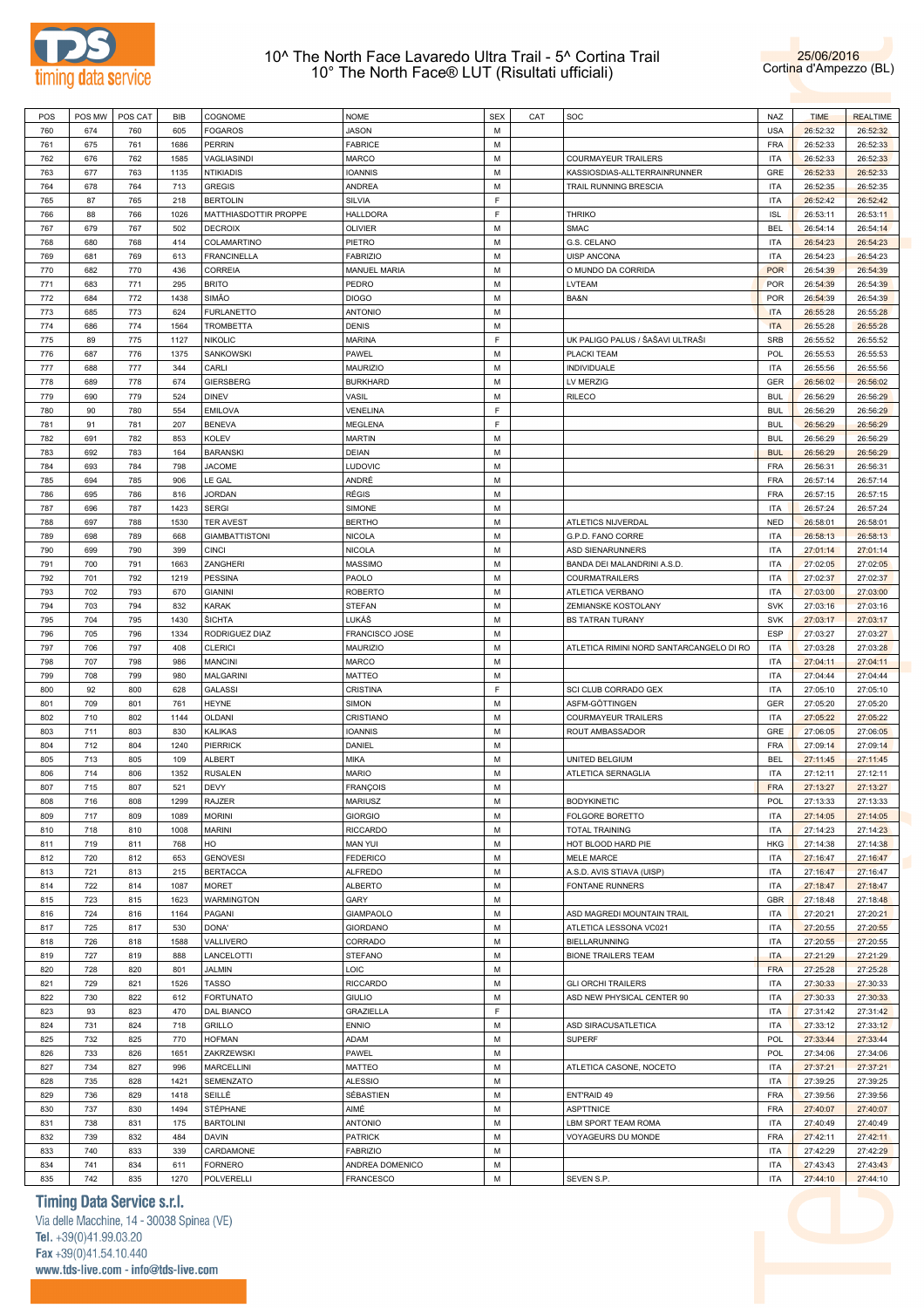



| POS | POS MW | POS CAT | BIB  | COGNOME               | <b>NOME</b>         | <b>SEX</b> | CAT | SOC                                      | <b>NAZ</b> | <b>TIME</b> | <b>REALTIME</b> |
|-----|--------|---------|------|-----------------------|---------------------|------------|-----|------------------------------------------|------------|-------------|-----------------|
| 760 | 674    | 760     | 605  | <b>FOGAROS</b>        | <b>JASON</b>        | M          |     |                                          | <b>USA</b> | 26:52:32    | 26:52:32        |
| 761 | 675    | 761     | 1686 | <b>PERRIN</b>         | <b>FABRICE</b>      | M          |     |                                          | FRA        | 26:52:33    | 26:52:33        |
| 762 | 676    | 762     | 1585 | VAGLIASINDI           | MARCO               | M          |     | <b>COURMAYEUR TRAILERS</b>               | <b>ITA</b> | 26:52:33    | 26:52:33        |
|     |        |         |      |                       |                     |            |     |                                          |            |             |                 |
| 763 | 677    | 763     | 1135 | <b>NTIKIADIS</b>      | <b>IOANNIS</b>      | M          |     | KASSIOSDIAS-ALLTERRAINRUNNER             | GRE        | 26:52:33    | 26:52:33        |
| 764 | 678    | 764     | 713  | <b>GREGIS</b>         | ANDREA              | M          |     | TRAIL RUNNING BRESCIA                    | <b>ITA</b> | 26:52:35    | 26:52:35        |
| 765 | 87     | 765     | 218  | <b>BERTOLIN</b>       | <b>SILVIA</b>       | F          |     |                                          | <b>ITA</b> | 26:52:42    | 26:52:42        |
| 766 | 88     | 766     | 1026 | MATTHIASDOTTIR PROPPE | HALLDORA            | E          |     | <b>THRIKO</b>                            | <b>ISL</b> | 26:53:11    | 26:53:11        |
| 767 | 679    | 767     | 502  | <b>DECROIX</b>        | <b>OLIVIER</b>      | M          |     | <b>SMAC</b>                              | <b>BEL</b> | 26:54:14    | 26:54:14        |
| 768 | 680    | 768     | 414  | COLAMARTINO           | PIETRO              | M          |     | G.S. CELANO                              | <b>ITA</b> | 26:54:23    | 26:54:23        |
| 769 | 681    | 769     | 613  | <b>FRANCINELLA</b>    | <b>FABRIZIO</b>     | M          |     | <b>UISP ANCONA</b>                       | <b>ITA</b> | 26:54:23    | 26:54:23        |
|     |        |         |      |                       |                     |            |     |                                          |            |             |                 |
| 770 | 682    | 770     | 436  | CORREIA               | <b>MANUEL MARIA</b> | M          |     | O MUNDO DA CORRIDA                       | <b>POR</b> | 26:54:39    | 26:54:39        |
| 771 | 683    | 771     | 295  | <b>BRITO</b>          | PEDRO               | M          |     | LVTEAM                                   | <b>POR</b> | 26:54:39    | 26:54:39        |
| 772 | 684    | 772     | 1438 | <b>SIMÃO</b>          | <b>DIOGO</b>        | M          |     | BA&N                                     | <b>POR</b> | 26:54:39    | 26:54:39        |
| 773 | 685    | 773     | 624  | <b>FURLANETTO</b>     | <b>ANTONIO</b>      | M          |     |                                          | <b>ITA</b> | 26:55:28    | 26:55:28        |
| 774 | 686    | 774     | 1564 | <b>TROMBETTA</b>      | <b>DENIS</b>        | M          |     |                                          | <b>ITA</b> | 26:55:28    | 26:55:28        |
| 775 | 89     | 775     | 1127 | <b>NIKOLIC</b>        | <b>MARINA</b>       | E          |     | UK PALIGO PALUS / ŠAŠAVI ULTRAŠI         | SRB        | 26:55:52    | 26:55:52        |
| 776 | 687    | 776     | 1375 | SANKOWSKI             | PAWEL               | M          |     | PLACKI TEAM                              | <b>POL</b> | 26:55:53    | 26:55:53        |
| 777 | 688    |         |      | CARLI                 |                     | M          |     |                                          |            |             |                 |
|     |        | 777     | 344  |                       | MAURIZIO            |            |     | <b>INDIVIDUALE</b>                       | <b>ITA</b> | 26:55:56    | 26:55:56        |
| 778 | 689    | 778     | 674  | <b>GIERSBERG</b>      | <b>BURKHARD</b>     | M          |     | LV MERZIG                                | <b>GER</b> | 26:56:02    | 26:56:02        |
| 779 | 690    | 779     | 524  | <b>DINEV</b>          | VASIL               | M          |     | <b>RILECO</b>                            | <b>BUL</b> | 26:56:29    | 26:56:29        |
| 780 | 90     | 780     | 554  | <b>EMILOVA</b>        | VENELINA            | E          |     |                                          | <b>BUL</b> | 26:56:29    | 26:56:29        |
| 781 | 91     | 781     | 207  | <b>BENEVA</b>         | MEGLENA             | E          |     |                                          | <b>BUL</b> | 26:56:29    | 26:56:29        |
| 782 | 691    | 782     | 853  | <b>KOLEV</b>          | <b>MARTIN</b>       | M          |     |                                          | <b>BUL</b> | 26:56:29    | 26:56:29        |
| 783 | 692    | 783     | 164  | <b>BARANSKI</b>       | <b>DEIAN</b>        | M          |     |                                          | <b>BUL</b> | 26:56:29    | 26:56:29        |
|     |        |         |      |                       |                     | M          |     |                                          | FRA        |             |                 |
| 784 | 693    | 784     | 798  | <b>JACOME</b>         | LUDOVIC             |            |     |                                          |            | 26:56:31    | 26:56:31        |
| 785 | 694    | 785     | 906  | LE GAL                | ANDRÉ               | M          |     |                                          | FRA        | 26:57:14    | 26:57:14        |
| 786 | 695    | 786     | 816  | <b>JORDAN</b>         | RÉGIS               | M          |     |                                          | FRA        | 26:57:15    | 26:57:15        |
| 787 | 696    | 787     | 1423 | <b>SERGI</b>          | SIMONE              | M          |     |                                          | <b>ITA</b> | 26:57:24    | 26:57:24        |
| 788 | 697    | 788     | 1530 | <b>TER AVEST</b>      | <b>BERTHO</b>       | M          |     | ATLETICS NIJVERDAL                       | <b>NED</b> | 26:58:01    | 26:58:01        |
| 789 | 698    | 789     | 668  | <b>GIAMBATTISTONI</b> | <b>NICOLA</b>       | M          |     | G.P.D. FANO CORRE                        | <b>ITA</b> | 26:58:13    | 26:58:13        |
| 790 | 699    | 790     | 399  | <b>CINCI</b>          | <b>NICOLA</b>       | M          |     | ASD SIENARUNNERS                         | <b>ITA</b> | 27:01:14    | 27:01:14        |
|     |        |         |      |                       |                     |            |     |                                          |            |             |                 |
| 791 | 700    | 791     | 1663 | ZANGHERI              | <b>MASSIMO</b>      | M          |     | BANDA DEI MALANDRINI A.S.D.              | <b>ITA</b> | 27:02:05    | 27:02:05        |
| 792 | 701    | 792     | 1219 | <b>PESSINA</b>        | PAOLO               | M          |     | COURMATRAILERS                           | <b>ITA</b> | 27:02:37    | 27:02:37        |
| 793 | 702    | 793     | 670  | <b>GIANINI</b>        | <b>ROBERTO</b>      | M          |     | ATLETICA VERBANO                         | <b>ITA</b> | 27:03:00    | 27:03:00        |
| 794 | 703    | 794     | 832  | <b>KARAK</b>          | <b>STEFAN</b>       | M          |     | ZEMIANSKE KOSTOLANY                      | <b>SVK</b> | 27:03:16    | 27:03:16        |
| 795 | 704    | 795     | 1430 | ŠICHTA                | LUKÁŠ               | M          |     | <b>BS TATRAN TURANY</b>                  | <b>SVK</b> | 27:03:17    | 27:03:17        |
| 796 | 705    | 796     | 1334 | RODRIGUEZ DIAZ        | FRANCISCO JOSE      | M          |     |                                          | <b>ESP</b> | 27:03:27    | 27:03:27        |
| 797 | 706    | 797     | 408  | <b>CLERICI</b>        | MAURIZIO            | M          |     | ATLETICA RIMINI NORD SANTARCANGELO DI RO | <b>ITA</b> | 27:03:28    | 27:03:28        |
| 798 | 707    | 798     | 986  | <b>MANCINI</b>        | <b>MARCO</b>        | M          |     |                                          | <b>ITA</b> | 27:04:11    | 27:04:11        |
|     |        |         |      |                       |                     |            |     |                                          |            |             |                 |
| 799 | 708    | 799     | 980  | <b>MALGARINI</b>      | <b>MATTEO</b>       | M          |     |                                          | <b>ITA</b> | 27:04:44    | 27:04:44        |
| 800 | 92     | 800     | 628  | <b>GALASSI</b>        | CRISTINA            | F          |     | SCI CLUB CORRADO GEX                     | <b>ITA</b> | 27:05:10    | 27:05:10        |
| 801 | 709    | 801     | 761  | <b>HEYNE</b>          | SIMON               | M          |     | ASFM-GÖTTINGEN                           | <b>GER</b> | 27:05:20    | 27:05:20        |
| 802 | 710    | 802     | 1144 | <b>OLDANI</b>         | CRISTIANO           | M          |     | <b>COURMAYEUR TRAILERS</b>               | <b>ITA</b> | 27:05:22    | 27:05:22        |
| 803 | 711    | 803     | 830  | <b>KALIKAS</b>        | <b>IOANNIS</b>      | M          |     | ROUT AMBASSADOR                          | GRE        | 27:06:05    | 27:06:05        |
| 804 | 712    | 804     | 1240 | PIERRICK              | DANIEL              | M          |     |                                          | <b>FRA</b> | 27:09:14    | 27:09:14        |
| 805 | 713    | 805     | 109  | <b>ALBERT</b>         | MIKA                | M          |     | UNITED BELGIUM                           | <b>BEL</b> | 27:11:45    | 27:11:45        |
|     |        |         |      |                       |                     | M          |     |                                          |            |             |                 |
| 806 | 714    | 806     | 1352 | <b>RUSALEN</b>        | <b>MARIO</b>        |            |     | ATLETICA SERNAGLIA                       | <b>ITA</b> | 27:12:11    | 27:12:11        |
| 807 | 715    | 807     | 521  | <b>DEVY</b>           | <b>FRANÇOIS</b>     | M          |     |                                          | <b>FRA</b> | 27:13:27    | 27:13:27        |
| 808 | 716    | 808     | 1299 | <b>RAJZER</b>         | <b>MARIUSZ</b>      | M          |     | <b>BODYKINETIC</b>                       | POL        | 27:13:33    | 27:13:33        |
| 809 | 717    | 809     | 1089 | <b>MORINI</b>         | <b>GIORGIO</b>      | M          |     | FOLGORE BORETTO                          | <b>ITA</b> | 27:14:05    | 27:14:05        |
| 810 | 718    | 810     | 1008 | <b>MARINI</b>         | <b>RICCARDO</b>     | M          |     | <b>TOTAL TRAINING</b>                    | <b>ITA</b> | 27:14:23    | 27:14:23        |
| 811 | 719    | 811     | 768  | HO                    | <b>MAN YUI</b>      | M          |     | HOT BLOOD HARD PIE                       | <b>HKG</b> | 27:14:38    | 27:14:38        |
| 812 | 720    | 812     | 653  | <b>GENOVESI</b>       | <b>FEDERICO</b>     | M          |     | <b>MELE MARCE</b>                        | <b>ITA</b> | 27:16:47    | 27:16:47        |
| 813 | 721    | 813     | 215  | <b>BERTACCA</b>       | <b>ALFREDO</b>      | M          |     | A.S.D. AVIS STIAVA (UISP)                | <b>ITA</b> | 27:16:47    | 27:16:47        |
|     |        |         |      |                       |                     |            |     |                                          |            |             |                 |
| 814 | 722    | 814     | 1087 | <b>MORET</b>          | <b>ALBERTO</b>      | M          |     | FONTANE RUNNERS                          | <b>ITA</b> | 27:18:47    | 27:18:47        |
| 815 | 723    | 815     | 1623 | WARMINGTON            | GARY                | M          |     |                                          | <b>GBR</b> | 27:18:48    | 27:18:48        |
| 816 | 724    | 816     | 1164 | PAGANI                | <b>GIAMPAOLO</b>    | M          |     | ASD MAGREDI MOUNTAIN TRAIL               | <b>ITA</b> | 27:20:21    | 27:20:21        |
| 817 | 725    | 817     | 530  | DONA'                 | GIORDANO            | M          |     | ATLETICA LESSONA VC021                   | <b>ITA</b> | 27:20:55    | 27:20:55        |
| 818 | 726    | 818     | 1588 | VALLIVERO             | CORRADO             | M          |     | BIELLARUNNING                            | <b>ITA</b> | 27:20:55    | 27:20:55        |
| 819 | 727    | 819     | 888  | LANCELOTTI            | <b>STEFANO</b>      | M          |     | <b>BIONE TRAILERS TEAM</b>               | <b>ITA</b> | 27:21:29    | 27:21:29        |
| 820 | 728    | 820     | 801  | JALMIN                | LOIC                | M          |     |                                          | <b>FRA</b> | 27:25:28    | 27:25:28        |
|     |        |         |      |                       |                     |            |     |                                          |            |             |                 |
| 821 | 729    | 821     | 1526 | <b>TASSO</b>          | RICCARDO            | M          |     | <b>GLI ORCHI TRAILERS</b>                | <b>ITA</b> | 27:30:33    | 27:30:33        |
| 822 | 730    | 822     | 612  | <b>FORTUNATO</b>      | <b>GIULIO</b>       | M          |     | ASD NEW PHYSICAL CENTER 90               | <b>ITA</b> | 27:30:33    | 27:30:33        |
| 823 | 93     | 823     | 470  | DAL BIANCO            | GRAZIELLA           | E          |     |                                          | <b>ITA</b> | 27:31:42    | 27:31:42        |
| 824 | 731    | 824     | 718  | <b>GRILLO</b>         | <b>ENNIO</b>        | M          |     | ASD SIRACUSATLETICA                      | <b>ITA</b> | 27:33:12    | 27:33:12        |
| 825 | 732    | 825     | 770  | <b>HOFMAN</b>         | ADAM                | M          |     | <b>SUPERF</b>                            | <b>POL</b> | 27:33:44    | 27:33:44        |
| 826 | 733    | 826     | 1651 | ZAKRZEWSKI            | PAWEL               | M          |     |                                          | <b>POL</b> | 27:34:06    | 27:34:06        |
| 827 | 734    | 827     | 996  | <b>MARCELLINI</b>     | MATTEO              | M          |     | ATLETICA CASONE, NOCETO                  | <b>ITA</b> | 27:37:21    | 27:37:21        |
|     |        |         |      |                       |                     |            |     |                                          |            |             |                 |
| 828 | 735    | 828     | 1421 | SEMENZATO             | <b>ALESSIO</b>      | M          |     |                                          | <b>ITA</b> | 27:39:25    | 27:39:25        |
| 829 | 736    | 829     | 1418 | SEILLÉ                | SÉBASTIEN           | M          |     | ENT'RAID 49                              | <b>FRA</b> | 27:39:56    | 27:39:56        |
| 830 | 737    | 830     | 1494 | STÉPHANE              | AIMÉ                | M          |     | <b>ASPTTNICE</b>                         | <b>FRA</b> | 27:40:07    | 27:40:07        |
| 831 | 738    | 831     | 175  | <b>BARTOLINI</b>      | <b>ANTONIO</b>      | M          |     | LBM SPORT TEAM ROMA                      | <b>ITA</b> | 27:40:49    | 27:40:49        |
| 832 | 739    | 832     | 484  | <b>DAVIN</b>          | <b>PATRICK</b>      | M          |     | VOYAGEURS DU MONDE                       | <b>FRA</b> | 27:42:11    | 27:42:11        |
| 833 | 740    | 833     | 339  | CARDAMONE             | <b>FABRIZIO</b>     | M          |     |                                          | <b>ITA</b> | 27:42:29    | 27:42:29        |
|     | 741    |         | 611  |                       |                     | M          |     |                                          |            |             |                 |
| 834 |        | 834     |      | <b>FORNERO</b>        | ANDREA DOMENICO     |            |     |                                          | <b>ITA</b> | 27:43:43    | 27:43:43        |
| 835 | 742    | 835     | 1270 | POLVERELLI            | <b>FRANCESCO</b>    | М          |     | SEVEN S.P.                               | <b>ITA</b> | 27:44:10    | 27:44:10        |

## **Timing Data Service s.r.l.**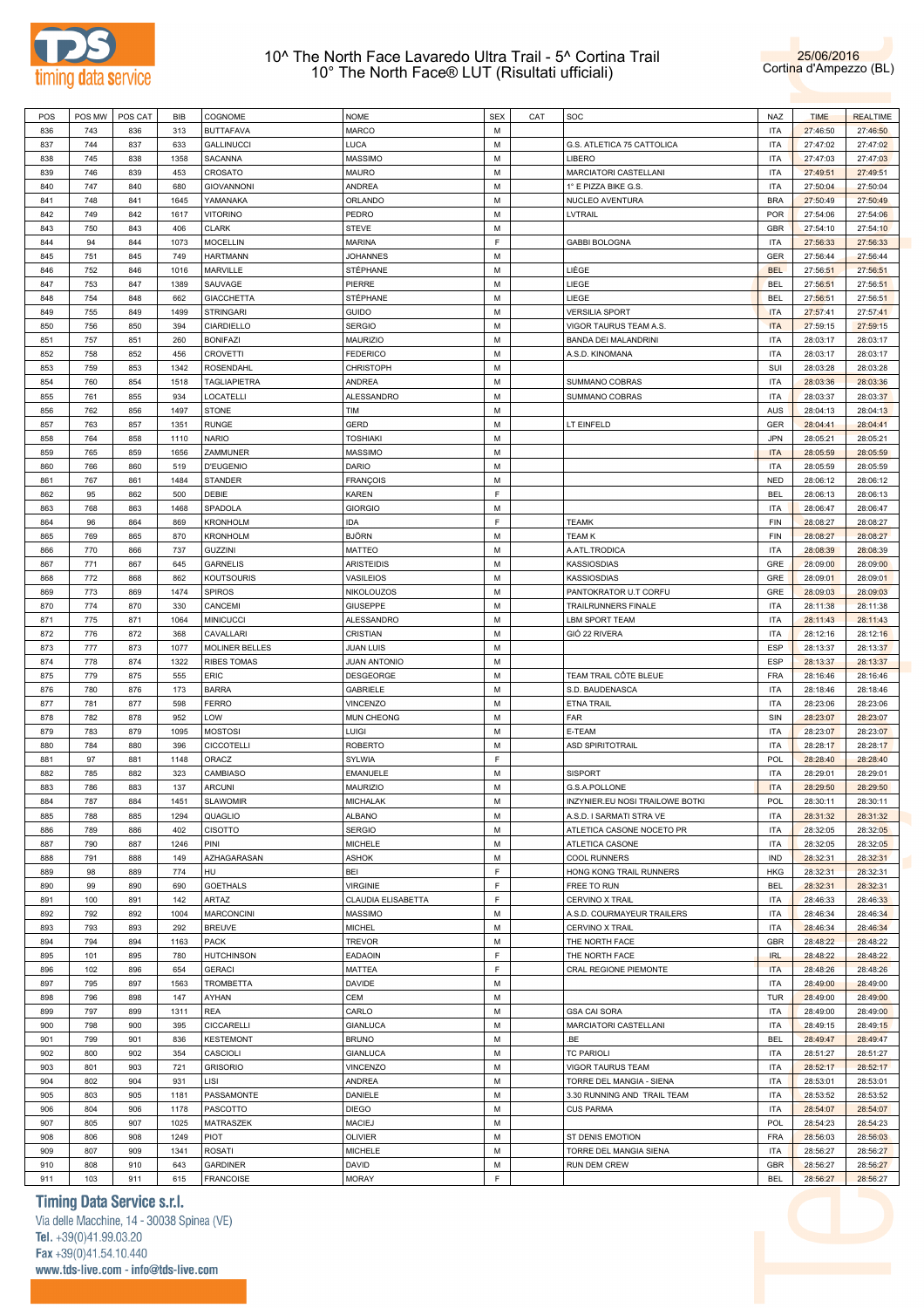



| POS | POS MW | POS CAT | BIB  | COGNOME             | <b>NOME</b>         | <b>SEX</b>  | CAT | SOC                             | <b>NAZ</b> | <b>TIME</b> | <b>REALTIME</b> |
|-----|--------|---------|------|---------------------|---------------------|-------------|-----|---------------------------------|------------|-------------|-----------------|
| 836 | 743    | 836     | 313  | <b>BUTTAFAVA</b>    | <b>MARCO</b>        | M           |     |                                 | <b>ITA</b> | 27:46:50    | 27:46:50        |
| 837 | 744    | 837     | 633  | <b>GALLINUCCI</b>   | LUCA                | M           |     | G.S. ATLETICA 75 CATTOLICA      | <b>ITA</b> | 27:47:02    | 27:47:02        |
| 838 | 745    | 838     | 1358 | <b>SACANNA</b>      | <b>MASSIMO</b>      | М           |     | LIBERO                          | ITA        | 27:47:03    | 27:47:03        |
|     |        |         |      |                     |                     |             |     |                                 |            |             |                 |
| 839 | 746    | 839     | 453  | CROSATO             | <b>MAURO</b>        | M           |     | MARCIATORI CASTELLANI           | <b>ITA</b> | 27:49:51    | 27:49:51        |
| 840 | 747    | 840     | 680  | <b>GIOVANNONI</b>   | ANDREA              | М           |     | 1° E PIZZA BIKE G.S.            | ITA        | 27:50:04    | 27:50:04        |
| 841 | 748    | 841     | 1645 | YAMANAKA            | ORLANDO             | M           |     | NUCLEO AVENTURA                 | <b>BRA</b> | 27:50:49    | 27:50:49        |
| 842 | 749    | 842     | 1617 | <b>VITORINO</b>     | PEDRO               | М           |     | LVTRAIL                         | <b>POR</b> | 27:54:06    | 27:54:06        |
| 843 | 750    | 843     | 406  | <b>CLARK</b>        | <b>STEVE</b>        | M           |     |                                 | GBR        | 27:54:10    | 27:54:10        |
| 844 | 94     | 844     | 1073 | <b>MOCELLIN</b>     | <b>MARINA</b>       | F           |     | <b>GABBI BOLOGNA</b>            | <b>ITA</b> | 27:56:33    | 27:56:33        |
| 845 | 751    | 845     | 749  | <b>HARTMANN</b>     | <b>JOHANNES</b>     | M           |     |                                 | <b>GER</b> | 27:56:44    | 27:56:44        |
|     |        |         |      |                     |                     |             |     |                                 |            |             |                 |
| 846 | 752    | 846     | 1016 | MARVILLE            | STÉPHANE            | М           |     | LIÈGE                           | <b>BEL</b> | 27:56:51    | 27:56:51        |
| 847 | 753    | 847     | 1389 | SAUVAGE             | PIERRE              | M           |     | LIEGE                           | <b>BEL</b> | 27:56:51    | 27:56:51        |
| 848 | 754    | 848     | 662  | <b>GIACCHETTA</b>   | STÉPHANE            | М           |     | LIEGE                           | <b>BEL</b> | 27:56:51    | 27:56:51        |
| 849 | 755    | 849     | 1499 | <b>STRINGARI</b>    | <b>GUIDO</b>        | M           |     | <b>VERSILIA SPORT</b>           | <b>ITA</b> | 27:57:41    | 27:57:41        |
| 850 | 756    | 850     | 394  | CIARDIELLO          | <b>SERGIO</b>       | М           |     | VIGOR TAURUS TEAM A.S           | <b>ITA</b> | 27:59:15    | 27:59:15        |
| 851 | 757    | 851     | 260  | <b>BONIFAZI</b>     | <b>MAURIZIO</b>     | M           |     | BANDA DEI MALANDRINI            | ITA        | 28:03:17    | 28:03:17        |
| 852 | 758    | 852     | 456  | <b>CROVETTI</b>     | <b>FEDERICO</b>     | М           |     | A.S.D. KINOMANA                 | ITA        | 28:03:17    | 28:03:17        |
| 853 | 759    | 853     | 1342 | ROSENDAHL           | <b>CHRISTOPH</b>    | M           |     |                                 | SUI        | 28:03:28    | 28:03:28        |
|     |        |         |      |                     |                     |             |     |                                 |            |             |                 |
| 854 | 760    | 854     | 1518 | <b>TAGLIAPIETRA</b> | ANDREA              | М           |     | SUMMANO COBRAS                  | ITA        | 28:03:36    | 28:03:36        |
| 855 | 761    | 855     | 934  | LOCATELLI           | ALESSANDRO          | M           |     | SUMMANO COBRAS                  | <b>ITA</b> | 28:03:37    | 28:03:37        |
| 856 | 762    | 856     | 1497 | <b>STONE</b>        | TIM                 | М           |     |                                 | AUS        | 28:04:13    | 28:04:13        |
| 857 | 763    | 857     | 1351 | <b>RUNGE</b>        | GERD                | M           |     | LT EINFELD                      | GER        | 28:04:41    | 28:04:41        |
| 858 | 764    | 858     | 1110 | <b>NARIO</b>        | <b>TOSHIAKI</b>     | М           |     |                                 | <b>JPN</b> | 28:05:21    | 28:05:21        |
| 859 | 765    | 859     | 1656 | ZAMMUNER            | <b>MASSIMO</b>      | M           |     |                                 | <b>ITA</b> | 28:05:59    | 28:05:59        |
| 860 | 766    | 860     | 519  | <b>D'EUGENIO</b>    | <b>DARIO</b>        | М           |     |                                 | ITA        | 28:05:59    |                 |
|     |        |         |      |                     |                     |             |     |                                 |            |             | 28:05:59        |
| 861 | 767    | 861     | 1484 | <b>STANDER</b>      | <b>FRANÇOIS</b>     | M           |     |                                 | <b>NED</b> | 28:06:12    | 28:06:12        |
| 862 | 95     | 862     | 500  | DEBIE               | KAREN               | F           |     |                                 | <b>BEL</b> | 28:06:13    | 28:06:13        |
| 863 | 768    | 863     | 1468 | SPADOLA             | <b>GIORGIO</b>      | M           |     |                                 | <b>ITA</b> | 28:06:47    | 28:06:47        |
| 864 | 96     | 864     | 869  | <b>KRONHOLM</b>     | IDA                 | F           |     | <b>TEAMK</b>                    | FIN        | 28:08:27    | 28:08:27        |
| 865 | 769    | 865     | 870  | <b>KRONHOLM</b>     | BJÖRN               | M           |     | <b>TEAM K</b>                   | FIN        | 28:08:27    | 28:08:27        |
| 866 | 770    | 866     | 737  | <b>GUZZINI</b>      | MATTEO              | М           |     | A.ATL.TRODICA                   | ITA        | 28:08:39    | 28:08:39        |
| 867 | 771    | 867     | 645  | <b>GARNELIS</b>     | <b>ARISTEIDIS</b>   | M           |     | <b>KASSIOSDIAS</b>              | GRE        | 28:09:00    |                 |
|     |        |         |      |                     |                     |             |     |                                 |            |             | 28:09:00        |
| 868 | 772    | 868     | 862  | <b>KOUTSOURIS</b>   | VASILEIOS           | М           |     | <b>KASSIOSDIAS</b>              | GRE        | 28:09:01    | 28:09:01        |
| 869 | 773    | 869     | 1474 | <b>SPIROS</b>       | NIKOLOUZOS          | M           |     | PANTOKRATOR U.T CORFU           | GRE        | 28:09:03    | 28:09:03        |
| 870 | 774    | 870     | 330  | CANCEMI             | <b>GIUSEPPE</b>     | М           |     | <b>TRAILRUNNERS FINALE</b>      | ITA        | 28:11:38    | 28:11:38        |
| 871 | 775    | 871     | 1064 | <b>MINICUCCI</b>    | ALESSANDRO          | M           |     | LBM SPORT TEAM                  | ITA        | 28:11:43    | 28:11:43        |
| 872 | 776    | 872     | 368  | CAVALLARI           | CRISTIAN            | М           |     | GIÓ 22 RIVERA                   | ITA        | 28:12:16    | 28:12:16        |
| 873 | 777    | 873     | 1077 | MOLINER BELLES      | <b>JUAN LUIS</b>    | M           |     |                                 | ESP        | 28:13:37    | 28:13:37        |
| 874 | 778    | 874     | 1322 | <b>RIBES TOMAS</b>  | <b>JUAN ANTONIO</b> | М           |     |                                 | ESP        | 28:13:37    | 28:13:37        |
|     |        |         |      |                     |                     |             |     |                                 |            |             |                 |
| 875 | 779    | 875     | 555  | ERIC                | DESGEORGE           | M           |     | TEAM TRAIL CÔTE BLEUE           | <b>FRA</b> | 28:16:46    | 28:16:46        |
| 876 | 780    | 876     | 173  | <b>BARRA</b>        | <b>GABRIELE</b>     | М           |     | S.D. BAUDENASCA                 | ITA        | 28:18:46    | 28:18:46        |
|     |        | 877     | 598  | <b>FERRO</b>        | VINCENZO            | M           |     | <b>ETNA TRAIL</b>               | <b>ITA</b> | 28:23:06    | 28:23:06        |
| 877 | 781    |         |      |                     |                     |             |     |                                 |            |             |                 |
| 878 | 782    | 878     | 952  | LOW                 | MUN CHEONG          | М           |     | FAR                             | SIN        | 28:23:07    | 28:23:07        |
| 879 | 783    | 879     | 1095 | <b>MOSTOSI</b>      | LUIGI               | M           |     | E-TEAM                          | <b>ITA</b> | 28:23:07    | 28:23:07        |
| 880 | 784    | 880     | 396  | <b>CICCOTELLI</b>   | <b>ROBERTO</b>      | М           |     | <b>ASD SPIRITOTRAIL</b>         | ITA        | 28:28:17    |                 |
|     |        |         |      |                     |                     |             |     |                                 |            |             | 28:28:17        |
| 881 | 97     | 881     | 1148 | ORACZ               | SYLWIA              | F           |     |                                 | POL        | 28:28:40    | 28:28:40        |
| 882 | 785    | 882     | 323  | CAMBIASO            | EMANUELE            | М           |     | <b>SISPORT</b>                  | <b>ITA</b> | 28:29:01    | 28:29:01        |
| 883 | 786    | 883     | 137  | <b>ARCUNI</b>       | <b>MAURIZIO</b>     | M           |     | G.S.A.POLLONE                   | <b>ITA</b> | 28:29:50    | 28:29:50        |
| 884 | 787    | 884     | 1451 | <b>SLAWOMIR</b>     | <b>MICHALAK</b>     | M           |     | INZYNIER.EU NOSI TRAILOWE BOTKI | <b>POL</b> | 28:30:11    | 28:30:11        |
| 885 | 788    | 885     | 1294 | QUAGLIO             | <b>ALBANO</b>       | М           |     | A.S.D. I SARMATI STRA VE        | <b>ITA</b> | 28:31:32    | 28:31:32        |
| 886 | 789    | 886     | 402  | <b>CISOTTO</b>      | <b>SERGIO</b>       | M           |     | ATLETICA CASONE NOCETO PR       | <b>ITA</b> | 28:32:05    | 28:32:05        |
| 887 | 790    | 887     | 1246 | PINI                | MICHELE             | M           |     | ATLETICA CASONE                 | <b>ITA</b> | 28:32:05    | 28:32:05        |
| 888 | 791    | 888     | 149  | AZHAGARASAN         | ASHOK               | M           |     | <b>COOL RUNNERS</b>             | IND        | 28:32:31    | 28:32:31        |
|     |        |         | 774  | HU                  | BEI                 | $\mathsf F$ |     |                                 |            |             |                 |
| 889 | 98     | 889     |      |                     |                     |             |     | HONG KONG TRAIL RUNNERS         | <b>HKG</b> | 28:32:31    | 28:32:31        |
| 890 | 99     | 890     | 690  | <b>GOETHALS</b>     | <b>VIRGINIE</b>     | F           |     | FREE TO RUN                     | <b>BEL</b> | 28:32:31    | 28:32:31        |
| 891 | 100    | 891     | 142  | ARTAZ               | CLAUDIA ELISABETTA  | $\mathsf F$ |     | <b>CERVINO X TRAIL</b>          | <b>ITA</b> | 28:46:33    | 28:46:33        |
| 892 | 792    | 892     | 1004 | <b>MARCONCINI</b>   | MASSIMO             | М           |     | A.S.D. COURMAYEUR TRAILERS      | <b>ITA</b> | 28:46:34    | 28:46:34        |
| 893 | 793    | 893     | 292  | <b>BREUVE</b>       | <b>MICHEL</b>       | M           |     | CERVINO X TRAIL                 | <b>ITA</b> | 28:46:34    | 28:46:34        |
| 894 | 794    | 894     | 1163 | <b>PACK</b>         | <b>TREVOR</b>       | M           |     | THE NORTH FACE                  | GBR        | 28:48:22    | 28:48:22        |
| 895 | 101    | 895     | 780  | <b>HUTCHINSON</b>   | EADAOIN             | $\mathsf F$ |     | THE NORTH FACE                  | <b>IRL</b> | 28:48:22    | 28:48:22        |
| 896 | 102    | 896     | 654  | <b>GERACI</b>       | <b>MATTEA</b>       | F           |     | CRAL REGIONE PIEMONTE           | <b>ITA</b> | 28:48:26    | 28:48:26        |
|     |        |         |      |                     |                     |             |     |                                 |            |             |                 |
| 897 | 795    | 897     | 1563 | <b>TROMBETTA</b>    | DAVIDE              | M           |     |                                 | ITA        | 28:49:00    | 28:49:00        |
| 898 | 796    | 898     | 147  | AYHAN               | CEM                 | М           |     |                                 | <b>TUR</b> | 28:49:00    | 28:49:00        |
| 899 | 797    | 899     | 1311 | <b>REA</b>          | CARLO               | M           |     | <b>GSA CAI SORA</b>             | <b>ITA</b> | 28:49:00    | 28:49:00        |
| 900 | 798    | 900     | 395  | CICCARELLI          | <b>GIANLUCA</b>     | М           |     | MARCIATORI CASTELLANI           | ITA        | 28:49:15    | 28:49:15        |
| 901 | 799    | 901     | 836  | <b>KESTEMONT</b>    | <b>BRUNO</b>        | M           |     | .BE                             | <b>BEL</b> | 28:49:47    | 28:49:47        |
| 902 | 800    | 902     | 354  | CASCIOLI            | <b>GIANLUCA</b>     | M           |     | <b>TC PARIOLI</b>               | <b>ITA</b> | 28:51:27    | 28:51:27        |
| 903 | 801    | 903     | 721  | <b>GRISORIO</b>     | VINCENZO            | M           |     | VIGOR TAURUS TEAM               | <b>ITA</b> | 28:52:17    | 28:52:17        |
| 904 | 802    | 904     | 931  | LISI                | ANDREA              | М           |     | TORRE DEL MANGIA - SIENA        | <b>ITA</b> | 28:53:01    | 28:53:01        |
|     |        |         |      |                     |                     |             |     |                                 |            |             |                 |
| 905 | 803    | 905     | 1181 | PASSAMONTE          | DANIELE             | M           |     | 3.30 RUNNING AND TRAIL TEAM     | <b>ITA</b> | 28:53:52    | 28:53:52        |
| 906 | 804    | 906     | 1178 | PASCOTTO            | <b>DIEGO</b>        | M           |     | <b>CUS PARMA</b>                | ITA        | 28:54:07    | 28:54:07        |
| 907 | 805    | 907     | 1025 | MATRASZEK           | <b>MACIEJ</b>       | M           |     |                                 | <b>POL</b> | 28:54:23    | 28:54:23        |
| 908 | 806    | 908     | 1249 | <b>PIOT</b>         | OLIVIER             | М           |     | ST DENIS EMOTION                | <b>FRA</b> | 28:56:03    | 28:56:03        |
| 909 | 807    | 909     | 1341 | <b>ROSATI</b>       | MICHELE             | M           |     | TORRE DEL MANGIA SIENA          | <b>ITA</b> | 28:56:27    | 28:56:27        |
| 910 | 808    | 910     | 643  | <b>GARDINER</b>     | DAVID               | М           |     | <b>RUN DEM CREW</b>             | GBR        | 28:56:27    | 28:56:27        |

**Timing Data Service s.r.l.**